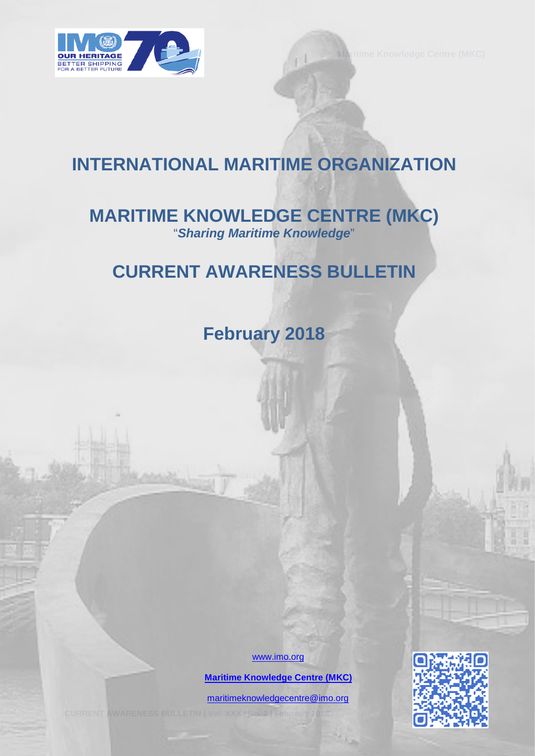

# **INTERNATIONAL MARITIME ORGANIZATION**

# **MARITIME KNOWLEDGE CENTRE (MKC)** "*Sharing Maritime Knowledge*"

# **CURRENT AWARENESS BULLETIN**

**February 2018** 

[www.imo.org](http://www.imo.org/)

 **[Maritime Knowledge Centre \(MKC\)](http://www.imo.org/en/KnowledgeCentre/Pages/Default.aspx)**

[maritimeknowledgecentre@imo.org](mailto:maritimeknowledgecentre@imo.org)

**CURRENT AWARENESS BULLETIN | Vol. XXX | No. 2 | February 2018** 0

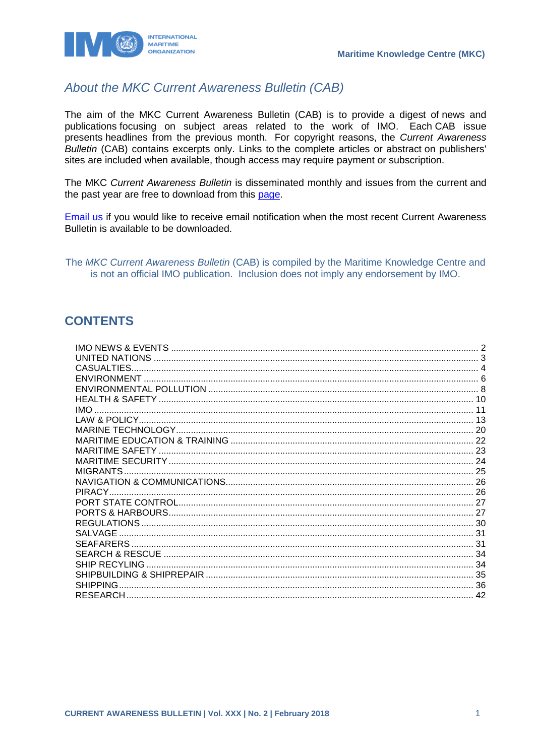

## About the MKC Current Awareness Bulletin (CAB)

The aim of the MKC Current Awareness Bulletin (CAB) is to provide a digest of news and publications focusing on subject areas related to the work of IMO. Each CAB issue presents headlines from the previous month. For copyright reasons, the Current Awareness Bulletin (CAB) contains excerpts only. Links to the complete articles or abstract on publishers' sites are included when available, though access may require payment or subscription.

The MKC Current Awareness Bulletin is disseminated monthly and issues from the current and the past year are free to download from this page.

**Email us** if you would like to receive email notification when the most recent Current Awareness Bulletin is available to be downloaded.

The MKC Current Awareness Bulletin (CAB) is compiled by the Maritime Knowledge Centre and is not an official IMO publication. Inclusion does not imply any endorsement by IMO.

## **CONTENTS**

| CASUALTIES.          |  |
|----------------------|--|
|                      |  |
|                      |  |
|                      |  |
| <b>IMO</b>           |  |
|                      |  |
|                      |  |
|                      |  |
|                      |  |
|                      |  |
| <b>MIGRANTS</b>      |  |
|                      |  |
| PIRACY.              |  |
|                      |  |
|                      |  |
|                      |  |
| <b>SALVAGE</b>       |  |
|                      |  |
|                      |  |
| <b>SHIP RECYLING</b> |  |
|                      |  |
| <b>SHIPPING</b>      |  |
|                      |  |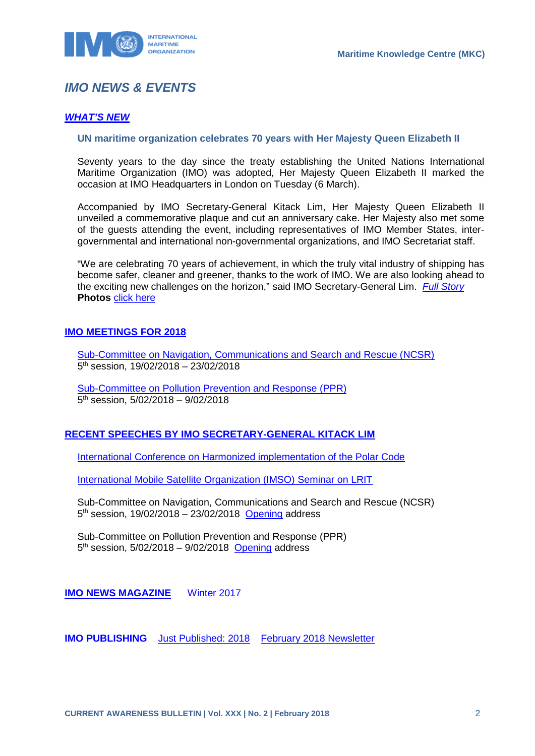

# <span id="page-2-0"></span>*IMO NEWS & EVENTS*

### *[WHAT'S NEW](http://www.imo.org/en/MediaCentre/WhatsNew/Pages/default.aspx)*

#### **UN maritime organization celebrates 70 years with Her Majesty Queen Elizabeth II**

Seventy years to the day since the treaty establishing the United Nations International Maritime Organization (IMO) was adopted, Her Majesty Queen Elizabeth II marked the occasion at IMO Headquarters in London on Tuesday (6 March).

Accompanied by IMO Secretary-General Kitack Lim, Her Majesty Queen Elizabeth II unveiled a commemorative plaque and cut an anniversary cake. Her Majesty also met some of the guests attending the event, including representatives of IMO Member States, intergovernmental and international non-governmental organizations, and IMO Secretariat staff.

"We are celebrating 70 years of achievement, in which the truly vital industry of shipping has become safer, cleaner and greener, thanks to the work of IMO. We are also looking ahead to the exciting new challenges on the horizon," said IMO Secretary-General Lim. *[Full Story](http://www.imo.org/en/MediaCentre/PressBriefings/Pages/05IMO70.aspx)* **Photos** [click here](https://www.flickr.com/photos/imo-un/sets/72157693430958444) 

### **[IMO MEETINGS FOR 2018](http://www.imo.org/en/MediaCentre/MeetingSummaries/Pages/Default.aspx)**

[Sub-Committee on Navigation, Communications and Search and Rescue \(NCSR\)](http://www.imo.org/en/MediaCentre/MeetingSummaries/NCSR/Pages/NCSR5.aspx)  5th session, 19/02/2018 – 23/02/2018

[Sub-Committee on Pollution Prevention and Response \(PPR\)](http://www.imo.org/en/MediaCentre/MeetingSummaries/PPR/Pages/PPR-5th-Session.aspx)  $5<sup>th</sup>$  session,  $5/02/2018 - 9/02/2018$ 

### **[RECENT SPEECHES BY IMO SECRETARY-GENERAL KITACK LIM](http://www.imo.org/en/MediaCentre/SecretaryGeneral/SpeechesByTheSecretaryGeneral/Pages/Default.aspx)**

[International Conference on Harmonized implementation of the Polar Code](http://www.imo.org/en/MediaCentre/SecretaryGeneral/SpeechesByTheSecretaryGeneral/Pages/Finnish-Transport-Safety-Agency.aspx)

[International Mobile Satellite Organization \(IMSO\) Seminar on LRIT](http://www.imo.org/en/MediaCentre/SecretaryGeneral/SpeechesByTheSecretaryGeneral/Pages/IMSOLRIT.aspx)

Sub-Committee on Navigation, Communications and Search and Rescue (NCSR)  $5<sup>th</sup>$  session, 19/02/2018 – 23/02/2018 [Opening](http://www.imo.org/en/MediaCentre/SecretaryGeneral/Secretary-GeneralsSpeechesToMeetings/Pages/NCSR5opening.aspx) address

Sub-Committee on Pollution Prevention and Response (PPR)  $5<sup>th</sup>$  session,  $5/02/2018 - 9/02/2018$  [Opening](http://www.imo.org/en/MediaCentre/SecretaryGeneral/Secretary-GeneralsSpeechesToMeetings/Pages/PPR-5-opening.aspx) address

**IMO NEWS MAGAZINE** [Winter 2017](https://issuu.com/imo-news/docs/imo_news_-_winter_-_2017)

**IMO PUBLISHING** [Just Published: 2018](http://www.imo.org/Publications/Pages/JustPublished.aspx) [February 2018 Newsletter](http://www.imo.org/en/Publications/Documents/Newsletters%20and%20Mailers/Newsletters/feb_b2c.html)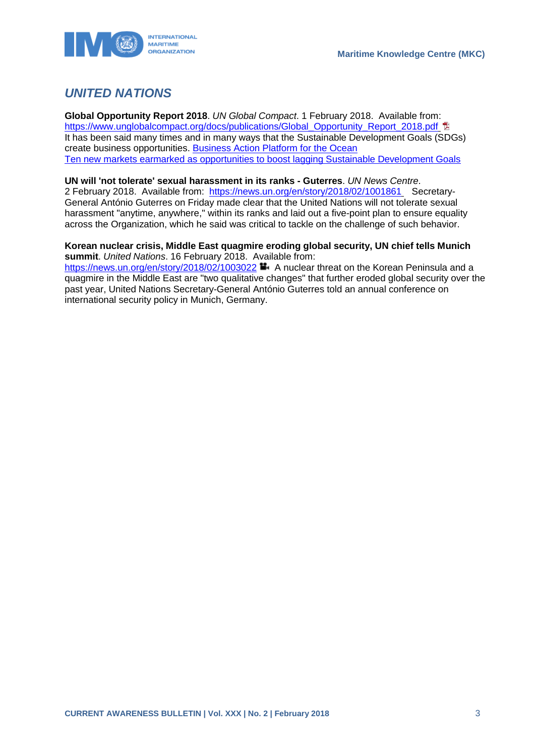

# <span id="page-3-0"></span>*UNITED NATIONS*

**Global Opportunity Report 2018**. *UN Global Compact*. 1 February 2018. Available from: [https://www.unglobalcompact.org/docs/publications/Global\\_Opportunity\\_Report\\_2018.pdf](https://www.unglobalcompact.org/docs/publications/Global_Opportunity_Report_2018.pdf) <sub>卫</sub> It has been said many times and in many ways that the Sustainable Development Goals (SDGs) create business opportunities. [Business Action Platform for the Ocean](https://www.unglobalcompact.org/take-action/action/ocean)  [Ten new markets earmarked as opportunities to boost lagging Sustainable Development Goals](https://www.unglobalcompact.org/news/4351-02-01-2018) 

#### **UN will 'not tolerate' sexual harassment in its ranks - Guterres**. *UN News Centre*.

2 February 2018. Available from: <https://news.un.org/en/story/2018/02/1001861> Secretary-General António Guterres on Friday made clear that the United Nations will not tolerate sexual harassment "anytime, anywhere," within its ranks and laid out a five-point plan to ensure equality across the Organization, which he said was critical to tackle on the challenge of such behavior.

#### **Korean nuclear crisis, Middle East quagmire eroding global security, UN chief tells Munich summit**. *United Nations*. 16 February 2018. Available from:

<https://news.un.org/en/story/2018/02/1003022> **A** nuclear threat on the Korean Peninsula and a quagmire in the Middle East are "two qualitative changes" that further eroded global security over the past year, United Nations Secretary-General António Guterres told an annual conference on international security policy in Munich, Germany.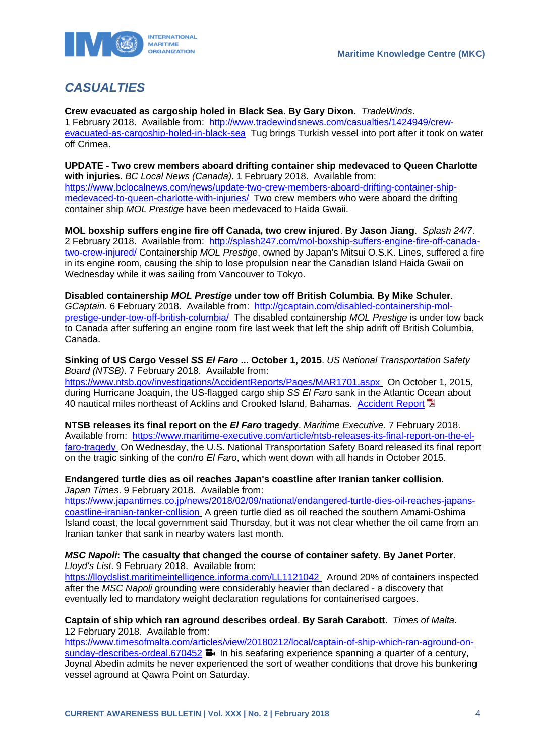

# <span id="page-4-0"></span>*CASUALTIES*

**Crew evacuated as cargoship holed in Black Sea**. **By Gary Dixon**. *TradeWinds*. 1 February 2018. Available from: [http://www.tradewindsnews.com/casualties/1424949/crew](http://www.tradewindsnews.com/casualties/1424949/crew-evacuated-as-cargoship-holed-in-black-sea)[evacuated-as-cargoship-holed-in-black-sea](http://www.tradewindsnews.com/casualties/1424949/crew-evacuated-as-cargoship-holed-in-black-sea) Tug brings Turkish vessel into port after it took on water off Crimea.

**UPDATE - Two crew members aboard drifting container ship medevaced to Queen Charlotte with injuries**. *BC Local News (Canada)*. 1 February 2018. Available from: [https://www.bclocalnews.com/news/update-two-crew-members-aboard-drifting-container-ship](https://www.bclocalnews.com/news/update-two-crew-members-aboard-drifting-container-ship-medevaced-to-queen-charlotte-with-injuries/)[medevaced-to-queen-charlotte-with-injuries/](https://www.bclocalnews.com/news/update-two-crew-members-aboard-drifting-container-ship-medevaced-to-queen-charlotte-with-injuries/) Two crew members who were aboard the drifting container ship *MOL Prestige* have been medevaced to Haida Gwaii.

**MOL boxship suffers engine fire off Canada, two crew injured**. **By Jason Jiang**. *Splash 24/7*. 2 February 2018. Available from: [http://splash247.com/mol-boxship-suffers-engine-fire-off-canada](http://splash247.com/mol-boxship-suffers-engine-fire-off-canada-two-crew-injured/)[two-crew-injured/](http://splash247.com/mol-boxship-suffers-engine-fire-off-canada-two-crew-injured/) Containership *MOL Prestige*, owned by Japan's Mitsui O.S.K. Lines, suffered a fire in its engine room, causing the ship to lose propulsion near the Canadian Island Haida Gwaii on Wednesday while it was sailing from Vancouver to Tokyo.

**Disabled containership** *MOL Prestige* **under tow off British Columbia**. **By Mike Schuler**. *GCaptain*. 6 February 2018. Available from: [http://gcaptain.com/disabled-containership-mol](http://gcaptain.com/disabled-containership-mol-prestige-under-tow-off-british-columbia/)[prestige-under-tow-off-british-columbia/](http://gcaptain.com/disabled-containership-mol-prestige-under-tow-off-british-columbia/) The disabled containership *MOL Prestige* is under tow back to Canada after suffering an engine room fire last week that left the ship adrift off British Columbia, Canada.

**Sinking of US Cargo Vessel** *SS El Faro* **... October 1, 2015**. *US National Transportation Safety Board (NTSB)*. 7 February 2018. Available from: <https://www.ntsb.gov/investigations/AccidentReports/Pages/MAR1701.aspx> On October 1, 2015, during Hurricane Joaquin, the US-flagged cargo ship *SS El Faro* sank in the Atlantic Ocean about 40 nautical miles northeast of Acklins and Crooked Island, Bahamas. [Accident Report](https://www.ntsb.gov/investigations/AccidentReports/Reports/MAR1701.pdf)

**NTSB releases its final report on the** *El Faro* **tragedy**. *Maritime Executive*. 7 February 2018. Available from: [https://www.maritime-executive.com/article/ntsb-releases-its-final-report-on-the-el](https://www.maritime-executive.com/article/ntsb-releases-its-final-report-on-the-el-faro-tragedy)[faro-tragedy](https://www.maritime-executive.com/article/ntsb-releases-its-final-report-on-the-el-faro-tragedy) On Wednesday, the U.S. National Transportation Safety Board released its final report on the tragic sinking of the con/ro *El Faro*, which went down with all hands in October 2015.

#### **Endangered turtle dies as oil reaches Japan's coastline after Iranian tanker collision**. *Japan Times*. 9 February 2018. Available from:

[https://www.japantimes.co.jp/news/2018/02/09/national/endangered-turtle-dies-oil-reaches-japans](https://www.japantimes.co.jp/news/2018/02/09/national/endangered-turtle-dies-oil-reaches-japans-coastline-iranian-tanker-collision)[coastline-iranian-tanker-collision](https://www.japantimes.co.jp/news/2018/02/09/national/endangered-turtle-dies-oil-reaches-japans-coastline-iranian-tanker-collision) A green turtle died as oil reached the southern Amami-Oshima Island coast, the local government said Thursday, but it was not clear whether the oil came from an Iranian tanker that sank in nearby waters last month.

#### *MSC Napoli***: The casualty that changed the course of container safety**. **By Janet Porter**. *Lloyd's List*. 9 February 2018. Available from:

<https://lloydslist.maritimeintelligence.informa.com/LL1121042> Around 20% of containers inspected after the *MSC Napoli* grounding were considerably heavier than declared - a discovery that eventually led to mandatory weight declaration regulations for containerised cargoes.

#### **Captain of ship which ran aground describes ordeal**. **By Sarah Carabott**. *Times of Malta*. 12 February 2018. Available from:

[https://www.timesofmalta.com/articles/view/20180212/local/captain-of-ship-which-ran-aground-on](https://www.timesofmalta.com/articles/view/20180212/local/captain-of-ship-which-ran-aground-on-sunday-describes-ordeal.670452)[sunday-describes-ordeal.670452](https://www.timesofmalta.com/articles/view/20180212/local/captain-of-ship-which-ran-aground-on-sunday-describes-ordeal.670452)  $\blacksquare$  In his seafaring experience spanning a quarter of a century, Joynal Abedin admits he never experienced the sort of weather conditions that drove his bunkering vessel aground at Qawra Point on Saturday.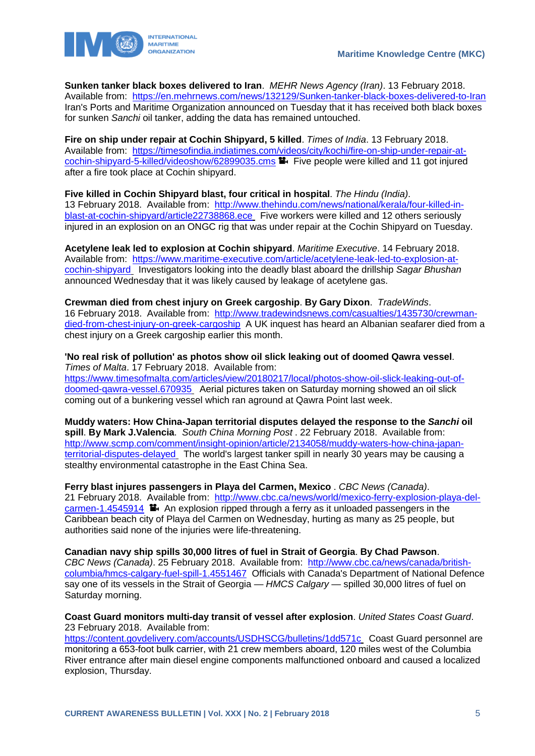

**Sunken tanker black boxes delivered to Iran**. *MEHR News Agency (Iran)*. 13 February 2018. Available from: <https://en.mehrnews.com/news/132129/Sunken-tanker-black-boxes-delivered-to-Iran> Iran's Ports and Maritime Organization announced on Tuesday that it has received both black boxes for sunken *Sanchi* oil tanker, adding the data has remained untouched.

**Fire on ship under repair at Cochin Shipyard, 5 killed**. *Times of India*. 13 February 2018. Available from: [https://timesofindia.indiatimes.com/videos/city/kochi/fire-on-ship-under-repair-at](https://timesofindia.indiatimes.com/videos/city/kochi/fire-on-ship-under-repair-at-cochin-shipyard-5-killed/videoshow/62899035.cms)[cochin-shipyard-5-killed/videoshow/62899035.cms](https://timesofindia.indiatimes.com/videos/city/kochi/fire-on-ship-under-repair-at-cochin-shipyard-5-killed/videoshow/62899035.cms) Five people were killed and 11 got injured after a fire took place at Cochin shipyard.

**Five killed in Cochin Shipyard blast, four critical in hospital**. *The Hindu (India)*. 13 February 2018. Available from: [http://www.thehindu.com/news/national/kerala/four-killed-in](http://www.thehindu.com/news/national/kerala/four-killed-in-blast-at-cochin-shipyard/article22738868.ece)[blast-at-cochin-shipyard/article22738868.ece](http://www.thehindu.com/news/national/kerala/four-killed-in-blast-at-cochin-shipyard/article22738868.ece) Five workers were killed and 12 others seriously injured in an explosion on an ONGC rig that was under repair at the Cochin Shipyard on Tuesday.

**Acetylene leak led to explosion at Cochin shipyard**. *Maritime Executive*. 14 February 2018. Available from: [https://www.maritime-executive.com/article/acetylene-leak-led-to-explosion-at](https://www.maritime-executive.com/article/acetylene-leak-led-to-explosion-at-cochin-shipyard)[cochin-shipyard](https://www.maritime-executive.com/article/acetylene-leak-led-to-explosion-at-cochin-shipyard) Investigators looking into the deadly blast aboard the drillship *Sagar Bhushan* announced Wednesday that it was likely caused by leakage of acetylene gas.

**Crewman died from chest injury on Greek cargoship**. **By Gary Dixon**. *TradeWinds*. 16 February 2018. Available from: [http://www.tradewindsnews.com/casualties/1435730/crewman](http://www.tradewindsnews.com/casualties/1435730/crewman-died-from-chest-injury-on-greek-cargoship)[died-from-chest-injury-on-greek-cargoship](http://www.tradewindsnews.com/casualties/1435730/crewman-died-from-chest-injury-on-greek-cargoship) A UK inquest has heard an Albanian seafarer died from a chest injury on a Greek cargoship earlier this month.

**'No real risk of pollution' as photos show oil slick leaking out of doomed Qawra vessel**. *Times of Malta*. 17 February 2018. Available from: [https://www.timesofmalta.com/articles/view/20180217/local/photos-show-oil-slick-leaking-out-of](https://www.timesofmalta.com/articles/view/20180217/local/photos-show-oil-slick-leaking-out-of-doomed-qawra-vessel.670935)[doomed-qawra-vessel.670935](https://www.timesofmalta.com/articles/view/20180217/local/photos-show-oil-slick-leaking-out-of-doomed-qawra-vessel.670935) Aerial pictures taken on Saturday morning showed an oil slick coming out of a bunkering vessel which ran aground at Qawra Point last week.

**Muddy waters: How China-Japan territorial disputes delayed the response to the** *Sanchi* **oil spill**. **By Mark J.Valencia**. *South China Morning Post* . 22 February 2018. Available from: [http://www.scmp.com/comment/insight-opinion/article/2134058/muddy-waters-how-china-japan](http://www.scmp.com/comment/insight-opinion/article/2134058/muddy-waters-how-china-japan-territorial-disputes-delayed)[territorial-disputes-delayed](http://www.scmp.com/comment/insight-opinion/article/2134058/muddy-waters-how-china-japan-territorial-disputes-delayed) The world's largest tanker spill in nearly 30 years may be causing a stealthy environmental catastrophe in the East China Sea.

**Ferry blast injures passengers in Playa del Carmen, Mexico** . *CBC News (Canada)*. 21 February 2018. Available from: [http://www.cbc.ca/news/world/mexico-ferry-explosion-playa-del](http://www.cbc.ca/news/world/mexico-ferry-explosion-playa-del-carmen-1.4545914)[carmen-1.4545914](http://www.cbc.ca/news/world/mexico-ferry-explosion-playa-del-carmen-1.4545914) An explosion ripped through a ferry as it unloaded passengers in the Caribbean beach city of Playa del Carmen on Wednesday, hurting as many as 25 people, but authorities said none of the injuries were life-threatening.

**Canadian navy ship spills 30,000 litres of fuel in Strait of Georgia**. **By Chad Pawson**. *CBC News (Canada)*. 25 February 2018. Available from: [http://www.cbc.ca/news/canada/british](http://www.cbc.ca/news/canada/british-columbia/hmcs-calgary-fuel-spill-1.4551467)[columbia/hmcs-calgary-fuel-spill-1.4551467](http://www.cbc.ca/news/canada/british-columbia/hmcs-calgary-fuel-spill-1.4551467) Officials with Canada's Department of National Defence say one of its vessels in the Strait of Georgia — *HMCS Calgary* — spilled 30,000 litres of fuel on Saturday morning.

#### **Coast Guard monitors multi-day transit of vessel after explosion**. *United States Coast Guard*. 23 February 2018. Available from:

<https://content.govdelivery.com/accounts/USDHSCG/bulletins/1dd571c> Coast Guard personnel are monitoring a 653-foot bulk carrier, with 21 crew members aboard, 120 miles west of the Columbia River entrance after main diesel engine components malfunctioned onboard and caused a localized explosion, Thursday.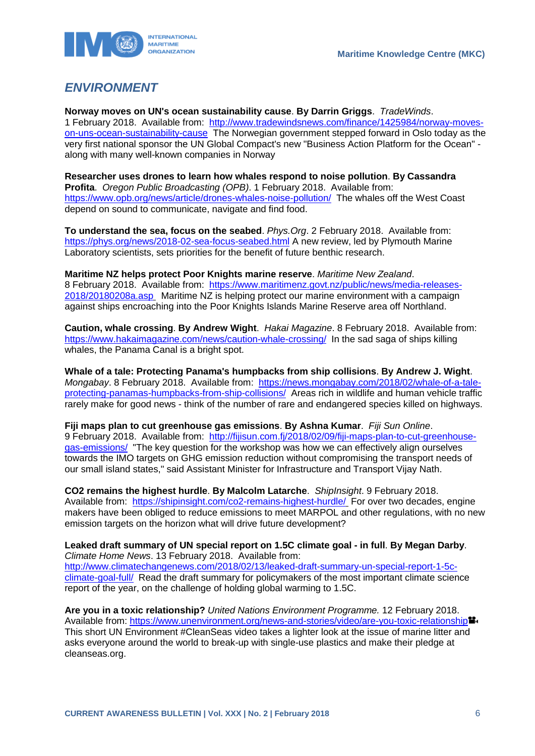



# <span id="page-6-0"></span>*ENVIRONMENT*

**Norway moves on UN's ocean sustainability cause**. **By Darrin Griggs**. *TradeWinds*. 1 February 2018. Available from: [http://www.tradewindsnews.com/finance/1425984/norway-moves](http://www.tradewindsnews.com/finance/1425984/norway-moves-on-uns-ocean-sustainability-cause)[on-uns-ocean-sustainability-cause](http://www.tradewindsnews.com/finance/1425984/norway-moves-on-uns-ocean-sustainability-cause) The Norwegian government stepped forward in Oslo today as the very first national sponsor the UN Global Compact's new "Business Action Platform for the Ocean" along with many well-known companies in Norway

**Researcher uses drones to learn how whales respond to noise pollution**. **By Cassandra Profita**. *Oregon Public Broadcasting (OPB)*. 1 February 2018. Available from: <https://www.opb.org/news/article/drones-whales-noise-pollution/>The whales off the West Coast depend on sound to communicate, navigate and find food.

**To understand the sea, focus on the seabed**. *Phys.Org*. 2 February 2018. Available from: <https://phys.org/news/2018-02-sea-focus-seabed.html> A new review, led by Plymouth Marine Laboratory scientists, sets priorities for the benefit of future benthic research.

**Maritime NZ helps protect Poor Knights marine reserve**. *Maritime New Zealand*. 8 February 2018. Available from: [https://www.maritimenz.govt.nz/public/news/media-releases-](https://www.maritimenz.govt.nz/public/news/media-releases-2018/20180208a.asp)[2018/20180208a.asp](https://www.maritimenz.govt.nz/public/news/media-releases-2018/20180208a.asp) Maritime NZ is helping protect our marine environment with a campaign against ships encroaching into the Poor Knights Islands Marine Reserve area off Northland.

**Caution, whale crossing**. **By Andrew Wight**. *Hakai Magazine*. 8 February 2018. Available from: <https://www.hakaimagazine.com/news/caution-whale-crossing/>In the sad saga of ships killing whales, the Panama Canal is a bright spot.

**Whale of a tale: Protecting Panama's humpbacks from ship collisions**. **By Andrew J. Wight**. *Mongabay*. 8 February 2018. Available from: [https://news.mongabay.com/2018/02/whale-of-a-tale](https://news.mongabay.com/2018/02/whale-of-a-tale-protecting-panamas-humpbacks-from-ship-collisions/)[protecting-panamas-humpbacks-from-ship-collisions/](https://news.mongabay.com/2018/02/whale-of-a-tale-protecting-panamas-humpbacks-from-ship-collisions/) Areas rich in wildlife and human vehicle traffic rarely make for good news - think of the number of rare and endangered species killed on highways.

**Fiji maps plan to cut greenhouse gas emissions**. **By Ashna Kumar**. *Fiji Sun Online*. 9 February 2018. Available from: [http://fijisun.com.fj/2018/02/09/fiji-maps-plan-to-cut-greenhouse](http://fijisun.com.fj/2018/02/09/fiji-maps-plan-to-cut-greenhouse-gas-emissions/)[gas-emissions/](http://fijisun.com.fj/2018/02/09/fiji-maps-plan-to-cut-greenhouse-gas-emissions/) "The key question for the workshop was how we can effectively align ourselves towards the IMO targets on GHG emission reduction without compromising the transport needs of our small island states," said Assistant Minister for Infrastructure and Transport Vijay Nath.

**CO2 remains the highest hurdle**. **By Malcolm Latarche**. *ShipInsight*. 9 February 2018. Available from: <https://shipinsight.com/co2-remains-highest-hurdle/> For over two decades, engine makers have been obliged to reduce emissions to meet MARPOL and other regulations, with no new emission targets on the horizon what will drive future development?

**Leaked draft summary of UN special report on 1.5C climate goal - in full**. **By Megan Darby**. *Climate Home News*. 13 February 2018. Available from: [http://www.climatechangenews.com/2018/02/13/leaked-draft-summary-un-special-report-1-5c](http://www.climatechangenews.com/2018/02/13/leaked-draft-summary-un-special-report-1-5c-climate-goal-full/)[climate-goal-full/](http://www.climatechangenews.com/2018/02/13/leaked-draft-summary-un-special-report-1-5c-climate-goal-full/) Read the draft summary for policymakers of the most important climate science report of the year, on the challenge of holding global warming to 1.5C.

**Are you in a toxic relationship?** *United Nations Environment Programme.* 12 February 2018. Available from:<https://www.unenvironment.org/news-and-stories/video/are-you-toxic-relationship> This short UN Environment #CleanSeas video takes a lighter look at the issue of marine litter and asks everyone around the world to break-up with single-use plastics and make their pledge at cleanseas.org.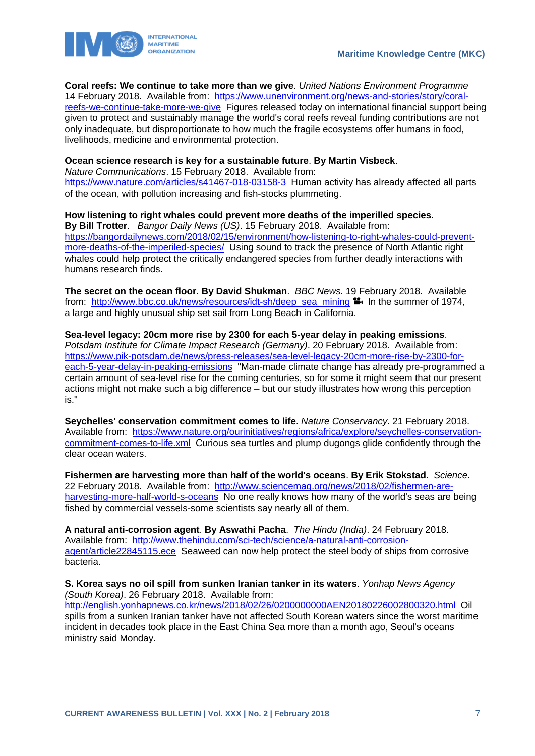

**Coral reefs: We continue to take more than we give**. *United Nations Environment Programme* 

14 February 2018. Available from: [https://www.unenvironment.org/news-and-stories/story/coral](https://www.unenvironment.org/news-and-stories/story/coral-reefs-we-continue-take-more-we-give)[reefs-we-continue-take-more-we-give](https://www.unenvironment.org/news-and-stories/story/coral-reefs-we-continue-take-more-we-give) Figures released today on international financial support being given to protect and sustainably manage the world's coral reefs reveal funding contributions are not only inadequate, but disproportionate to how much the fragile ecosystems offer humans in food, livelihoods, medicine and environmental protection.

#### **Ocean science research is key for a sustainable future**. **By Martin Visbeck**.

*Nature Communications*. 15 February 2018. Available from: <https://www.nature.com/articles/s41467-018-03158-3>Human activity has already affected all parts of the ocean, with pollution increasing and fish-stocks plummeting.

**How listening to right whales could prevent more deaths of the imperilled species**. **By Bill Trotter**. *Bangor Daily News (US)*. 15 February 2018. Available from: [https://bangordailynews.com/2018/02/15/environment/how-listening-to-right-whales-could-prevent](https://bangordailynews.com/2018/02/15/environment/how-listening-to-right-whales-could-prevent-more-deaths-of-the-imperiled-species/)[more-deaths-of-the-imperiled-species/](https://bangordailynews.com/2018/02/15/environment/how-listening-to-right-whales-could-prevent-more-deaths-of-the-imperiled-species/) Using sound to track the presence of North Atlantic right whales could help protect the critically endangered species from further deadly interactions with humans research finds.

**The secret on the ocean floor**. **By David Shukman**. *BBC News*. 19 February 2018. Available from: [http://www.bbc.co.uk/news/resources/idt-sh/deep\\_sea\\_mining](http://www.bbc.co.uk/news/resources/idt-sh/deep_sea_mining)  $\mathbb{I}_1$  In the summer of 1974, a large and highly unusual ship set sail from Long Beach in California.

**Sea-level legacy: 20cm more rise by 2300 for each 5-year delay in peaking emissions**. *Potsdam Institute for Climate Impact Research (Germany)*. 20 February 2018. Available from: [https://www.pik-potsdam.de/news/press-releases/sea-level-legacy-20cm-more-rise-by-2300-for](https://www.pik-potsdam.de/news/press-releases/sea-level-legacy-20cm-more-rise-by-2300-for-each-5-year-delay-in-peaking-emissions)[each-5-year-delay-in-peaking-emissions](https://www.pik-potsdam.de/news/press-releases/sea-level-legacy-20cm-more-rise-by-2300-for-each-5-year-delay-in-peaking-emissions) "Man-made climate change has already pre-programmed a certain amount of sea-level rise for the coming centuries, so for some it might seem that our present actions might not make such a big difference – but our study illustrates how wrong this perception is."

**Seychelles' conservation commitment comes to life**. *Nature Conservancy*. 21 February 2018. Available from: [https://www.nature.org/ourinitiatives/regions/africa/explore/seychelles-conservation](https://www.nature.org/ourinitiatives/regions/africa/explore/seychelles-conservation-commitment-comes-to-life.xml)[commitment-comes-to-life.xml](https://www.nature.org/ourinitiatives/regions/africa/explore/seychelles-conservation-commitment-comes-to-life.xml) Curious sea turtles and plump dugongs glide confidently through the clear ocean waters.

**Fishermen are harvesting more than half of the world's oceans**. **By Erik Stokstad**. *Science*. 22 February 2018. Available from: [http://www.sciencemag.org/news/2018/02/fishermen-are](http://www.sciencemag.org/news/2018/02/fishermen-are-harvesting-more-half-world-s-oceans)[harvesting-more-half-world-s-oceans](http://www.sciencemag.org/news/2018/02/fishermen-are-harvesting-more-half-world-s-oceans) No one really knows how many of the world's seas are being fished by commercial vessels-some scientists say nearly all of them.

**A natural anti-corrosion agent**. **By Aswathi Pacha**. *The Hindu (India)*. 24 February 2018. Available from: [http://www.thehindu.com/sci-tech/science/a-natural-anti-corrosion](http://www.thehindu.com/sci-tech/science/a-natural-anti-corrosion-agent/article22845115.ece)[agent/article22845115.ece](http://www.thehindu.com/sci-tech/science/a-natural-anti-corrosion-agent/article22845115.ece) Seaweed can now help protect the steel body of ships from corrosive bacteria.

**S. Korea says no oil spill from sunken Iranian tanker in its waters**. *Yonhap News Agency (South Korea)*. 26 February 2018. Available from: <http://english.yonhapnews.co.kr/news/2018/02/26/0200000000AEN20180226002800320.html>Oil spills from a sunken Iranian tanker have not affected South Korean waters since the worst maritime incident in decades took place in the East China Sea more than a month ago, Seoul's oceans ministry said Monday.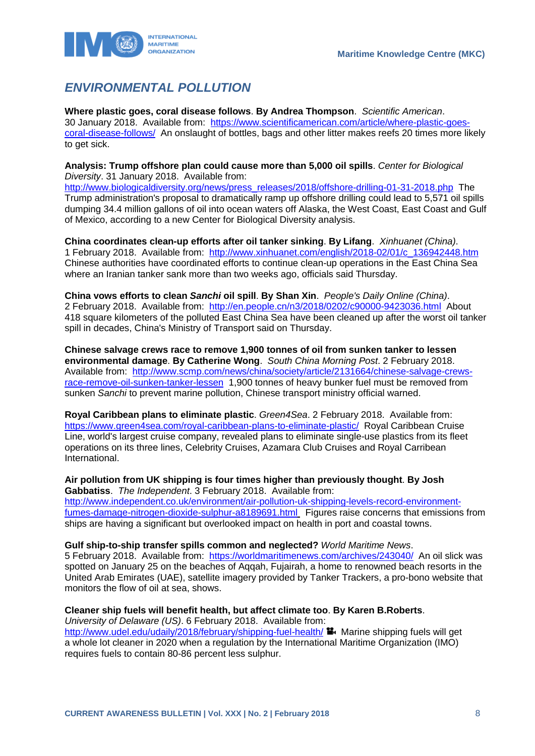

# <span id="page-8-0"></span>*ENVIRONMENTAL POLLUTION*

**Where plastic goes, coral disease follows**. **By Andrea Thompson**. *Scientific American*. 30 January 2018. Available from: [https://www.scientificamerican.com/article/where-plastic-goes](https://www.scientificamerican.com/article/where-plastic-goes-coral-disease-follows/)[coral-disease-follows/](https://www.scientificamerican.com/article/where-plastic-goes-coral-disease-follows/) An onslaught of bottles, bags and other litter makes reefs 20 times more likely to get sick.

**Analysis: Trump offshore plan could cause more than 5,000 oil spills**. *Center for Biological Diversity*. 31 January 2018. Available from:

[http://www.biologicaldiversity.org/news/press\\_releases/2018/offshore-drilling-01-31-2018.php](http://www.biologicaldiversity.org/news/press_releases/2018/offshore-drilling-01-31-2018.php) The Trump administration's proposal to dramatically ramp up offshore drilling could lead to 5,571 oil spills dumping 34.4 million gallons of oil into ocean waters off Alaska, the West Coast, East Coast and Gulf of Mexico, according to a new Center for Biological Diversity analysis.

**China coordinates clean-up efforts after oil tanker sinking**. **By Lifang**. *Xinhuanet (China)*. 1 February 2018. Available from: [http://www.xinhuanet.com/english/2018-02/01/c\\_136942448.htm](http://www.xinhuanet.com/english/2018-02/01/c_136942448.htm) Chinese authorities have coordinated efforts to continue clean-up operations in the East China Sea where an Iranian tanker sank more than two weeks ago, officials said Thursday.

**China vows efforts to clean** *Sanchi* **oil spill**. **By Shan Xin**. *People's Daily Online (China)*. 2 February 2018. Available from: <http://en.people.cn/n3/2018/0202/c90000-9423036.html>About 418 square kilometers of the polluted East China Sea have been cleaned up after the worst oil tanker spill in decades, China's Ministry of Transport said on Thursday.

**Chinese salvage crews race to remove 1,900 tonnes of oil from sunken tanker to lessen environmental damage**. **By Catherine Wong**. *South China Morning Post*. 2 February 2018. Available from: [http://www.scmp.com/news/china/society/article/2131664/chinese-salvage-crews](http://www.scmp.com/news/china/society/article/2131664/chinese-salvage-crews-race-remove-oil-sunken-tanker-lessen)[race-remove-oil-sunken-tanker-lessen](http://www.scmp.com/news/china/society/article/2131664/chinese-salvage-crews-race-remove-oil-sunken-tanker-lessen) 1,900 tonnes of heavy bunker fuel must be removed from sunken *Sanchi* to prevent marine pollution, Chinese transport ministry official warned.

**Royal Caribbean plans to eliminate plastic**. *Green4Sea*. 2 February 2018. Available from: <https://www.green4sea.com/royal-caribbean-plans-to-eliminate-plastic/>Royal Caribbean Cruise Line, world's largest cruise company, revealed plans to eliminate single-use plastics from its fleet operations on its three lines, Celebrity Cruises, Azamara Club Cruises and Royal Carribean International.

#### **Air pollution from UK shipping is four times higher than previously thought**. **By Josh Gabbatiss**. *The Independent*. 3 February 2018. Available from:

[http://www.independent.co.uk/environment/air-pollution-uk-shipping-levels-record-environment](http://www.independent.co.uk/environment/air-pollution-uk-shipping-levels-record-environment-fumes-damage-nitrogen-dioxide-sulphur-a8189691.html)[fumes-damage-nitrogen-dioxide-sulphur-a8189691.html](http://www.independent.co.uk/environment/air-pollution-uk-shipping-levels-record-environment-fumes-damage-nitrogen-dioxide-sulphur-a8189691.html) Figures raise concerns that emissions from ships are having a significant but overlooked impact on health in port and coastal towns.

**Gulf ship-to-ship transfer spills common and neglected?** *World Maritime News*.

5 February 2018. Available from: <https://worldmaritimenews.com/archives/243040/>An oil slick was spotted on January 25 on the beaches of Aqqah, Fujairah, a home to renowned beach resorts in the United Arab Emirates (UAE), satellite imagery provided by Tanker Trackers, a pro-bono website that monitors the flow of oil at sea, shows.

### **Cleaner ship fuels will benefit health, but affect climate too**. **By Karen B.Roberts**.

*University of Delaware (US)*. 6 February 2018. Available from:

<http://www.udel.edu/udaily/2018/february/shipping-fuel-health/>  $\mathbf{H}_1$ . Marine shipping fuels will get a whole lot cleaner in 2020 when a regulation by the International Maritime Organization (IMO) requires fuels to contain 80-86 percent less sulphur.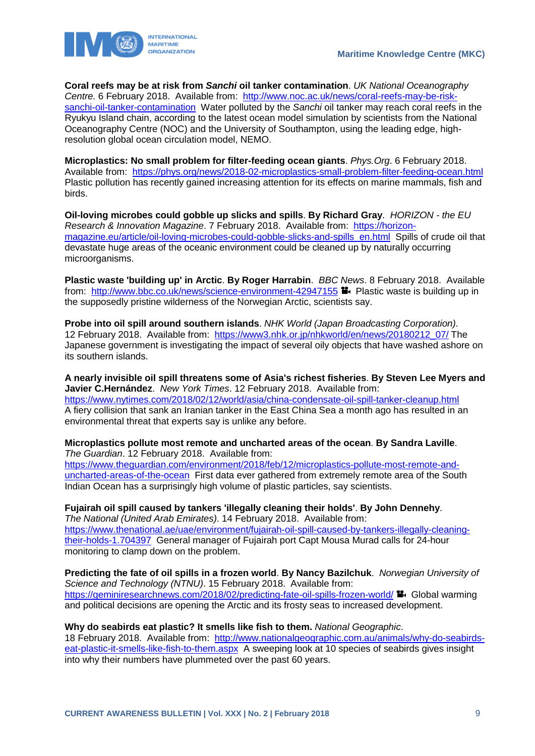

**Coral reefs may be at risk from** *Sanchi* **oil tanker contamination**. *UK National Oceanography Centre.* 6 February 2018. Available from: [http://www.noc.ac.uk/news/coral-reefs-may-be-risk](http://www.noc.ac.uk/news/coral-reefs-may-be-risk-sanchi-oil-tanker-contamination)[sanchi-oil-tanker-contamination](http://www.noc.ac.uk/news/coral-reefs-may-be-risk-sanchi-oil-tanker-contamination) Water polluted by the *Sanchi* oil tanker may reach coral reefs in the Ryukyu Island chain, according to the latest ocean model simulation by scientists from the National Oceanography Centre (NOC) and the University of Southampton, using the leading edge, highresolution global ocean circulation model, NEMO.

**Microplastics: No small problem for filter-feeding ocean giants**. *Phys.Org*. 6 February 2018. Available from: <https://phys.org/news/2018-02-microplastics-small-problem-filter-feeding-ocean.html> Plastic pollution has recently gained increasing attention for its effects on marine mammals, fish and birds.

**Oil-loving microbes could gobble up slicks and spills**. **By Richard Gray**. *HORIZON - the EU Research & Innovation Magazine*. 7 February 2018. Available from: [https://horizon](https://horizon-magazine.eu/article/oil-loving-microbes-could-gobble-slicks-and-spills_en.html)[magazine.eu/article/oil-loving-microbes-could-gobble-slicks-and-spills\\_en.html](https://horizon-magazine.eu/article/oil-loving-microbes-could-gobble-slicks-and-spills_en.html) Spills of crude oil that devastate huge areas of the oceanic environment could be cleaned up by naturally occurring microorganisms.

**Plastic waste 'building up' in Arctic**. **By Roger Harrabin**. *BBC News*. 8 February 2018. Available from: <http://www.bbc.co.uk/news/science-environment-42947155>  $\blacksquare$ . Plastic waste is building up in the supposedly pristine wilderness of the Norwegian Arctic, scientists say.

**Probe into oil spill around southern islands**. *NHK World (Japan Broadcasting Corporation)*. 12 February 2018. Available from: [https://www3.nhk.or.jp/nhkworld/en/news/20180212\\_07/](https://www3.nhk.or.jp/nhkworld/en/news/20180212_07/) The Japanese government is investigating the impact of several oily objects that have washed ashore on its southern islands.

**A nearly invisible oil spill threatens some of Asia's richest fisheries**. **By Steven Lee Myers and Javier C.Hernández**. *New York Times*. 12 February 2018. Available from: <https://www.nytimes.com/2018/02/12/world/asia/china-condensate-oil-spill-tanker-cleanup.html> A fiery collision that sank an Iranian tanker in the East China Sea a month ago has resulted in an environmental threat that experts say is unlike any before.

#### **Microplastics pollute most remote and uncharted areas of the ocean**. **By Sandra Laville**. *The Guardian*. 12 February 2018. Available from:

[https://www.theguardian.com/environment/2018/feb/12/microplastics-pollute-most-remote-and](https://www.theguardian.com/environment/2018/feb/12/microplastics-pollute-most-remote-and-uncharted-areas-of-the-ocean)[uncharted-areas-of-the-ocean](https://www.theguardian.com/environment/2018/feb/12/microplastics-pollute-most-remote-and-uncharted-areas-of-the-ocean) First data ever gathered from extremely remote area of the South Indian Ocean has a surprisingly high volume of plastic particles, say scientists.

### **Fujairah oil spill caused by tankers 'illegally cleaning their holds'**. **By John Dennehy**.

*The National (United Arab Emirates)*. 14 February 2018. Available from: [https://www.thenational.ae/uae/environment/fujairah-oil-spill-caused-by-tankers-illegally-cleaning](https://www.thenational.ae/uae/environment/fujairah-oil-spill-caused-by-tankers-illegally-cleaning-their-holds-1.704397)[their-holds-1.704397](https://www.thenational.ae/uae/environment/fujairah-oil-spill-caused-by-tankers-illegally-cleaning-their-holds-1.704397) General manager of Fujairah port Capt Mousa Murad calls for 24-hour monitoring to clamp down on the problem.

#### **Predicting the fate of oil spills in a frozen world**. **By Nancy Bazilchuk**. *Norwegian University of*

*Science and Technology (NTNU)*. 15 February 2018. Available from: <https://geminiresearchnews.com/2018/02/predicting-fate-oil-spills-frozen-world/>  $\blacksquare$  Global warming and political decisions are opening the Arctic and its frosty seas to increased development.

#### **Why do seabirds eat plastic? It smells like fish to them.** *National Geographic*.

18 February 2018. Available from: [http://www.nationalgeographic.com.au/animals/why-do-seabirds](http://www.nationalgeographic.com.au/animals/why-do-seabirds-eat-plastic-it-smells-like-fish-to-them.aspx)[eat-plastic-it-smells-like-fish-to-them.aspx](http://www.nationalgeographic.com.au/animals/why-do-seabirds-eat-plastic-it-smells-like-fish-to-them.aspx) A sweeping look at 10 species of seabirds gives insight into why their numbers have plummeted over the past 60 years.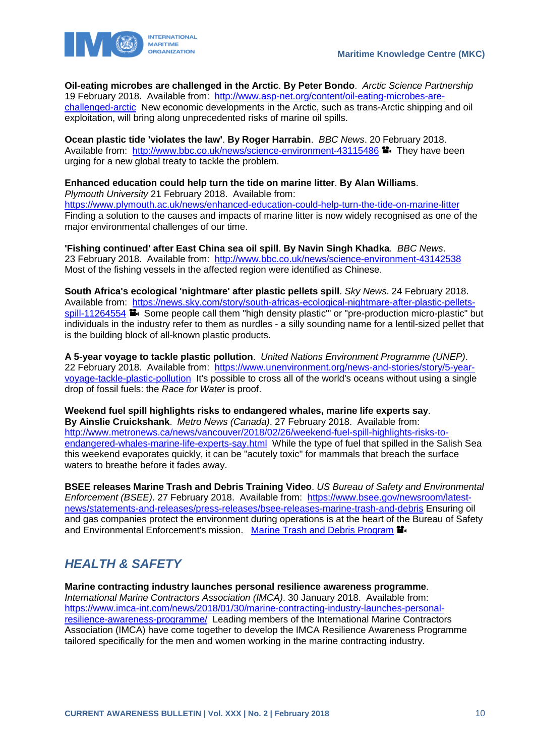

**Oil-eating microbes are challenged in the Arctic**. **By Peter Bondo**. *Arctic Science Partnership*  19 February 2018. Available from: [http://www.asp-net.org/content/oil-eating-microbes-are](http://www.asp-net.org/content/oil-eating-microbes-are-challenged-arctic)[challenged-arctic](http://www.asp-net.org/content/oil-eating-microbes-are-challenged-arctic) New economic developments in the Arctic, such as trans-Arctic shipping and oil exploitation, will bring along unprecedented risks of marine oil spills.

**Ocean plastic tide 'violates the law'**. **By Roger Harrabin**. *BBC News*. 20 February 2018. Available from: <http://www.bbc.co.uk/news/science-environment-43115486> <sup>1</sup> They have been urging for a new global treaty to tackle the problem.

**Enhanced education could help turn the tide on marine litter**. **By Alan Williams**. *Plymouth University* 21 February 2018. Available from: <https://www.plymouth.ac.uk/news/enhanced-education-could-help-turn-the-tide-on-marine-litter> Finding a solution to the causes and impacts of marine litter is now widely recognised as one of the major environmental challenges of our time.

**'Fishing continued' after East China sea oil spill**. **By Navin Singh Khadka**. *BBC News*. 23 February 2018. Available from: <http://www.bbc.co.uk/news/science-environment-43142538> Most of the fishing vessels in the affected region were identified as Chinese.

**South Africa's ecological 'nightmare' after plastic pellets spill**. *Sky News*. 24 February 2018. Available from: [https://news.sky.com/story/south-africas-ecological-nightmare-after-plastic-pellets](https://news.sky.com/story/south-africas-ecological-nightmare-after-plastic-pellets-spill-11264554)[spill-11264554](https://news.sky.com/story/south-africas-ecological-nightmare-after-plastic-pellets-spill-11264554)  $\blacksquare$  Some people call them "high density plastic" or "pre-production micro-plastic" but individuals in the industry refer to them as nurdles - a silly sounding name for a lentil-sized pellet that is the building block of all-known plastic products.

**A 5-year voyage to tackle plastic pollution**. *United Nations Environment Programme (UNEP)*. 22 February 2018. Available from: [https://www.unenvironment.org/news-and-stories/story/5-year](https://www.unenvironment.org/news-and-stories/story/5-year-voyage-tackle-plastic-pollution)[voyage-tackle-plastic-pollution](https://www.unenvironment.org/news-and-stories/story/5-year-voyage-tackle-plastic-pollution) It's possible to cross all of the world's oceans without using a single drop of fossil fuels: the *Race for Water* is proof.

**Weekend fuel spill highlights risks to endangered whales, marine life experts say**. **By Ainslie Cruickshank**. *Metro News (Canada)*. 27 February 2018. Available from: [http://www.metronews.ca/news/vancouver/2018/02/26/weekend-fuel-spill-highlights-risks-to](http://www.metronews.ca/news/vancouver/2018/02/26/weekend-fuel-spill-highlights-risks-to-endangered-whales-marine-life-experts-say.html)[endangered-whales-marine-life-experts-say.html](http://www.metronews.ca/news/vancouver/2018/02/26/weekend-fuel-spill-highlights-risks-to-endangered-whales-marine-life-experts-say.html) While the type of fuel that spilled in the Salish Sea this weekend evaporates quickly, it can be "acutely toxic" for mammals that breach the surface waters to breathe before it fades away.

**BSEE releases Marine Trash and Debris Training Video**. *US Bureau of Safety and Environmental Enforcement (BSEE)*. 27 February 2018. Available from: [https://www.bsee.gov/newsroom/latest](https://www.bsee.gov/newsroom/latest-news/statements-and-releases/press-releases/bsee-releases-marine-trash-and-debris)[news/statements-and-releases/press-releases/bsee-releases-marine-trash-and-debris](https://www.bsee.gov/newsroom/latest-news/statements-and-releases/press-releases/bsee-releases-marine-trash-and-debris) Ensuring oil and gas companies protect the environment during operations is at the heart of the Bureau of Safety and Environmental Enforcement's mission. [Marine Trash and Debris Program](https://www.bsee.gov/debris)

# <span id="page-10-0"></span>*HEALTH & SAFETY*

**Marine contracting industry launches personal resilience awareness programme**. *International Marine Contractors Association (IMCA)*. 30 January 2018. Available from: [https://www.imca-int.com/news/2018/01/30/marine-contracting-industry-launches-personal](https://www.imca-int.com/news/2018/01/30/marine-contracting-industry-launches-personal-resilience-awareness-programme/)[resilience-awareness-programme/](https://www.imca-int.com/news/2018/01/30/marine-contracting-industry-launches-personal-resilience-awareness-programme/) Leading members of the International Marine Contractors Association (IMCA) have come together to develop the IMCA Resilience Awareness Programme tailored specifically for the men and women working in the marine contracting industry.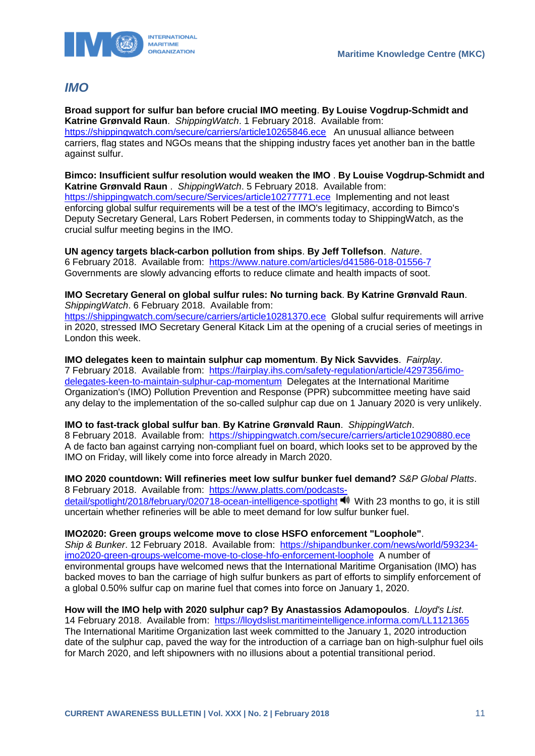

### <span id="page-11-0"></span>*IMO*

**Broad support for sulfur ban before crucial IMO meeting**. **By Louise Vogdrup-Schmidt and Katrine Grønvald Raun**. *ShippingWatch*. 1 February 2018. Available from: <https://shippingwatch.com/secure/carriers/article10265846.ece>An unusual alliance between carriers, flag states and NGOs means that the shipping industry faces yet another ban in the battle against sulfur.

**Bimco: Insufficient sulfur resolution would weaken the IMO** . **By Louise Vogdrup-Schmidt and Katrine Grønvald Raun** . *ShippingWatch*. 5 February 2018. Available from: <https://shippingwatch.com/secure/Services/article10277771.ece>Implementing and not least enforcing global sulfur requirements will be a test of the IMO's legitimacy, according to Bimco's Deputy Secretary General, Lars Robert Pedersen, in comments today to ShippingWatch, as the crucial sulfur meeting begins in the IMO.

**UN agency targets black-carbon pollution from ships**. **By Jeff Tollefson**. *Nature*. 6 February 2018. Available from: <https://www.nature.com/articles/d41586-018-01556-7> Governments are slowly advancing efforts to reduce climate and health impacts of soot.

**IMO Secretary General on global sulfur rules: No turning back**. **By Katrine Grønvald Raun**. *ShippingWatch*. 6 February 2018. Available from:

<https://shippingwatch.com/secure/carriers/article10281370.ece>Global sulfur requirements will arrive in 2020, stressed IMO Secretary General Kitack Lim at the opening of a crucial series of meetings in London this week.

**IMO delegates keen to maintain sulphur cap momentum**. **By Nick Savvides**. *Fairplay*. 7 February 2018. Available from: [https://fairplay.ihs.com/safety-regulation/article/4297356/imo](https://fairplay.ihs.com/safety-regulation/article/4297356/imo-delegates-keen-to-maintain-sulphur-cap-momentum)[delegates-keen-to-maintain-sulphur-cap-momentum](https://fairplay.ihs.com/safety-regulation/article/4297356/imo-delegates-keen-to-maintain-sulphur-cap-momentum) Delegates at the International Maritime Organization's (IMO) Pollution Prevention and Response (PPR) subcommittee meeting have said any delay to the implementation of the so-called sulphur cap due on 1 January 2020 is very unlikely.

**IMO to fast-track global sulfur ban**. **By Katrine Grønvald Raun**. *ShippingWatch*. 8 February 2018. Available from: <https://shippingwatch.com/secure/carriers/article10290880.ece> A de facto ban against carrying non-compliant fuel on board, which looks set to be approved by the IMO on Friday, will likely come into force already in March 2020.

**IMO 2020 countdown: Will refineries meet low sulfur bunker fuel demand?** *S&P Global Platts*.

8 February 2018. Available from: [https://www.platts.com/podcasts](https://www.platts.com/podcasts-detail/spotlight/2018/february/020718-ocean-intelligence-spotlight)[detail/spotlight/2018/february/020718-ocean-intelligence-spotlight](https://www.platts.com/podcasts-detail/spotlight/2018/february/020718-ocean-intelligence-spotlight) With 23 months to go, it is still uncertain whether refineries will be able to meet demand for low sulfur bunker fuel.

#### **IMO2020: Green groups welcome move to close HSFO enforcement "Loophole"**.

*Ship & Bunker*. 12 February 2018. Available from: [https://shipandbunker.com/news/world/593234](https://shipandbunker.com/news/world/593234-imo2020-green-groups-welcome-move-to-close-hfo-enforcement-loophole) [imo2020-green-groups-welcome-move-to-close-hfo-enforcement-loophole](https://shipandbunker.com/news/world/593234-imo2020-green-groups-welcome-move-to-close-hfo-enforcement-loophole) A number of environmental groups have welcomed news that the International Maritime Organisation (IMO) has backed moves to ban the carriage of high sulfur bunkers as part of efforts to simplify enforcement of a global 0.50% sulfur cap on marine fuel that comes into force on January 1, 2020.

#### **How will the IMO help with 2020 sulphur cap? By Anastassios Adamopoulos**. *Lloyd's List*.

14 February 2018. Available from: https://lloydslist.maritimeintelligence.informa.com/LL1121365 The International Maritime Organization last week committed to the January 1, 2020 introduction date of the sulphur cap, paved the way for the introduction of a carriage ban on high-sulphur fuel oils for March 2020, and left shipowners with no illusions about a potential transitional period.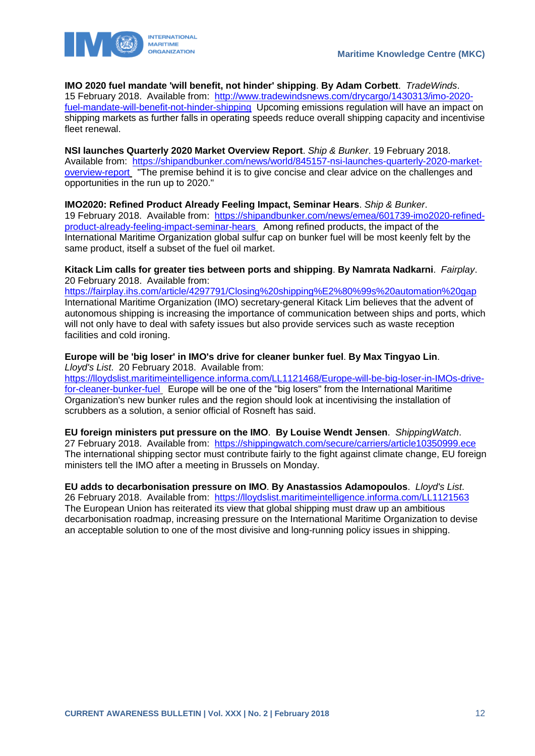

**IMO 2020 fuel mandate 'will benefit, not hinder' shipping**. **By Adam Corbett**. *TradeWinds*. 15 February 2018. Available from: [http://www.tradewindsnews.com/drycargo/1430313/imo-2020](http://www.tradewindsnews.com/drycargo/1430313/imo-2020-fuel-mandate-will-benefit-not-hinder-shipping) [fuel-mandate-will-benefit-not-hinder-shipping](http://www.tradewindsnews.com/drycargo/1430313/imo-2020-fuel-mandate-will-benefit-not-hinder-shipping) Upcoming emissions regulation will have an impact on shipping markets as further falls in operating speeds reduce overall shipping capacity and incentivise fleet renewal.

**NSI launches Quarterly 2020 Market Overview Report**. *Ship & Bunker*. 19 February 2018. Available from: [https://shipandbunker.com/news/world/845157-nsi-launches-quarterly-2020-market](https://shipandbunker.com/news/world/845157-nsi-launches-quarterly-2020-market-overview-report)[overview-report](https://shipandbunker.com/news/world/845157-nsi-launches-quarterly-2020-market-overview-report) "The premise behind it is to give concise and clear advice on the challenges and opportunities in the run up to 2020."

**IMO2020: Refined Product Already Feeling Impact, Seminar Hears**. *Ship & Bunker*. 19 February 2018. Available from: [https://shipandbunker.com/news/emea/601739-imo2020-refined](https://shipandbunker.com/news/emea/601739-imo2020-refined-product-already-feeling-impact-seminar-hears)[product-already-feeling-impact-seminar-hears](https://shipandbunker.com/news/emea/601739-imo2020-refined-product-already-feeling-impact-seminar-hears) Among refined products, the impact of the International Maritime Organization global sulfur cap on bunker fuel will be most keenly felt by the same product, itself a subset of the fuel oil market.

**Kitack Lim calls for greater ties between ports and shipping**. **By Namrata Nadkarni**. *Fairplay*. 20 February 2018. Available from:

<https://fairplay.ihs.com/article/4297791/Closing%20shipping%E2%80%99s%20automation%20gap> International Maritime Organization (IMO) secretary-general Kitack Lim believes that the advent of autonomous shipping is increasing the importance of communication between ships and ports, which will not only have to deal with safety issues but also provide services such as waste reception facilities and cold ironing.

**Europe will be 'big loser' in IMO's drive for cleaner bunker fuel**. **By Max Tingyao Lin**. *Lloyd's List*. 20 February 2018. Available from:

[https://lloydslist.maritimeintelligence.informa.com/LL1121468/Europe-will-be-big-loser-in-IMOs-drive](https://lloydslist.maritimeintelligence.informa.com/LL1121468/Europe-will-be-big-loser-in-IMOs-drive-for-cleaner-bunker-fuel)[for-cleaner-bunker-fuel](https://lloydslist.maritimeintelligence.informa.com/LL1121468/Europe-will-be-big-loser-in-IMOs-drive-for-cleaner-bunker-fuel) Europe will be one of the "big losers" from the International Maritime Organization's new bunker rules and the region should look at incentivising the installation of scrubbers as a solution, a senior official of Rosneft has said.

**EU foreign ministers put pressure on the IMO**. **By Louise Wendt Jensen**. *ShippingWatch*. 27 February 2018. Available from: <https://shippingwatch.com/secure/carriers/article10350999.ece> The international shipping sector must contribute fairly to the fight against climate change, EU foreign ministers tell the IMO after a meeting in Brussels on Monday.

**EU adds to decarbonisation pressure on IMO**. **By Anastassios Adamopoulos**. *Lloyd's List*. 26 February 2018. Available from: <https://lloydslist.maritimeintelligence.informa.com/LL1121563> The European Union has reiterated its view that global shipping must draw up an ambitious decarbonisation roadmap, increasing pressure on the International Maritime Organization to devise an acceptable solution to one of the most divisive and long-running policy issues in shipping.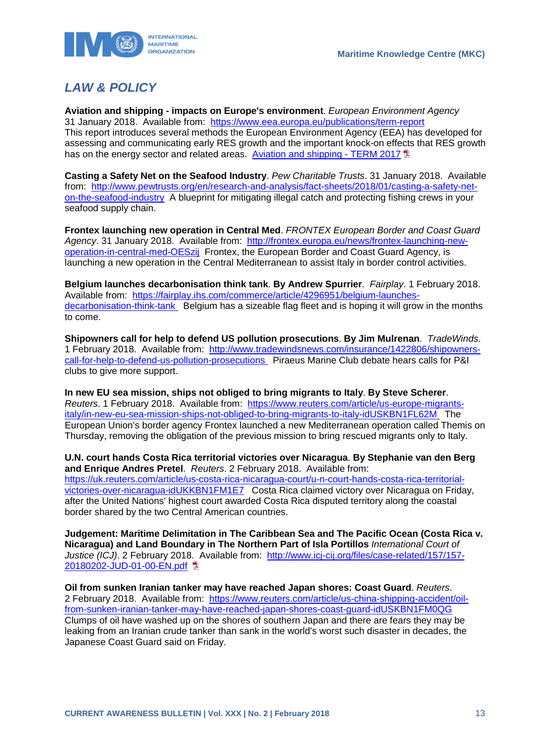



# <span id="page-13-0"></span>*LAW & POLICY*

**Aviation and shipping - impacts on Europe's environment**. *European Environment Agency*  31 January 2018. Available from: <https://www.eea.europa.eu/publications/term-report> This report introduces several methods the European Environment Agency (EEA) has developed for assessing and communicating early RES growth and the important knock-on effects that RES growth has on the energy sector and related areas. [Aviation and](https://www.eea.europa.eu/publications/term-report/at_download/file) shipping - TERM 2017

**Casting a Safety Net on the Seafood Industry**. *Pew Charitable Trusts*. 31 January 2018. Available from: [http://www.pewtrusts.org/en/research-and-analysis/fact-sheets/2018/01/casting-a-safety-net](http://www.pewtrusts.org/en/research-and-analysis/fact-sheets/2018/01/casting-a-safety-net-on-the-seafood-industry)[on-the-seafood-industry](http://www.pewtrusts.org/en/research-and-analysis/fact-sheets/2018/01/casting-a-safety-net-on-the-seafood-industry) A blueprint for mitigating illegal catch and protecting fishing crews in your seafood supply chain.

**Frontex launching new operation in Central Med**. *FRONTEX European Border and Coast Guard Agency*. 31 January 2018. Available from: [http://frontex.europa.eu/news/frontex-launching-new](http://frontex.europa.eu/news/frontex-launching-new-operation-in-central-med-OESzij)[operation-in-central-med-OESzij](http://frontex.europa.eu/news/frontex-launching-new-operation-in-central-med-OESzij) Frontex, the European Border and Coast Guard Agency, is launching a new operation in the Central Mediterranean to assist Italy in border control activities.

**Belgium launches decarbonisation think tank**. **By Andrew Spurrier**. *Fairplay*. 1 February 2018. Available from: [https://fairplay.ihs.com/commerce/article/4296951/belgium-launches](https://fairplay.ihs.com/commerce/article/4296951/belgium-launches-decarbonisation-think-tank)[decarbonisation-think-tank](https://fairplay.ihs.com/commerce/article/4296951/belgium-launches-decarbonisation-think-tank) Belgium has a sizeable flag fleet and is hoping it will grow in the months to come.

**Shipowners call for help to defend US pollution prosecutions**. **By Jim Mulrenan**. *TradeWinds*. 1 February 2018. Available from: [http://www.tradewindsnews.com/insurance/1422806/shipowners](http://www.tradewindsnews.com/insurance/1422806/shipowners-call-for-help-to-defend-us-pollution-prosecutions)[call-for-help-to-defend-us-pollution-prosecutions](http://www.tradewindsnews.com/insurance/1422806/shipowners-call-for-help-to-defend-us-pollution-prosecutions) Piraeus Marine Club debate hears calls for P&I clubs to give more support.

**In new EU sea mission, ships not obliged to bring migrants to Italy**. **By Steve Scherer**. *Reuters*. 1 February 2018. Available from: [https://www.reuters.com/article/us-europe-migrants](https://www.reuters.com/article/us-europe-migrants-italy/in-new-eu-sea-mission-ships-not-obliged-to-bring-migrants-to-italy-idUSKBN1FL62M)[italy/in-new-eu-sea-mission-ships-not-obliged-to-bring-migrants-to-italy-idUSKBN1FL62M](https://www.reuters.com/article/us-europe-migrants-italy/in-new-eu-sea-mission-ships-not-obliged-to-bring-migrants-to-italy-idUSKBN1FL62M) The European Union's border agency Frontex launched a new Mediterranean operation called Themis on Thursday, removing the obligation of the previous mission to bring rescued migrants only to Italy.

**U.N. court hands Costa Rica territorial victories over Nicaragua**. **By Stephanie van den Berg and Enrique Andres Pretel**. *Reuters*. 2 February 2018. Available from: [https://uk.reuters.com/article/us-costa-rica-nicaragua-court/u-n-court-hands-costa-rica-territorial](https://uk.reuters.com/article/us-costa-rica-nicaragua-court/u-n-court-hands-costa-rica-territorial-victories-over-nicaragua-idUKKBN1FM1E7)[victories-over-nicaragua-idUKKBN1FM1E7](https://uk.reuters.com/article/us-costa-rica-nicaragua-court/u-n-court-hands-costa-rica-territorial-victories-over-nicaragua-idUKKBN1FM1E7) Costa Rica claimed victory over Nicaragua on Friday, after the United Nations' highest court awarded Costa Rica disputed territory along the coastal border shared by the two Central American countries.

**Judgement: Maritime Delimitation in The Caribbean Sea and The Pacific Ocean (Costa Rica v. Nicaragua) and Land Boundary in The Northern Part of Isla Portillos** *International Court of Justice (ICJ)*. 2 February 2018. Available from: [http://www.icj-cij.org/files/case-related/157/157-](http://www.icj-cij.org/files/case-related/157/157-20180202-JUD-01-00-EN.pdf) [20180202-JUD-01-00-EN.pdf](http://www.icj-cij.org/files/case-related/157/157-20180202-JUD-01-00-EN.pdf) 

**Oil from sunken Iranian tanker may have reached Japan shores: Coast Guard**. *Reuters*. 2 February 2018. Available from: [https://www.reuters.com/article/us-china-shipping-accident/oil](https://www.reuters.com/article/us-china-shipping-accident/oil-from-sunken-iranian-tanker-may-have-reached-japan-shores-coast-guard-idUSKBN1FM0QG)[from-sunken-iranian-tanker-may-have-reached-japan-shores-coast-guard-idUSKBN1FM0QG](https://www.reuters.com/article/us-china-shipping-accident/oil-from-sunken-iranian-tanker-may-have-reached-japan-shores-coast-guard-idUSKBN1FM0QG) Clumps of oil have washed up on the shores of southern Japan and there are fears they may be leaking from an Iranian crude tanker than sank in the world's worst such disaster in decades, the Japanese Coast Guard said on Friday.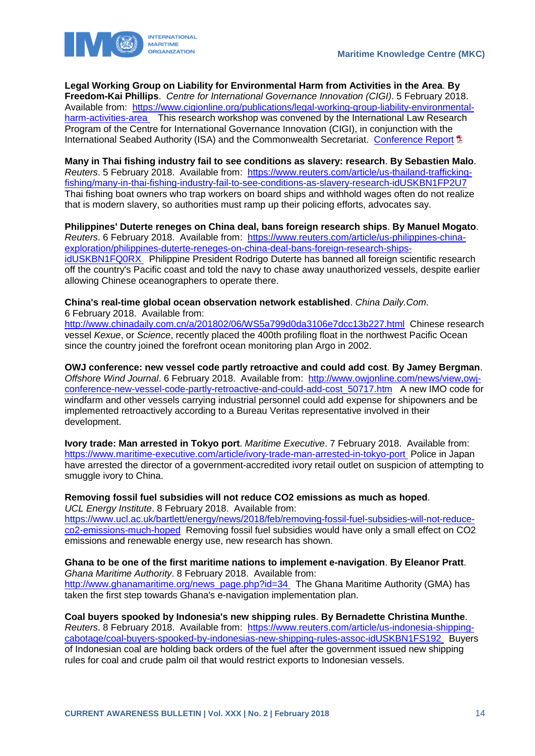

**Legal Working Group on Liability for Environmental Harm from Activities in the Area**. **By Freedom-Kai Phillips**. *Centre for International Governance Innovation (CIGI)*. 5 February 2018. Available from: [https://www.cigionline.org/publications/legal-working-group-liability-environmental](https://www.cigionline.org/publications/legal-working-group-liability-environmental-harm-activities-area)[harm-activities-area](https://www.cigionline.org/publications/legal-working-group-liability-environmental-harm-activities-area) This research workshop was convened by the International Law Research Program of the Centre for International Governance Innovation (CIGI), in conjunction with the International Seabed Authority (ISA) and the Commonwealth Secretariat. [Conference Report](https://www.cigionline.org/sites/default/files/documents/2018_London%20UK.pdf) **E** 

**Many in Thai fishing industry fail to see conditions as slavery: research**. **By Sebastien Malo**. *Reuters*. 5 February 2018. Available from: [https://www.reuters.com/article/us-thailand-trafficking](https://www.reuters.com/article/us-thailand-trafficking-fishing/many-in-thai-fishing-industry-fail-to-see-conditions-as-slavery-research-idUSKBN1FP2U7)[fishing/many-in-thai-fishing-industry-fail-to-see-conditions-as-slavery-research-idUSKBN1FP2U7](https://www.reuters.com/article/us-thailand-trafficking-fishing/many-in-thai-fishing-industry-fail-to-see-conditions-as-slavery-research-idUSKBN1FP2U7) Thai fishing boat owners who trap workers on board ships and withhold wages often do not realize that is modern slavery, so authorities must ramp up their policing efforts, advocates say.

**Philippines' Duterte reneges on China deal, bans foreign research ships**. **By Manuel Mogato**. *Reuters*. 6 February 2018. Available from: [https://www.reuters.com/article/us-philippines-china](https://www.reuters.com/article/us-philippines-china-exploration/philippines-duterte-reneges-on-china-deal-bans-foreign-research-ships-idUSKBN1FQ0RX)[exploration/philippines-duterte-reneges-on-china-deal-bans-foreign-research-ships](https://www.reuters.com/article/us-philippines-china-exploration/philippines-duterte-reneges-on-china-deal-bans-foreign-research-ships-idUSKBN1FQ0RX)[idUSKBN1FQ0RX](https://www.reuters.com/article/us-philippines-china-exploration/philippines-duterte-reneges-on-china-deal-bans-foreign-research-ships-idUSKBN1FQ0RX) Philippine President Rodrigo Duterte has banned all foreign scientific research off the country's Pacific coast and told the navy to chase away unauthorized vessels, despite earlier allowing Chinese oceanographers to operate there.

**China's real-time global ocean observation network established**. *China Daily.Com*. 6 February 2018. Available from:

<http://www.chinadaily.com.cn/a/201802/06/WS5a799d0da3106e7dcc13b227.html>Chinese research vessel *Kexue*, or *Science*, recently placed the 400th profiling float in the northwest Pacific Ocean since the country joined the forefront ocean monitoring plan Argo in 2002.

**OWJ conference: new vessel code partly retroactive and could add cost**. **By Jamey Bergman**. *Offshore Wind Journal*. 6 February 2018. Available from: [http://www.owjonline.com/news/view,owj](http://www.owjonline.com/news/view,owj-conference-new-vessel-code-partly-retroactive-and-could-add-cost_50717.htm)[conference-new-vessel-code-partly-retroactive-and-could-add-cost\\_50717.htm](http://www.owjonline.com/news/view,owj-conference-new-vessel-code-partly-retroactive-and-could-add-cost_50717.htm) A new IMO code for windfarm and other vessels carrying industrial personnel could add expense for shipowners and be implemented retroactively according to a Bureau Veritas representative involved in their development.

**Ivory trade: Man arrested in Tokyo port**. *Maritime Executive*. 7 February 2018. Available from: <https://www.maritime-executive.com/article/ivory-trade-man-arrested-in-tokyo-port> Police in Japan have arrested the director of a government-accredited ivory retail outlet on suspicion of attempting to smuggle ivory to China.

### **Removing fossil fuel subsidies will not reduce CO2 emissions as much as hoped**.

*UCL Energy Institute*. 8 February 2018. Available from:

[https://www.ucl.ac.uk/bartlett/energy/news/2018/feb/removing-fossil-fuel-subsidies-will-not-reduce](https://www.ucl.ac.uk/bartlett/energy/news/2018/feb/removing-fossil-fuel-subsidies-will-not-reduce-co2-emissions-much-hoped)[co2-emissions-much-hoped](https://www.ucl.ac.uk/bartlett/energy/news/2018/feb/removing-fossil-fuel-subsidies-will-not-reduce-co2-emissions-much-hoped) Removing fossil fuel subsidies would have only a small effect on CO2 emissions and renewable energy use, new research has shown.

#### **Ghana to be one of the first maritime nations to implement e-navigation**. **By Eleanor Pratt**. *Ghana Maritime Authority*. 8 February 2018. Available from: [http://www.ghanamaritime.org/news\\_page.php?id=34](http://www.ghanamaritime.org/news_page.php?id=34) The Ghana Maritime Authority (GMA) has

taken the first step towards Ghana's e-navigation implementation plan.

**Coal buyers spooked by Indonesia's new shipping rules**. **By Bernadette Christina Munthe**. *Reuters*. 8 February 2018. Available from: [https://www.reuters.com/article/us-indonesia-shipping](https://www.reuters.com/article/us-indonesia-shipping-cabotage/coal-buyers-spooked-by-indonesias-new-shipping-rules-assoc-idUSKBN1FS192)[cabotage/coal-buyers-spooked-by-indonesias-new-shipping-rules-assoc-idUSKBN1FS192](https://www.reuters.com/article/us-indonesia-shipping-cabotage/coal-buyers-spooked-by-indonesias-new-shipping-rules-assoc-idUSKBN1FS192) Buyers of Indonesian coal are holding back orders of the fuel after the government issued new shipping rules for coal and crude palm oil that would restrict exports to Indonesian vessels.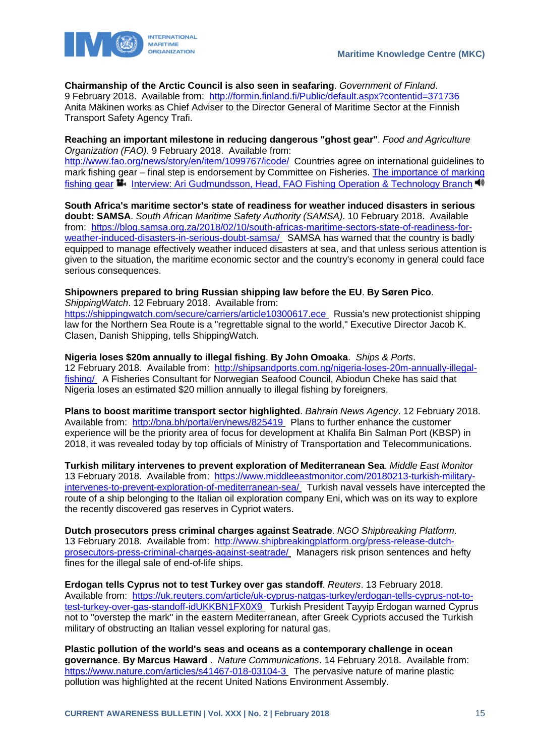



**Chairmanship of the Arctic Council is also seen in seafaring**. *Government of Finland*. 9 February 2018. Available from: <http://formin.finland.fi/Public/default.aspx?contentid=371736> Anita Mäkinen works as Chief Adviser to the Director General of Maritime Sector at the Finnish Transport Safety Agency Trafi.

#### **Reaching an important milestone in reducing dangerous "ghost gear"**. *Food and Agriculture Organization (FAO)*. 9 February 2018. Available from:

<http://www.fao.org/news/story/en/item/1099767/icode/>Countries agree on international guidelines to mark fishing gear – final step is endorsement by Committee on Fisheries. [The importance of marking](https://www.youtube.com/watch?v=ZWJtxOnUX0E)  [fishing gear](https://www.youtube.com/watch?v=ZWJtxOnUX0E) **I**nterview: Ari Gudmundsson, Head, FAO Fishing Operation & Technology Branch <sup>40</sup>

**South Africa's maritime sector's state of readiness for weather induced disasters in serious doubt: SAMSA**. *South African Maritime Safety Authority (SAMSA)*. 10 February 2018. Available from: [https://blog.samsa.org.za/2018/02/10/south-africas-maritime-sectors-state-of-readiness-for](https://blog.samsa.org.za/2018/02/10/south-africas-maritime-sectors-state-of-readiness-for-weather-induced-disasters-in-serious-doubt-samsa/)[weather-induced-disasters-in-serious-doubt-samsa/](https://blog.samsa.org.za/2018/02/10/south-africas-maritime-sectors-state-of-readiness-for-weather-induced-disasters-in-serious-doubt-samsa/) SAMSA has warned that the country is badly equipped to manage effectively weather induced disasters at sea, and that unless serious attention is given to the situation, the maritime economic sector and the country's economy in general could face serious consequences.

### **Shipowners prepared to bring Russian shipping law before the EU**. **By Søren Pico**.

*ShippingWatch*. 12 February 2018. Available from:

<https://shippingwatch.com/secure/carriers/article10300617.ece> Russia's new protectionist shipping law for the Northern Sea Route is a "regrettable signal to the world," Executive Director Jacob K. Clasen, Danish Shipping, tells ShippingWatch.

#### **Nigeria loses \$20m annually to illegal fishing**. **By John Omoaka**. *Ships & Ports*.

12 February 2018. Available from: [http://shipsandports.com.ng/nigeria-loses-20m-annually-illegal](http://shipsandports.com.ng/nigeria-loses-20m-annually-illegal-fishing/)[fishing/](http://shipsandports.com.ng/nigeria-loses-20m-annually-illegal-fishing/) A Fisheries Consultant for Norwegian Seafood Council, Abiodun Cheke has said that Nigeria loses an estimated \$20 million annually to illegal fishing by foreigners.

**Plans to boost maritime transport sector highlighted**. *Bahrain News Agency*. 12 February 2018. Available from: <http://bna.bh/portal/en/news/825419> Plans to further enhance the customer experience will be the priority area of focus for development at Khalifa Bin Salman Port (KBSP) in 2018, it was revealed today by top officials of Ministry of Transportation and Telecommunications.

**Turkish military intervenes to prevent exploration of Mediterranean Sea**. *Middle East Monitor*  13 February 2018. Available from: [https://www.middleeastmonitor.com/20180213-turkish-military](https://www.middleeastmonitor.com/20180213-turkish-military-intervenes-to-prevent-exploration-of-mediterranean-sea/)[intervenes-to-prevent-exploration-of-mediterranean-sea/](https://www.middleeastmonitor.com/20180213-turkish-military-intervenes-to-prevent-exploration-of-mediterranean-sea/) Turkish naval vessels have intercepted the route of a ship belonging to the Italian oil exploration company Eni, which was on its way to explore the recently discovered gas reserves in Cypriot waters.

**Dutch prosecutors press criminal charges against Seatrade**. *NGO Shipbreaking Platform*. 13 February 2018. Available from: [http://www.shipbreakingplatform.org/press-release-dutch](http://www.shipbreakingplatform.org/press-release-dutch-prosecutors-press-criminal-charges-against-seatrade/)[prosecutors-press-criminal-charges-against-seatrade/](http://www.shipbreakingplatform.org/press-release-dutch-prosecutors-press-criminal-charges-against-seatrade/) Managers risk prison sentences and hefty fines for the illegal sale of end-of-life ships.

**Erdogan tells Cyprus not to test Turkey over gas standoff**. *Reuters*. 13 February 2018. Available from: [https://uk.reuters.com/article/uk-cyprus-natgas-turkey/erdogan-tells-cyprus-not-to](https://uk.reuters.com/article/uk-cyprus-natgas-turkey/erdogan-tells-cyprus-not-to-test-turkey-over-gas-standoff-idUKKBN1FX0X9)[test-turkey-over-gas-standoff-idUKKBN1FX0X9](https://uk.reuters.com/article/uk-cyprus-natgas-turkey/erdogan-tells-cyprus-not-to-test-turkey-over-gas-standoff-idUKKBN1FX0X9) Turkish President Tayyip Erdogan warned Cyprus not to "overstep the mark" in the eastern Mediterranean, after Greek Cypriots accused the Turkish military of obstructing an Italian vessel exploring for natural gas.

**Plastic pollution of the world's seas and oceans as a contemporary challenge in ocean governance**. **By Marcus Haward** . *Nature Communications*. 14 February 2018. Available from: <https://www.nature.com/articles/s41467-018-03104-3> The pervasive nature of marine plastic pollution was highlighted at the recent United Nations Environment Assembly.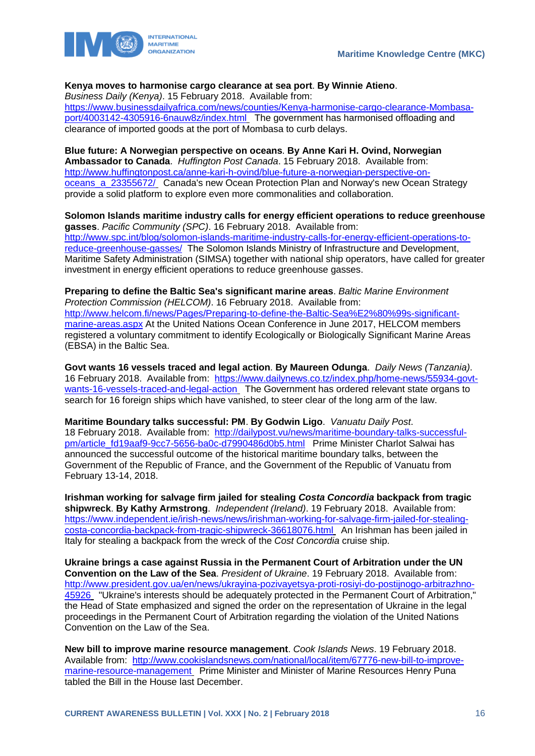### **Kenya moves to harmonise cargo clearance at sea port**. **By Winnie Atieno**.

*Business Daily (Kenya)*. 15 February 2018. Available from: [https://www.businessdailyafrica.com/news/counties/Kenya-harmonise-cargo-clearance-Mombasa](https://www.businessdailyafrica.com/news/counties/Kenya-harmonise-cargo-clearance-Mombasa-port/4003142-4305916-6nauw8z/index.html)[port/4003142-4305916-6nauw8z/index.html](https://www.businessdailyafrica.com/news/counties/Kenya-harmonise-cargo-clearance-Mombasa-port/4003142-4305916-6nauw8z/index.html) The government has harmonised offloading and clearance of imported goods at the port of Mombasa to curb delays.

**Blue future: A Norwegian perspective on oceans**. **By Anne Kari H. Ovind, Norwegian Ambassador to Canada**. *Huffington Post Canada*. 15 February 2018. Available from: [http://www.huffingtonpost.ca/anne-kari-h-ovind/blue-future-a-norwegian-perspective-on](http://www.huffingtonpost.ca/anne-kari-h-ovind/blue-future-a-norwegian-perspective-on-oceans_a_23355672/)[oceans\\_a\\_23355672/](http://www.huffingtonpost.ca/anne-kari-h-ovind/blue-future-a-norwegian-perspective-on-oceans_a_23355672/) Canada's new Ocean Protection Plan and Norway's new Ocean Strategy provide a solid platform to explore even more commonalities and collaboration.

**Solomon Islands maritime industry calls for energy efficient operations to reduce greenhouse gasses**. *Pacific Community (SPC)*. 16 February 2018. Available from: [http://www.spc.int/blog/solomon-islands-maritime-industry-calls-for-energy-efficient-operations-to](http://www.spc.int/blog/solomon-islands-maritime-industry-calls-for-energy-efficient-operations-to-reduce-greenhouse-gasses/)[reduce-greenhouse-gasses/](http://www.spc.int/blog/solomon-islands-maritime-industry-calls-for-energy-efficient-operations-to-reduce-greenhouse-gasses/) The Solomon Islands Ministry of Infrastructure and Development, Maritime Safety Administration (SIMSA) together with national ship operators, have called for greater investment in energy efficient operations to reduce greenhouse gasses.

**Preparing to define the Baltic Sea's significant marine areas**. *Baltic Marine Environment Protection Commission (HELCOM)*. 16 February 2018. Available from: [http://www.helcom.fi/news/Pages/Preparing-to-define-the-Baltic-Sea%E2%80%99s-significant](http://www.helcom.fi/news/Pages/Preparing-to-define-the-Baltic-Sea%E2%80%99s-significant-marine-areas.aspx)[marine-areas.aspx](http://www.helcom.fi/news/Pages/Preparing-to-define-the-Baltic-Sea%E2%80%99s-significant-marine-areas.aspx) At the United Nations Ocean Conference in June 2017, HELCOM members registered a voluntary commitment to identify Ecologically or Biologically Significant Marine Areas (EBSA) in the Baltic Sea.

**Govt wants 16 vessels traced and legal action**. **By Maureen Odunga**. *Daily News (Tanzania)*. 16 February 2018. Available from: [https://www.dailynews.co.tz/index.php/home-news/55934-govt](https://www.dailynews.co.tz/index.php/home-news/55934-govt-wants-16-vessels-traced-and-legal-action)[wants-16-vessels-traced-and-legal-action](https://www.dailynews.co.tz/index.php/home-news/55934-govt-wants-16-vessels-traced-and-legal-action) The Government has ordered relevant state organs to search for 16 foreign ships which have vanished, to steer clear of the long arm of the law.

**Maritime Boundary talks successful: PM**. **By Godwin Ligo**. *Vanuatu Daily Post*. 18 February 2018. Available from: [http://dailypost.vu/news/maritime-boundary-talks-successful](http://dailypost.vu/news/maritime-boundary-talks-successful-pm/article_fd19aaf9-9cc7-5656-ba0c-d7990486d0b5.html)[pm/article\\_fd19aaf9-9cc7-5656-ba0c-d7990486d0b5.html](http://dailypost.vu/news/maritime-boundary-talks-successful-pm/article_fd19aaf9-9cc7-5656-ba0c-d7990486d0b5.html) Prime Minister Charlot Salwai has announced the successful outcome of the historical maritime boundary talks, between the Government of the Republic of France, and the Government of the Republic of Vanuatu from February 13-14, 2018.

**Irishman working for salvage firm jailed for stealing** *Costa Concordia* **backpack from tragic shipwreck**. **By Kathy Armstrong**. *Independent (Ireland)*. 19 February 2018. Available from: [https://www.independent.ie/irish-news/news/irishman-working-for-salvage-firm-jailed-for-stealing](https://www.independent.ie/irish-news/news/irishman-working-for-salvage-firm-jailed-for-stealing-costa-concordia-backpack-from-tragic-shipwreck-36618076.html)[costa-concordia-backpack-from-tragic-shipwreck-36618076.html](https://www.independent.ie/irish-news/news/irishman-working-for-salvage-firm-jailed-for-stealing-costa-concordia-backpack-from-tragic-shipwreck-36618076.html) An Irishman has been jailed in Italy for stealing a backpack from the wreck of the *Cost Concordia* cruise ship.

**Ukraine brings a case against Russia in the Permanent Court of Arbitration under the UN Convention on the Law of the Sea**. *President of Ukraine*. 19 February 2018. Available from: [http://www.president.gov.ua/en/news/ukrayina-pozivayetsya-proti-rosiyi-do-postijnogo-arbitrazhno-](http://www.president.gov.ua/en/news/ukrayina-pozivayetsya-proti-rosiyi-do-postijnogo-arbitrazhno-45926)[45926](http://www.president.gov.ua/en/news/ukrayina-pozivayetsya-proti-rosiyi-do-postijnogo-arbitrazhno-45926) "Ukraine's interests should be adequately protected in the Permanent Court of Arbitration," the Head of State emphasized and signed the order on the representation of Ukraine in the legal proceedings in the Permanent Court of Arbitration regarding the violation of the United Nations Convention on the Law of the Sea.

**New bill to improve marine resource management**. *Cook Islands News*. 19 February 2018. Available from: [http://www.cookislandsnews.com/national/local/item/67776-new-bill-to-improve](http://www.cookislandsnews.com/national/local/item/67776-new-bill-to-improve-marine-resource-management)[marine-resource-management](http://www.cookislandsnews.com/national/local/item/67776-new-bill-to-improve-marine-resource-management) Prime Minister and Minister of Marine Resources Henry Puna tabled the Bill in the House last December.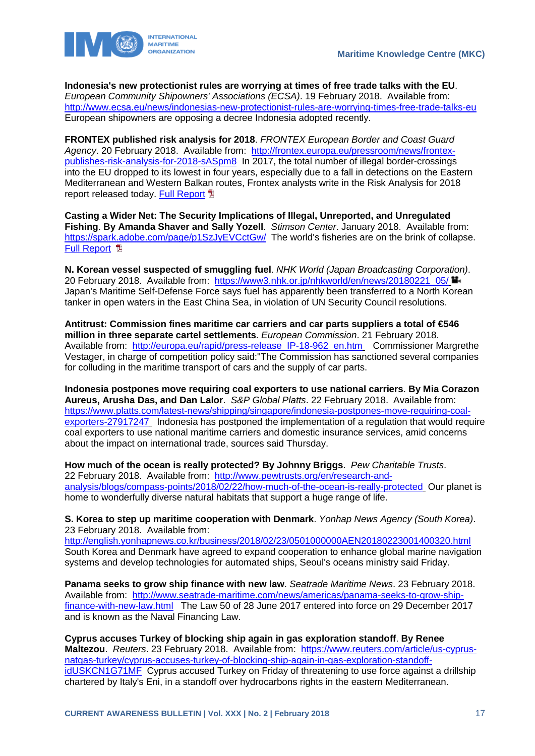



**Indonesia's new protectionist rules are worrying at times of free trade talks with the EU**. *European Community Shipowners' Associations (ECSA)*. 19 February 2018. Available from: <http://www.ecsa.eu/news/indonesias-new-protectionist-rules-are-worrying-times-free-trade-talks-eu> European shipowners are opposing a decree Indonesia adopted recently.

**FRONTEX published risk analysis for 2018**. *FRONTEX European Border and Coast Guard Agency*. 20 February 2018. Available from: [http://frontex.europa.eu/pressroom/news/frontex](http://frontex.europa.eu/pressroom/news/frontex-publishes-risk-analysis-for-2018-sASpm8)[publishes-risk-analysis-for-2018-sASpm8](http://frontex.europa.eu/pressroom/news/frontex-publishes-risk-analysis-for-2018-sASpm8) In 2017, the total number of illegal border-crossings into the EU dropped to its lowest in four years, especially due to a fall in detections on the Eastern Mediterranean and Western Balkan routes, Frontex analysts write in the Risk Analysis for 2018 report released today. Full [Report](http://frontex.europa.eu/assets/Publications/Risk_Analysis/Risk_Analysis_for_2018.pdf) **闻** 

**Casting a Wider Net: The Security Implications of Illegal, Unreported, and Unregulated Fishing**. **By Amanda Shaver and Sally Yozell**. *Stimson Center*. January 2018. Available from: <https://spark.adobe.com/page/p1SzJyEVCctGw/>The world's fisheries are on the brink of collapse. **Full Report 图** 

**N. Korean vessel suspected of smuggling fuel**. *NHK World (Japan Broadcasting Corporation)*. 20 February 2018. Available from: [https://www3.nhk.or.jp/nhkworld/en/news/20180221\\_05/](https://www3.nhk.or.jp/nhkworld/en/news/20180221_05/) Japan's Maritime Self-Defense Force says fuel has apparently been transferred to a North Korean tanker in open waters in the East China Sea, in violation of UN Security Council resolutions.

**Antitrust: Commission fines maritime car carriers and car parts suppliers a total of €546 million in three separate cartel settlements**. *European Commission*. 21 February 2018. Available from: [http://europa.eu/rapid/press-release\\_IP-18-962\\_en.htm](http://europa.eu/rapid/press-release_IP-18-962_en.htm) Commissioner Margrethe Vestager, in charge of competition policy said:"The Commission has sanctioned several companies for colluding in the maritime transport of cars and the supply of car parts.

**Indonesia postpones move requiring coal exporters to use national carriers**. **By Mia Corazon Aureus, Arusha Das, and Dan Lalor**. *S&P Global Platts*. 22 February 2018. Available from: [https://www.platts.com/latest-news/shipping/singapore/indonesia-postpones-move-requiring-coal](https://www.platts.com/latest-news/shipping/singapore/indonesia-postpones-move-requiring-coal-exporters-27917247)[exporters-27917247](https://www.platts.com/latest-news/shipping/singapore/indonesia-postpones-move-requiring-coal-exporters-27917247) Indonesia has postponed the implementation of a regulation that would require coal exporters to use national maritime carriers and domestic insurance services, amid concerns about the impact on international trade, sources said Thursday.

**How much of the ocean is really protected? By Johnny Briggs**. *Pew Charitable Trusts*. 22 February 2018. Available from: [http://www.pewtrusts.org/en/research-and](http://www.pewtrusts.org/en/research-and-analysis/blogs/compass-points/2018/02/22/how-much-of-the-ocean-is-really-protected)[analysis/blogs/compass-points/2018/02/22/how-much-of-the-ocean-is-really-protected](http://www.pewtrusts.org/en/research-and-analysis/blogs/compass-points/2018/02/22/how-much-of-the-ocean-is-really-protected) Our planet is home to wonderfully diverse natural habitats that support a huge range of life.

**S. Korea to step up maritime cooperation with Denmark**. *Yonhap News Agency (South Korea)*. 23 February 2018. Available from:

<http://english.yonhapnews.co.kr/business/2018/02/23/0501000000AEN20180223001400320.html> South Korea and Denmark have agreed to expand cooperation to enhance global marine navigation systems and develop technologies for automated ships, Seoul's oceans ministry said Friday.

**Panama seeks to grow ship finance with new law**. *Seatrade Maritime News*. 23 February 2018. Available from: [http://www.seatrade-maritime.com/news/americas/panama-seeks-to-grow-ship](http://www.seatrade-maritime.com/news/americas/panama-seeks-to-grow-ship-finance-with-new-law.htm)[finance-with-new-law.html](http://www.seatrade-maritime.com/news/americas/panama-seeks-to-grow-ship-finance-with-new-law.htm) The Law 50 of 28 June 2017 entered into force on 29 December 2017 and is known as the Naval Financing Law.

**Cyprus accuses Turkey of blocking ship again in gas exploration standoff**. **By Renee Maltezou**. *Reuters*. 23 February 2018. Available from: [https://www.reuters.com/article/us-cyprus](https://www.reuters.com/article/us-cyprus-natgas-turkey/cyprus-accuses-turkey-of-blocking-ship-again-in-gas-exploration-standoff-idUSKCN1G71MF)[natgas-turkey/cyprus-accuses-turkey-of-blocking-ship-again-in-gas-exploration-standoff](https://www.reuters.com/article/us-cyprus-natgas-turkey/cyprus-accuses-turkey-of-blocking-ship-again-in-gas-exploration-standoff-idUSKCN1G71MF)[idUSKCN1G71MF](https://www.reuters.com/article/us-cyprus-natgas-turkey/cyprus-accuses-turkey-of-blocking-ship-again-in-gas-exploration-standoff-idUSKCN1G71MF) Cyprus accused Turkey on Friday of threatening to use force against a drillship chartered by Italy's Eni, in a standoff over hydrocarbons rights in the eastern Mediterranean.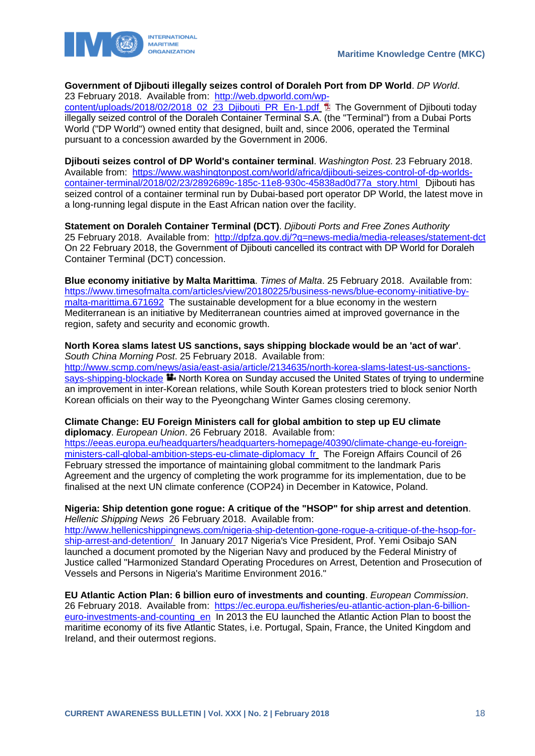



### **Government of Djibouti illegally seizes control of Doraleh Port from DP World**. *DP World*.

23 February 2018. Available from: [http://web.dpworld.com/wp-](http://web.dpworld.com/wp-content/uploads/2018/02/2018_02_23_Djibouti_PR_En-1.pdf)

[content/uploads/2018/02/2018\\_02\\_23\\_Djibouti\\_PR\\_En-1.pdf](http://web.dpworld.com/wp-content/uploads/2018/02/2018_02_23_Djibouti_PR_En-1.pdf) **Ta** The Government of Djibouti today illegally seized control of the Doraleh Container Terminal S.A. (the "Terminal") from a Dubai Ports World ("DP World") owned entity that designed, built and, since 2006, operated the Terminal pursuant to a concession awarded by the Government in 2006.

**Djibouti seizes control of DP World's container terminal**. *Washington Post*. 23 February 2018. Available from: [https://www.washingtonpost.com/world/africa/djibouti-seizes-control-of-dp-worlds](https://www.washingtonpost.com/world/africa/djibouti-seizes-control-of-dp-worlds-container-terminal/2018/02/23/2892689c-185c-11e8-930c-45838ad0d77a_story.html)[container-terminal/2018/02/23/2892689c-185c-11e8-930c-45838ad0d77a\\_story.html](https://www.washingtonpost.com/world/africa/djibouti-seizes-control-of-dp-worlds-container-terminal/2018/02/23/2892689c-185c-11e8-930c-45838ad0d77a_story.html) Djibouti has seized control of a container terminal run by Dubai-based port operator DP World, the latest move in a long-running legal dispute in the East African nation over the facility.

**Statement on Doraleh Container Terminal (DCT)**. *Djibouti Ports and Free Zones Authority*  25 February 2018. Available from: <http://dpfza.gov.dj/?q=news-media/media-releases/statement-dct> On 22 February 2018, the Government of Djibouti cancelled its contract with DP World for Doraleh Container Terminal (DCT) concession.

**Blue economy initiative by Malta Marittima**. *Times of Malta*. 25 February 2018. Available from: [https://www.timesofmalta.com/articles/view/20180225/business-news/blue-economy-initiative-by](https://www.timesofmalta.com/articles/view/20180225/business-news/blue-economy-initiative-by-malta-marittima.671692)[malta-marittima.671692](https://www.timesofmalta.com/articles/view/20180225/business-news/blue-economy-initiative-by-malta-marittima.671692) The sustainable development for a blue economy in the western Mediterranean is an initiative by Mediterranean countries aimed at improved governance in the region, safety and security and economic growth.

### **North Korea slams latest US sanctions, says shipping blockade would be an 'act of war'**. *South China Morning Post*. 25 February 2018. Available from:

[http://www.scmp.com/news/asia/east-asia/article/2134635/north-korea-slams-latest-us-sanctions](http://www.scmp.com/news/asia/east-asia/article/2134635/north-korea-slams-latest-us-sanctions-says-shipping-blockade)[says-shipping-blockade](http://www.scmp.com/news/asia/east-asia/article/2134635/north-korea-slams-latest-us-sanctions-says-shipping-blockade)  $\blacksquare$  North Korea on Sunday accused the United States of trying to undermine an improvement in inter-Korean relations, while South Korean protesters tried to block senior North Korean officials on their way to the Pyeongchang Winter Games closing ceremony.

### **Climate Change: EU Foreign Ministers call for global ambition to step up EU climate diplomacy**. *European Union*. 26 February 2018. Available from:

[https://eeas.europa.eu/headquarters/headquarters-homepage/40390/climate-change-eu-foreign](https://eeas.europa.eu/headquarters/headquarters-homepage/40390/climate-change-eu-foreign-ministers-call-global-ambition-steps-eu-climate-diplomacy_fr)[ministers-call-global-ambition-steps-eu-climate-diplomacy\\_fr](https://eeas.europa.eu/headquarters/headquarters-homepage/40390/climate-change-eu-foreign-ministers-call-global-ambition-steps-eu-climate-diplomacy_fr) The Foreign Affairs Council of 26 February stressed the importance of maintaining global commitment to the landmark Paris Agreement and the urgency of completing the work programme for its implementation, due to be finalised at the next UN climate conference (COP24) in December in Katowice, Poland.

### **Nigeria: Ship detention gone rogue: A critique of the "HSOP" for ship arrest and detention**. *Hellenic Shipping News* 26 February 2018. Available from:

[http://www.hellenicshippingnews.com/nigeria-ship-detention-gone-rogue-a-critique-of-the-hsop-for](http://www.hellenicshippingnews.com/nigeria-ship-detention-gone-rogue-a-critique-of-the-hsop-for-ship-arrest-and-detention/)[ship-arrest-and-detention/](http://www.hellenicshippingnews.com/nigeria-ship-detention-gone-rogue-a-critique-of-the-hsop-for-ship-arrest-and-detention/) In January 2017 Nigeria's Vice President, Prof. Yemi Osibajo SAN launched a document promoted by the Nigerian Navy and produced by the Federal Ministry of Justice called "Harmonized Standard Operating Procedures on Arrest, Detention and Prosecution of Vessels and Persons in Nigeria's Maritime Environment 2016."

**EU Atlantic Action Plan: 6 billion euro of investments and counting**. *European Commission*. 26 February 2018. Available from: [https://ec.europa.eu/fisheries/eu-atlantic-action-plan-6-billion](https://ec.europa.eu/fisheries/eu-atlantic-action-plan-6-billion-euro-investments-and-counting_en)[euro-investments-and-counting\\_en](https://ec.europa.eu/fisheries/eu-atlantic-action-plan-6-billion-euro-investments-and-counting_en) In 2013 the EU launched the Atlantic Action Plan to boost the maritime economy of its five Atlantic States, i.e. Portugal, Spain, France, the United Kingdom and Ireland, and their outermost regions.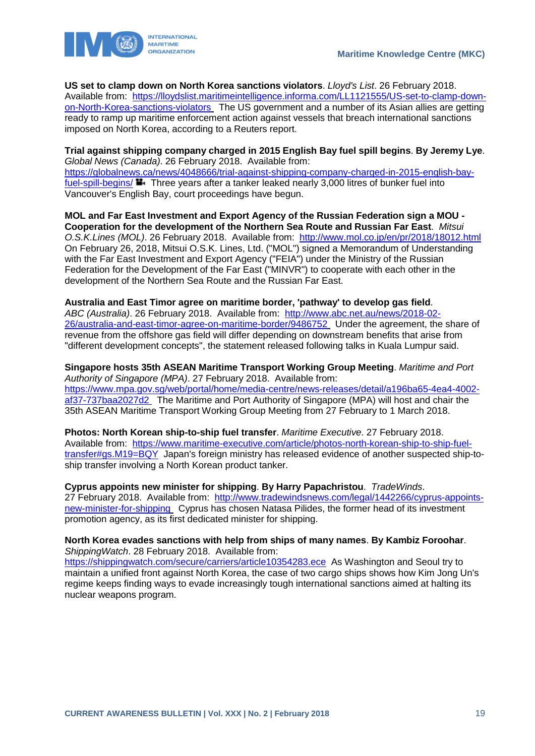

**US set to clamp down on North Korea sanctions violators**. *Lloyd's List*. 26 February 2018.

Available from: [https://lloydslist.maritimeintelligence.informa.com/LL1121555/US-set-to-clamp-down](https://lloydslist.maritimeintelligence.informa.com/LL1121555/US-set-to-clamp-down-on-North-Korea-sanctions-violators)[on-North-Korea-sanctions-violators](https://lloydslist.maritimeintelligence.informa.com/LL1121555/US-set-to-clamp-down-on-North-Korea-sanctions-violators) The US government and a number of its Asian allies are getting ready to ramp up maritime enforcement action against vessels that breach international sanctions imposed on North Korea, according to a Reuters report.

**Trial against shipping company charged in 2015 English Bay fuel spill begins**. **By Jeremy Lye**. *Global News (Canada)*. 26 February 2018. Available from: [https://globalnews.ca/news/4048666/trial-against-shipping-company-charged-in-2015-english-bay](https://globalnews.ca/news/4048666/trial-against-shipping-company-charged-in-2015-english-bay-fuel-spill-begins/)[fuel-spill-begins/](https://globalnews.ca/news/4048666/trial-against-shipping-company-charged-in-2015-english-bay-fuel-spill-begins/)  $\blacksquare$ . Three years after a tanker leaked nearly 3,000 litres of bunker fuel into Vancouver's English Bay, court proceedings have begun.

**MOL and Far East Investment and Export Agency of the Russian Federation sign a MOU - Cooperation for the development of the Northern Sea Route and Russian Far East**. *Mitsui O.S.K.Lines (MOL)*. 26 February 2018. Available from: <http://www.mol.co.jp/en/pr/2018/18012.html> On February 26, 2018, Mitsui O.S.K. Lines, Ltd. ("MOL") signed a Memorandum of Understanding with the Far East Investment and Export Agency ("FEIA") under the Ministry of the Russian Federation for the Development of the Far East ("MINVR") to cooperate with each other in the development of the Northern Sea Route and the Russian Far East.

**Australia and East Timor agree on maritime border, 'pathway' to develop gas field**. *ABC (Australia)*. 26 February 2018. Available from: [http://www.abc.net.au/news/2018-02-](http://www.abc.net.au/news/2018-02-26/australia-and-east-timor-agree-on-maritime-border/9486752) [26/australia-and-east-timor-agree-on-maritime-border/9486752](http://www.abc.net.au/news/2018-02-26/australia-and-east-timor-agree-on-maritime-border/9486752) Under the agreement, the share of revenue from the offshore gas field will differ depending on downstream benefits that arise from "different development concepts", the statement released following talks in Kuala Lumpur said.

**Singapore hosts 35th ASEAN Maritime Transport Working Group Meeting**. *Maritime and Port Authority of Singapore (MPA)*. 27 February 2018. Available from: [https://www.mpa.gov.sg/web/portal/home/media-centre/news-releases/detail/a196ba65-4ea4-4002](https://www.mpa.gov.sg/web/portal/home/media-centre/news-releases/detail/a196ba65-4ea4-4002-af37-737baa2027d2) [af37-737baa2027d2](https://www.mpa.gov.sg/web/portal/home/media-centre/news-releases/detail/a196ba65-4ea4-4002-af37-737baa2027d2) The Maritime and Port Authority of Singapore (MPA) will host and chair the 35th ASEAN Maritime Transport Working Group Meeting from 27 February to 1 March 2018.

**Photos: North Korean ship-to-ship fuel transfer**. *Maritime Executive*. 27 February 2018. Available from: [https://www.maritime-executive.com/article/photos-north-korean-ship-to-ship-fuel](https://www.maritime-executive.com/article/photos-north-korean-ship-to-ship-fuel-transfer#gs.M19=BQY)[transfer#gs.M19=BQY](https://www.maritime-executive.com/article/photos-north-korean-ship-to-ship-fuel-transfer#gs.M19=BQY) Japan's foreign ministry has released evidence of another suspected ship-toship transfer involving a North Korean product tanker.

**Cyprus appoints new minister for shipping**. **By Harry Papachristou**. *TradeWinds*. 27 February 2018. Available from: [http://www.tradewindsnews.com/legal/1442266/cyprus-appoints](http://www.tradewindsnews.com/legal/1442266/cyprus-appoints-new-minister-for-shipping)[new-minister-for-shipping](http://www.tradewindsnews.com/legal/1442266/cyprus-appoints-new-minister-for-shipping) Cyprus has chosen Natasa Pilides, the former head of its investment promotion agency, as its first dedicated minister for shipping.

**North Korea evades sanctions with help from ships of many names**. **By Kambiz Foroohar**. *ShippingWatch*. 28 February 2018. Available from:

<https://shippingwatch.com/secure/carriers/article10354283.ece>As Washington and Seoul try to maintain a unified front against North Korea, the case of two cargo ships shows how Kim Jong Un's regime keeps finding ways to evade increasingly tough international sanctions aimed at halting its nuclear weapons program.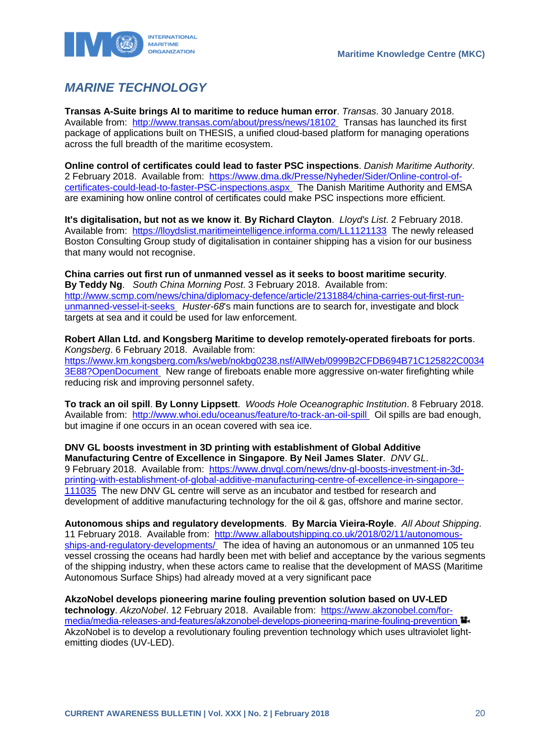

# <span id="page-20-0"></span>*MARINE TECHNOLOGY*

**Transas A-Suite brings AI to maritime to reduce human error**. *Transas*. 30 January 2018. Available from: <http://www.transas.com/about/press/news/18102> Transas has launched its first package of applications built on THESIS, a unified cloud-based platform for managing operations across the full breadth of the maritime ecosystem.

**Online control of certificates could lead to faster PSC inspections**. *Danish Maritime Authority*. 2 February 2018. Available from: [https://www.dma.dk/Presse/Nyheder/Sider/Online-control-of](https://www.dma.dk/Presse/Nyheder/Sider/Online-control-of-certificates-could-lead-to-faster-PSC-inspections.aspx)[certificates-could-lead-to-faster-PSC-inspections.aspx](https://www.dma.dk/Presse/Nyheder/Sider/Online-control-of-certificates-could-lead-to-faster-PSC-inspections.aspx) The Danish Maritime Authority and EMSA are examining how online control of certificates could make PSC inspections more efficient.

**It's digitalisation, but not as we know it**. **By Richard Clayton**. *Lloyd's List*. 2 February 2018. Available from: <https://lloydslist.maritimeintelligence.informa.com/LL1121133>The newly released Boston Consulting Group study of digitalisation in container shipping has a vision for our business that many would not recognise.

**China carries out first run of unmanned vessel as it seeks to boost maritime security**. **By Teddy Ng**. *South China Morning Post*. 3 February 2018. Available from: [http://www.scmp.com/news/china/diplomacy-defence/article/2131884/china-carries-out-first-run](http://www.scmp.com/news/china/diplomacy-defence/article/2131884/china-carries-out-first-run-unmanned-vessel-it-seeks)[unmanned-vessel-it-seeks](http://www.scmp.com/news/china/diplomacy-defence/article/2131884/china-carries-out-first-run-unmanned-vessel-it-seeks) *Huster-68*'s main functions are to search for, investigate and block targets at sea and it could be used for law enforcement.

**Robert Allan Ltd. and Kongsberg Maritime to develop remotely-operated fireboats for ports**. *Kongsberg*. 6 February 2018. Available from: [https://www.km.kongsberg.com/ks/web/nokbg0238.nsf/AllWeb/0999B2CFDB694B71C125822C0034](https://www.km.kongsberg.com/ks/web/nokbg0238.nsf/AllWeb/0999B2CFDB694B71C125822C00343E88?OpenDocument) [3E88?OpenDocument](https://www.km.kongsberg.com/ks/web/nokbg0238.nsf/AllWeb/0999B2CFDB694B71C125822C00343E88?OpenDocument) New range of fireboats enable more aggressive on-water firefighting while reducing risk and improving personnel safety.

**To track an oil spill**. **By Lonny Lippsett**. *Woods Hole Oceanographic Institution*. 8 February 2018. Available from: <http://www.whoi.edu/oceanus/feature/to-track-an-oil-spill> Oil spills are bad enough, but imagine if one occurs in an ocean covered with sea ice.

**DNV GL boosts investment in 3D printing with establishment of Global Additive Manufacturing Centre of Excellence in Singapore**. **By Neil James Slater**. *DNV GL*. 9 February 2018. Available from: [https://www.dnvgl.com/news/dnv-gl-boosts-investment-in-3d](https://www.dnvgl.com/news/dnv-gl-boosts-investment-in-3d-printing-with-establishment-of-global-additive-manufacturing-centre-of-excellence-in-singapore--111035)[printing-with-establishment-of-global-additive-manufacturing-centre-of-excellence-in-singapore--](https://www.dnvgl.com/news/dnv-gl-boosts-investment-in-3d-printing-with-establishment-of-global-additive-manufacturing-centre-of-excellence-in-singapore--111035) [111035](https://www.dnvgl.com/news/dnv-gl-boosts-investment-in-3d-printing-with-establishment-of-global-additive-manufacturing-centre-of-excellence-in-singapore--111035) The new DNV GL centre will serve as an incubator and testbed for research and development of additive manufacturing technology for the oil & gas, offshore and marine sector.

**Autonomous ships and regulatory developments**. **By Marcia Vieira-Royle**. *All About Shipping*. 11 February 2018. Available from: [http://www.allaboutshipping.co.uk/2018/02/11/autonomous](http://www.allaboutshipping.co.uk/2018/02/11/autonomous-ships-and-regulatory-developments/)[ships-and-regulatory-developments/](http://www.allaboutshipping.co.uk/2018/02/11/autonomous-ships-and-regulatory-developments/) The idea of having an autonomous or an unmanned 105 teu vessel crossing the oceans had hardly been met with belief and acceptance by the various segments of the shipping industry, when these actors came to realise that the development of MASS (Maritime Autonomous Surface Ships) had already moved at a very significant pace

**AkzoNobel develops pioneering marine fouling prevention solution based on UV-LED technology**. *AkzoNobel*. 12 February 2018. Available from: [https://www.akzonobel.com/for](https://www.akzonobel.com/for-media/media-releases-and-features/akzonobel-develops-pioneering-marine-fouling-prevention)[media/media-releases-and-features/akzonobel-develops-pioneering-marine-fouling-prevention](https://www.akzonobel.com/for-media/media-releases-and-features/akzonobel-develops-pioneering-marine-fouling-prevention) AkzoNobel is to develop a revolutionary fouling prevention technology which uses ultraviolet lightemitting diodes (UV-LED).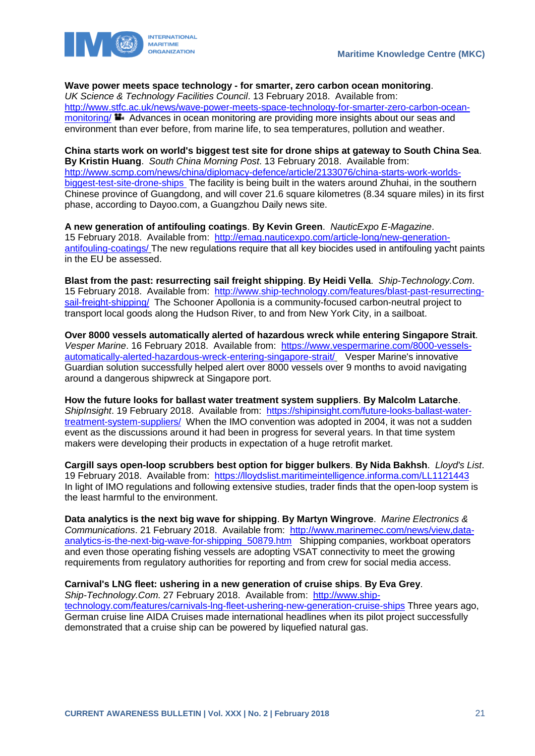

**Wave power meets space technology - for smarter, zero carbon ocean monitoring**.

*UK Science & Technology Facilities Council*. 13 February 2018. Available from: [http://www.stfc.ac.uk/news/wave-power-meets-space-technology-for-smarter-zero-carbon-ocean](http://www.stfc.ac.uk/news/wave-power-meets-space-technology-for-smarter-zero-carbon-ocean-monitoring/)[monitoring/](http://www.stfc.ac.uk/news/wave-power-meets-space-technology-for-smarter-zero-carbon-ocean-monitoring/)  $\blacksquare$ . Advances in ocean monitoring are providing more insights about our seas and environment than ever before, from marine life, to sea temperatures, pollution and weather.

**China starts work on world's biggest test site for drone ships at gateway to South China Sea**. **By Kristin Huang**. *South China Morning Post*. 13 February 2018. Available from: [http://www.scmp.com/news/china/diplomacy-defence/article/2133076/china-starts-work-worlds](http://www.scmp.com/news/china/diplomacy-defence/article/2133076/china-starts-work-worlds-biggest-test-site-drone-ships)[biggest-test-site-drone-ships](http://www.scmp.com/news/china/diplomacy-defence/article/2133076/china-starts-work-worlds-biggest-test-site-drone-ships) The facility is being built in the waters around Zhuhai, in the southern Chinese province of Guangdong, and will cover 21.6 square kilometres (8.34 square miles) in its first phase, according to Dayoo.com, a Guangzhou Daily news site.

**A new generation of antifouling coatings**. **By Kevin Green**. *NauticExpo E-Magazine*. 15 February 2018. Available from: [http://emag.nauticexpo.com/article-long/new-generation](http://emag.nauticexpo.com/article-long/new-generation-antifouling-coatings/)[antifouling-coatings/](http://emag.nauticexpo.com/article-long/new-generation-antifouling-coatings/) The new regulations require that all key biocides used in antifouling yacht paints in the EU be assessed.

**Blast from the past: resurrecting sail freight shipping**. **By Heidi Vella**. *Ship-Technology.Com*. 15 February 2018. Available from: [http://www.ship-technology.com/features/blast-past-resurrecting](http://www.ship-technology.com/features/blast-past-resurrecting-sail-freight-shipping/)[sail-freight-shipping/](http://www.ship-technology.com/features/blast-past-resurrecting-sail-freight-shipping/) The Schooner Apollonia is a community-focused carbon-neutral project to transport local goods along the Hudson River, to and from New York City, in a sailboat.

**Over 8000 vessels automatically alerted of hazardous wreck while entering Singapore Strait**. *Vesper Marine*. 16 February 2018. Available from: [https://www.vespermarine.com/8000-vessels](https://www.vespermarine.com/8000-vessels-automatically-alerted-hazardous-wreck-entering-singapore-strait/)[automatically-alerted-hazardous-wreck-entering-singapore-strait/](https://www.vespermarine.com/8000-vessels-automatically-alerted-hazardous-wreck-entering-singapore-strait/) Vesper Marine's innovative Guardian solution successfully helped alert over 8000 vessels over 9 months to avoid navigating around a dangerous shipwreck at Singapore port.

**How the future looks for ballast water treatment system suppliers**. **By Malcolm Latarche**. *ShipInsight*. 19 February 2018. Available from: [https://shipinsight.com/future-looks-ballast-water](https://shipinsight.com/future-looks-ballast-water-treatment-system-suppliers/)[treatment-system-suppliers/](https://shipinsight.com/future-looks-ballast-water-treatment-system-suppliers/) When the IMO convention was adopted in 2004, it was not a sudden event as the discussions around it had been in progress for several years. In that time system makers were developing their products in expectation of a huge retrofit market.

**Cargill says open-loop scrubbers best option for bigger bulkers**. **By Nida Bakhsh**. *Lloyd's List*. 19 February 2018. Available from: <https://lloydslist.maritimeintelligence.informa.com/LL1121443> In light of IMO regulations and following extensive studies, trader finds that the open-loop system is the least harmful to the environment.

**Data analytics is the next big wave for shipping**. **By Martyn Wingrove**. *Marine Electronics & Communications*. 21 February 2018. Available from: [http://www.marinemec.com/news/view,data](http://www.marinemec.com/news/view,data-analytics-is-the-next-big-wave-for-shipping_50879.htm)analytics-is-the-next-big-wave-for-shipping 50879.htm Shipping companies, workboat operators and even those operating fishing vessels are adopting VSAT connectivity to meet the growing requirements from regulatory authorities for reporting and from crew for social media access.

### **Carnival's LNG fleet: ushering in a new generation of cruise ships**. **By Eva Grey**.

*Ship-Technology.Com*. 27 February 2018. Available from: [http://www.ship](http://www.ship-technology.com/features/carnivals-lng-fleet-ushering-new-generation-cruise-ships)[technology.com/features/carnivals-lng-fleet-ushering-new-generation-cruise-ships](http://www.ship-technology.com/features/carnivals-lng-fleet-ushering-new-generation-cruise-ships) Three years ago, German cruise line AIDA Cruises made international headlines when its pilot project successfully demonstrated that a cruise ship can be powered by liquefied natural gas.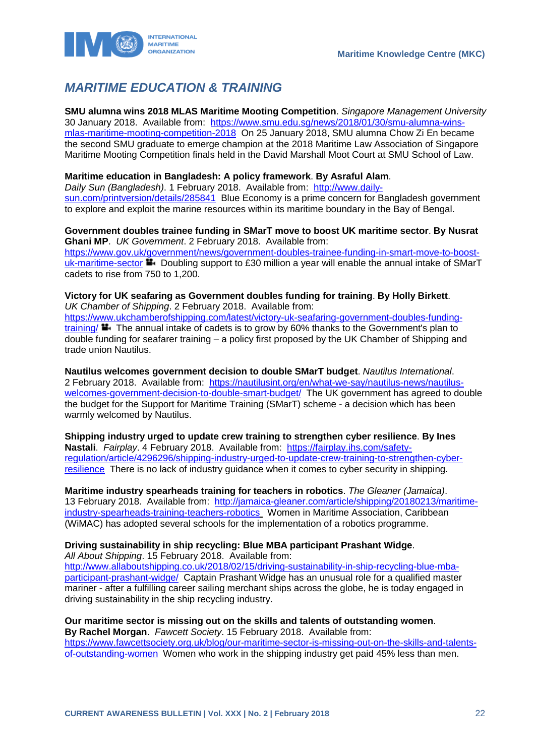

# <span id="page-22-0"></span>*MARITIME EDUCATION & TRAINING*

**SMU alumna wins 2018 MLAS Maritime Mooting Competition**. *Singapore Management University*  30 January 2018. Available from: [https://www.smu.edu.sg/news/2018/01/30/smu-alumna-wins](https://www.smu.edu.sg/news/2018/01/30/smu-alumna-wins-mlas-maritime-mooting-competition-2018)[mlas-maritime-mooting-competition-2018](https://www.smu.edu.sg/news/2018/01/30/smu-alumna-wins-mlas-maritime-mooting-competition-2018) On 25 January 2018, SMU alumna Chow Zi En became the second SMU graduate to emerge champion at the 2018 Maritime Law Association of Singapore Maritime Mooting Competition finals held in the David Marshall Moot Court at SMU School of Law.

#### **Maritime education in Bangladesh: A policy framework**. **By Asraful Alam**.

*Daily Sun (Bangladesh)*. 1 February 2018. Available from: [http://www.daily](http://www.daily-sun.com/printversion/details/285841)[sun.com/printversion/details/285841](http://www.daily-sun.com/printversion/details/285841) Blue Economy is a prime concern for Bangladesh government to explore and exploit the marine resources within its maritime boundary in the Bay of Bengal.

#### **Government doubles trainee funding in SMarT move to boost UK maritime sector**. **By Nusrat Ghani MP**. *UK Government*. 2 February 2018. Available from:

[https://www.gov.uk/government/news/government-doubles-trainee-funding-in-smart-move-to-boost](https://www.gov.uk/government/news/government-doubles-trainee-funding-in-smart-move-to-boost-uk-maritime-sector)[uk-maritime-sector](https://www.gov.uk/government/news/government-doubles-trainee-funding-in-smart-move-to-boost-uk-maritime-sector) **D** Doubling support to £30 million a year will enable the annual intake of SMarT cadets to rise from 750 to 1,200.

#### **Victory for UK seafaring as Government doubles funding for training**. **By Holly Birkett**. *UK Chamber of Shipping*. 2 February 2018. Available from:

[https://www.ukchamberofshipping.com/latest/victory-uk-seafaring-government-doubles-funding](https://www.ukchamberofshipping.com/latest/victory-uk-seafaring-government-doubles-funding-training/)[training/](https://www.ukchamberofshipping.com/latest/victory-uk-seafaring-government-doubles-funding-training/) The annual intake of cadets is to grow by 60% thanks to the Government's plan to double funding for seafarer training – a policy first proposed by the UK Chamber of Shipping and trade union Nautilus.

**Nautilus welcomes government decision to double SMarT budget**. *Nautilus International*. 2 February 2018. Available from: [https://nautilusint.org/en/what-we-say/nautilus-news/nautilus](https://nautilusint.org/en/what-we-say/nautilus-news/nautilus-welcomes-government-decision-to-double-smart-budget/)[welcomes-government-decision-to-double-smart-budget/](https://nautilusint.org/en/what-we-say/nautilus-news/nautilus-welcomes-government-decision-to-double-smart-budget/) The UK government has agreed to double the budget for the Support for Maritime Training (SMarT) scheme - a decision which has been warmly welcomed by Nautilus.

**Shipping industry urged to update crew training to strengthen cyber resilience**. **By Ines Nastali**. *Fairplay*. 4 February 2018. Available from: [https://fairplay.ihs.com/safety](https://fairplay.ihs.com/safety-regulation/article/4296296/shipping-industry-urged-to-update-crew-training-to-strengthen-cyber-resilience)[regulation/article/4296296/shipping-industry-urged-to-update-crew-training-to-strengthen-cyber](https://fairplay.ihs.com/safety-regulation/article/4296296/shipping-industry-urged-to-update-crew-training-to-strengthen-cyber-resilience)[resilience](https://fairplay.ihs.com/safety-regulation/article/4296296/shipping-industry-urged-to-update-crew-training-to-strengthen-cyber-resilience) There is no lack of industry guidance when it comes to cyber security in shipping.

**Maritime industry spearheads training for teachers in robotics**. *The Gleaner (Jamaica)*. 13 February 2018. Available from: [http://jamaica-gleaner.com/article/shipping/20180213/maritime](http://jamaica-gleaner.com/article/shipping/20180213/maritime-industry-spearheads-training-teachers-robotics)[industry-spearheads-training-teachers-robotics](http://jamaica-gleaner.com/article/shipping/20180213/maritime-industry-spearheads-training-teachers-robotics) Women in Maritime Association, Caribbean (WiMAC) has adopted several schools for the implementation of a robotics programme.

#### **Driving sustainability in ship recycling: Blue MBA participant Prashant Widge**.

*All About Shipping*. 15 February 2018. Available from:

[http://www.allaboutshipping.co.uk/2018/02/15/driving-sustainability-in-ship-recycling-blue-mba](http://www.allaboutshipping.co.uk/2018/02/15/driving-sustainability-in-ship-recycling-blue-mba-participant-prashant-widge/)[participant-prashant-widge/](http://www.allaboutshipping.co.uk/2018/02/15/driving-sustainability-in-ship-recycling-blue-mba-participant-prashant-widge/) Captain Prashant Widge has an unusual role for a qualified master mariner - after a fulfilling career sailing merchant ships across the globe, he is today engaged in driving sustainability in the ship recycling industry.

**Our maritime sector is missing out on the skills and talents of outstanding women**. **By Rachel Morgan**. *Fawcett Society*. 15 February 2018. Available from: [https://www.fawcettsociety.org.uk/blog/our-maritime-sector-is-missing-out-on-the-skills-and-talents](https://www.fawcettsociety.org.uk/blog/our-maritime-sector-is-missing-out-on-the-skills-and-talents-of-outstanding-women)[of-outstanding-women](https://www.fawcettsociety.org.uk/blog/our-maritime-sector-is-missing-out-on-the-skills-and-talents-of-outstanding-women) Women who work in the shipping industry get paid 45% less than men.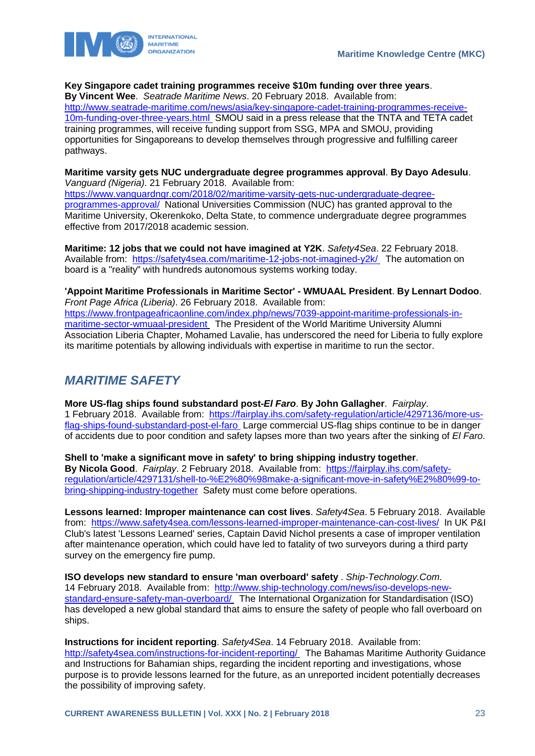



#### **Key Singapore cadet training programmes receive \$10m funding over three years**.

**By Vincent Wee**. *Seatrade Maritime News*. 20 February 2018. Available from: [http://www.seatrade-maritime.com/news/asia/key-singapore-cadet-training-programmes-receive-](http://www.seatrade-maritime.com/news/asia/key-singapore-cadet-training-programmes-receive-10m-funding-over-three-years.html)[10m-funding-over-three-years.html](http://www.seatrade-maritime.com/news/asia/key-singapore-cadet-training-programmes-receive-10m-funding-over-three-years.html) SMOU said in a press release that the TNTA and TETA cadet training programmes, will receive funding support from SSG, MPA and SMOU, providing opportunities for Singaporeans to develop themselves through progressive and fulfilling career pathways.

**Maritime varsity gets NUC undergraduate degree programmes approval**. **By Dayo Adesulu**. *Vanguard (Nigeria)*. 21 February 2018. Available from:

[https://www.vanguardngr.com/2018/02/maritime-varsity-gets-nuc-undergraduate-degree](https://www.vanguardngr.com/2018/02/maritime-varsity-gets-nuc-undergraduate-degree-programmes-approval/)[programmes-approval/](https://www.vanguardngr.com/2018/02/maritime-varsity-gets-nuc-undergraduate-degree-programmes-approval/) National Universities Commission (NUC) has granted approval to the Maritime University, Okerenkoko, Delta State, to commence undergraduate degree programmes effective from 2017/2018 academic session.

**Maritime: 12 jobs that we could not have imagined at Y2K**. *Safety4Sea*. 22 February 2018. Available from: <https://safety4sea.com/maritime-12-jobs-not-imagined-y2k/> The automation on board is a "reality" with hundreds autonomous systems working today.

**'Appoint Maritime Professionals in Maritime Sector' - WMUAAL President**. **By Lennart Dodoo**. *Front Page Africa (Liberia)*. 26 February 2018. Available from: [https://www.frontpageafricaonline.com/index.php/news/7039-appoint-maritime-professionals-in](https://www.frontpageafricaonline.com/index.php/news/7039-appoint-maritime-professionals-in-maritime-sector-wmuaal-president)[maritime-sector-wmuaal-president](https://www.frontpageafricaonline.com/index.php/news/7039-appoint-maritime-professionals-in-maritime-sector-wmuaal-president) The President of the World Maritime University Alumni Association Liberia Chapter, Mohamed Lavalie, has underscored the need for Liberia to fully explore its maritime potentials by allowing individuals with expertise in maritime to run the sector.

# <span id="page-23-0"></span>*MARITIME SAFETY*

**More US-flag ships found substandard post-***El Faro*. **By John Gallagher**. *Fairplay*. 1 February 2018. Available from: [https://fairplay.ihs.com/safety-regulation/article/4297136/more-us](https://fairplay.ihs.com/safety-regulation/article/4297136/more-us-flag-ships-found-substandard-post-el-faro)[flag-ships-found-substandard-post-el-faro](https://fairplay.ihs.com/safety-regulation/article/4297136/more-us-flag-ships-found-substandard-post-el-faro) Large commercial US-flag ships continue to be in danger of accidents due to poor condition and safety lapses more than two years after the sinking of *El Faro*.

**Shell to 'make a significant move in safety' to bring shipping industry together**. **By Nicola Good**. *Fairplay*. 2 February 2018. Available from: [https://fairplay.ihs.com/safety](https://fairplay.ihs.com/safety-regulation/article/4297131/shell-to-%E2%80%98make-a-significant-move-in-safety%E2%80%99-to-bring-shipping-industry-together)[regulation/article/4297131/shell-to-%E2%80%98make-a-significant-move-in-safety%E2%80%99-to](https://fairplay.ihs.com/safety-regulation/article/4297131/shell-to-%E2%80%98make-a-significant-move-in-safety%E2%80%99-to-bring-shipping-industry-together)[bring-shipping-industry-together](https://fairplay.ihs.com/safety-regulation/article/4297131/shell-to-%E2%80%98make-a-significant-move-in-safety%E2%80%99-to-bring-shipping-industry-together) Safety must come before operations.

**Lessons learned: Improper maintenance can cost lives**. *Safety4Sea*. 5 February 2018. Available from: <https://www.safety4sea.com/lessons-learned-improper-maintenance-can-cost-lives/>In UK P&I Club's latest 'Lessons Learned' series, Captain David Nichol presents a case of improper ventilation after maintenance operation, which could have led to fatality of two surveyors during a third party survey on the emergency fire pump.

**ISO develops new standard to ensure 'man overboard' safety** . *Ship-Technology.Com*. 14 February 2018. Available from: [http://www.ship-technology.com/news/iso-develops-new](http://www.ship-technology.com/news/iso-develops-new-standard-ensure-safety-man-overboard/)[standard-ensure-safety-man-overboard/](http://www.ship-technology.com/news/iso-develops-new-standard-ensure-safety-man-overboard/) The International Organization for Standardisation (ISO) has developed a new global standard that aims to ensure the safety of people who fall overboard on ships.

**Instructions for incident reporting**. *Safety4Sea*. 14 February 2018. Available from: <http://safety4sea.com/instructions-for-incident-reporting/> The Bahamas Maritime Authority Guidance and Instructions for Bahamian ships, regarding the incident reporting and investigations, whose purpose is to provide lessons learned for the future, as an unreported incident potentially decreases the possibility of improving safety.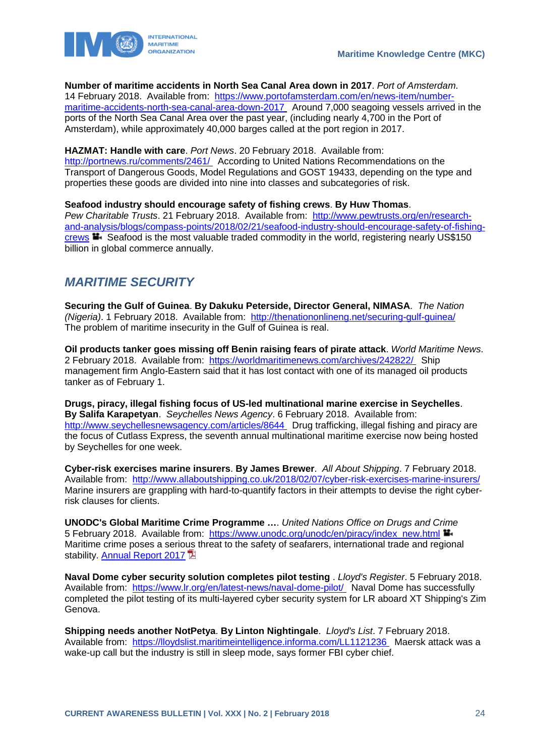

**Number of maritime accidents in North Sea Canal Area down in 2017**. *Port of Amsterdam*. 14 February 2018. Available from: [https://www.portofamsterdam.com/en/news-item/number-](https://www.portofamsterdam.com/en/news-item/number-maritime-accidents-north-sea-canal-area-down-2017)

[maritime-accidents-north-sea-canal-area-down-2017](https://www.portofamsterdam.com/en/news-item/number-maritime-accidents-north-sea-canal-area-down-2017) Around 7,000 seagoing vessels arrived in the ports of the North Sea Canal Area over the past year, (including nearly 4,700 in the Port of Amsterdam), while approximately 40,000 barges called at the port region in 2017.

**HAZMAT: Handle with care**. *Port News*. 20 February 2018. Available from:

<http://portnews.ru/comments/2461/> According to United Nations Recommendations on the Transport of Dangerous Goods, Model Regulations and GOST 19433, depending on the type and properties these goods are divided into nine into classes and subcategories of risk.

**Seafood industry should encourage safety of fishing crews**. **By Huw Thomas**. *Pew Charitable Trusts*. 21 February 2018. Available from: [http://www.pewtrusts.org/en/research](http://www.pewtrusts.org/en/research-and-analysis/blogs/compass-points/2018/02/21/seafood-industry-should-encourage-safety-of-fishing-crews)[and-analysis/blogs/compass-points/2018/02/21/seafood-industry-should-encourage-safety-of-fishing](http://www.pewtrusts.org/en/research-and-analysis/blogs/compass-points/2018/02/21/seafood-industry-should-encourage-safety-of-fishing-crews)[crews](http://www.pewtrusts.org/en/research-and-analysis/blogs/compass-points/2018/02/21/seafood-industry-should-encourage-safety-of-fishing-crews)  $\blacksquare$  Seafood is the most valuable traded commodity in the world, registering nearly US\$150 billion in global commerce annually.

# <span id="page-24-0"></span>*MARITIME SECURITY*

**Securing the Gulf of Guinea**. **By Dakuku Peterside, Director General, NIMASA**. *The Nation (Nigeria)*. 1 February 2018. Available from: <http://thenationonlineng.net/securing-gulf-guinea/> The problem of maritime insecurity in the Gulf of Guinea is real.

**Oil products tanker goes missing off Benin raising fears of pirate attack**. *World Maritime News*. 2 February 2018. Available from: <https://worldmaritimenews.com/archives/242822/> Ship management firm Anglo-Eastern said that it has lost contact with one of its managed oil products tanker as of February 1.

**Drugs, piracy, illegal fishing focus of US-led multinational marine exercise in Seychelles**. **By Salifa Karapetyan**. *Seychelles News Agency*. 6 February 2018. Available from: <http://www.seychellesnewsagency.com/articles/8644> Drug trafficking, illegal fishing and piracy are the focus of Cutlass Express, the seventh annual multinational maritime exercise now being hosted by Seychelles for one week.

**Cyber-risk exercises marine insurers**. **By James Brewer**. *All About Shipping*. 7 February 2018. Available from: <http://www.allaboutshipping.co.uk/2018/02/07/cyber-risk-exercises-marine-insurers/> Marine insurers are grappling with hard-to-quantify factors in their attempts to devise the right cyberrisk clauses for clients.

**UNODC's Global Maritime Crime Programme …**. *United Nations Office on Drugs and Crime*  5 February 2018. Available from: [https://www.unodc.org/unodc/en/piracy/index\\_new.html](https://www.unodc.org/unodc/en/piracy/index_new.html) Maritime crime poses a serious threat to the safety of seafarers, international trade and regional stability. [Annual Report 2017](http://www.unodc.org/documents/Maritime_crime/UNODC_ANUAL_REPORT_2017_web.pdf)

**Naval Dome cyber security solution completes pilot testing** . *Lloyd's Register*. 5 February 2018. Available from: <https://www.lr.org/en/latest-news/naval-dome-pilot/> Naval Dome has successfully completed the pilot testing of its multi-layered cyber security system for LR aboard XT Shipping's Zim Genova.

**Shipping needs another NotPetya**. **By Linton Nightingale**. *Lloyd's List*. 7 February 2018. Available from: <https://lloydslist.maritimeintelligence.informa.com/LL1121236> Maersk attack was a wake-up call but the industry is still in sleep mode, says former FBI cyber chief.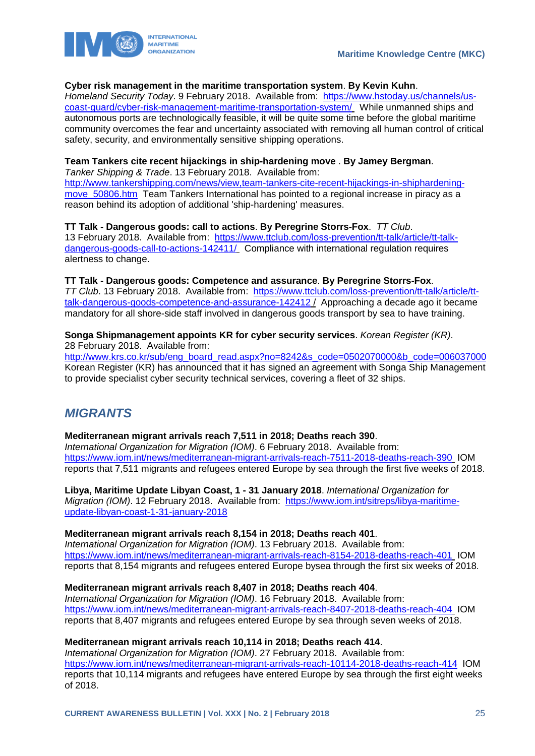



#### **Cyber risk management in the maritime transportation system**. **By Kevin Kuhn**.

*Homeland Security Today*. 9 February 2018. Available from: [https://www.hstoday.us/channels/us](https://www.hstoday.us/channels/us-coast-guard/cyber-risk-management-maritime-transportation-system/)[coast-guard/cyber-risk-management-maritime-transportation-system/](https://www.hstoday.us/channels/us-coast-guard/cyber-risk-management-maritime-transportation-system/) While unmanned ships and autonomous ports are technologically feasible, it will be quite some time before the global maritime community overcomes the fear and uncertainty associated with removing all human control of critical safety, security, and environmentally sensitive shipping operations.

#### **Team Tankers cite recent hijackings in ship-hardening move** . **By Jamey Bergman**.

*Tanker Shipping & Trade*. 13 February 2018. Available from: [http://www.tankershipping.com/news/view,team-tankers-cite-recent-hijackings-in-shiphardening](http://www.tankershipping.com/news/view,team-tankers-cite-recent-hijackings-in-shiphardening-move_50806.htm)move 50806.htm Team Tankers International has pointed to a regional increase in piracy as a reason behind its adoption of additional 'ship-hardening' measures.

**TT Talk - Dangerous goods: call to actions**. **By Peregrine Storrs-Fox**. *TT Club*. 13 February 2018. Available from: [https://www.ttclub.com/loss-prevention/tt-talk/article/tt-talk](https://www.ttclub.com/loss-prevention/tt-talk/article/tt-talk-dangerous-goods-call-to-actions-142411/)[dangerous-goods-call-to-actions-142411/](https://www.ttclub.com/loss-prevention/tt-talk/article/tt-talk-dangerous-goods-call-to-actions-142411/) Compliance with international regulation requires alertness to change.

### **TT Talk - Dangerous goods: Competence and assurance**. **By Peregrine Storrs-Fox**.

*TT Club*. 13 February 2018. Available from: [https://www.ttclub.com/loss-prevention/tt-talk/article/tt](https://www.ttclub.com/loss-prevention/tt-talk/article/tt-talk-dangerous-goods-competence-and-assurance-142412)[talk-dangerous-goods-competence-and-assurance-142412](https://www.ttclub.com/loss-prevention/tt-talk/article/tt-talk-dangerous-goods-competence-and-assurance-142412) / Approaching a decade ago it became mandatory for all shore-side staff involved in dangerous goods transport by sea to have training.

#### **Songa Shipmanagement appoints KR for cyber security services**. *Korean Register (KR)*. 28 February 2018. Available from:

[http://www.krs.co.kr/sub/eng\\_board\\_read.aspx?no=8242&s\\_code=0502070000&b\\_code=006037000](http://www.krs.co.kr/sub/eng_board_read.aspx?no=8242&s_code=0502070000&b_code=006037000) Korean Register (KR) has announced that it has signed an agreement with Songa Ship Management to provide specialist cyber security technical services, covering a fleet of 32 ships.

# <span id="page-25-0"></span>*MIGRANTS*

#### **Mediterranean migrant arrivals reach 7,511 in 2018; Deaths reach 390**.

*International Organization for Migration (IOM)*. 6 February 2018. Available from: <https://www.iom.int/news/mediterranean-migrant-arrivals-reach-7511-2018-deaths-reach-390> IOM reports that 7,511 migrants and refugees entered Europe by sea through the first five weeks of 2018.

**Libya, Maritime Update Libyan Coast, 1 - 31 January 2018**. *International Organization for Migration (IOM)*. 12 February 2018. Available from: [https://www.iom.int/sitreps/libya-maritime](https://www.iom.int/sitreps/libya-maritime-update-libyan-coast-1-31-january-2018)[update-libyan-coast-1-31-january-2018](https://www.iom.int/sitreps/libya-maritime-update-libyan-coast-1-31-january-2018) 

#### **Mediterranean migrant arrivals reach 8,154 in 2018; Deaths reach 401**.

*International Organization for Migration (IOM)*. 13 February 2018. Available from: <https://www.iom.int/news/mediterranean-migrant-arrivals-reach-8154-2018-deaths-reach-401> IOM reports that 8,154 migrants and refugees entered Europe bysea through the first six weeks of 2018.

### **Mediterranean migrant arrivals reach 8,407 in 2018; Deaths reach 404**.

*International Organization for Migration (IOM)*. 16 February 2018. Available from: <https://www.iom.int/news/mediterranean-migrant-arrivals-reach-8407-2018-deaths-reach-404> IOM reports that 8,407 migrants and refugees entered Europe by sea through seven weeks of 2018.

### **Mediterranean migrant arrivals reach 10,114 in 2018; Deaths reach 414**.

*International Organization for Migration (IOM)*. 27 February 2018. Available from: <https://www.iom.int/news/mediterranean-migrant-arrivals-reach-10114-2018-deaths-reach-414>IOM reports that 10,114 migrants and refugees have entered Europe by sea through the first eight weeks of 2018.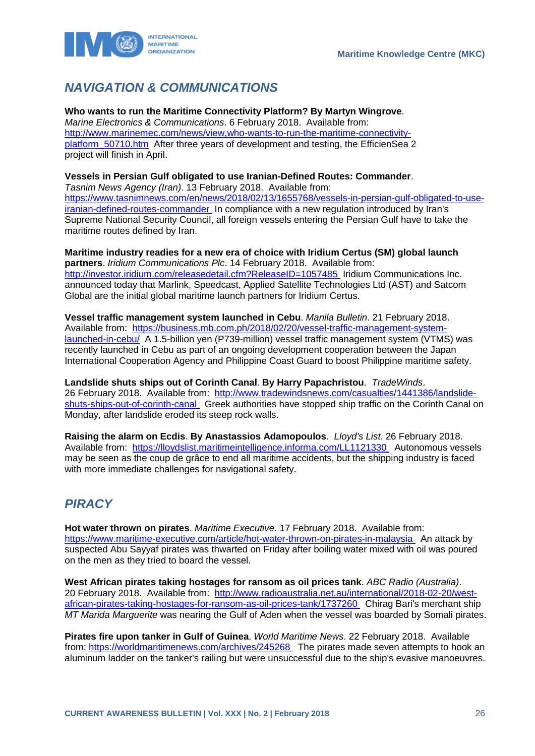

# <span id="page-26-0"></span>*NAVIGATION & COMMUNICATIONS*

**Who wants to run the Maritime Connectivity Platform? By Martyn Wingrove**. *Marine Electronics & Communications*. 6 February 2018. Available from: [http://www.marinemec.com/news/view,who-wants-to-run-the-maritime-connectivity](http://www.marinemec.com/news/view,who-wants-to-run-the-maritime-connectivity-platform_50710.htm)platform 50710.htm After three years of development and testing, the EfficienSea 2 project will finish in April.

#### **Vessels in Persian Gulf obligated to use Iranian-Defined Routes: Commander**.

*Tasnim News Agency (Iran)*. 13 February 2018. Available from: [https://www.tasnimnews.com/en/news/2018/02/13/1655768/vessels-in-persian-gulf-obligated-to-use](https://www.tasnimnews.com/en/news/2018/02/13/1655768/vessels-in-persian-gulf-obligated-to-use-iranian-defined-routes-commander)[iranian-defined-routes-commander](https://www.tasnimnews.com/en/news/2018/02/13/1655768/vessels-in-persian-gulf-obligated-to-use-iranian-defined-routes-commander) In compliance with a new regulation introduced by Iran's Supreme National Security Council, all foreign vessels entering the Persian Gulf have to take the maritime routes defined by Iran.

**Maritime industry readies for a new era of choice with Iridium Certus (SM) global launch partners**. *Iridium Communications Plc*. 14 February 2018. Available from: <http://investor.iridium.com/releasedetail.cfm?ReleaseID=1057485> Iridium Communications Inc. announced today that Marlink, Speedcast, Applied Satellite Technologies Ltd (AST) and Satcom Global are the initial global maritime launch partners for Iridium Certus.

**Vessel traffic management system launched in Cebu**. *Manila Bulletin*. 21 February 2018. Available from: [https://business.mb.com.ph/2018/02/20/vessel-traffic-management-system](https://business.mb.com.ph/2018/02/20/vessel-traffic-management-system-launched-in-cebu/)[launched-in-cebu/](https://business.mb.com.ph/2018/02/20/vessel-traffic-management-system-launched-in-cebu/) A 1.5-billion yen (P739-million) vessel traffic management system (VTMS) was recently launched in Cebu as part of an ongoing development cooperation between the Japan International Cooperation Agency and Philippine Coast Guard to boost Philippine maritime safety.

**Landslide shuts ships out of Corinth Canal**. **By Harry Papachristou**. *TradeWinds*. 26 February 2018. Available from: [http://www.tradewindsnews.com/casualties/1441386/landslide](http://www.tradewindsnews.com/casualties/1441386/landslide-shuts-ships-out-of-corinth-canal)[shuts-ships-out-of-corinth-canal](http://www.tradewindsnews.com/casualties/1441386/landslide-shuts-ships-out-of-corinth-canal) Greek authorities have stopped ship traffic on the Corinth Canal on Monday, after landslide eroded its steep rock walls.

**Raising the alarm on Ecdis**. **By Anastassios Adamopoulos**. *Lloyd's List*. 26 February 2018. Available from: <https://lloydslist.maritimeintelligence.informa.com/LL1121330> Autonomous vessels may be seen as the coup de grâce to end all maritime accidents, but the shipping industry is faced with more immediate challenges for navigational safety.

### <span id="page-26-1"></span>*PIRACY*

**Hot water thrown on pirates**. *Maritime Executive*. 17 February 2018. Available from: <https://www.maritime-executive.com/article/hot-water-thrown-on-pirates-in-malaysia> An attack by suspected Abu Sayyaf pirates was thwarted on Friday after boiling water mixed with oil was poured on the men as they tried to board the vessel.

**West African pirates taking hostages for ransom as oil prices tank**. *ABC Radio (Australia)*. 20 February 2018. Available from: [http://www.radioaustralia.net.au/international/2018-02-20/west](http://www.radioaustralia.net.au/international/2018-02-20/west-african-pirates-taking-hostages-for-ransom-as-oil-prices-tank/1737260)[african-pirates-taking-hostages-for-ransom-as-oil-prices-tank/1737260](http://www.radioaustralia.net.au/international/2018-02-20/west-african-pirates-taking-hostages-for-ransom-as-oil-prices-tank/1737260) Chirag Bari's merchant ship *MT Marida Marguerite* was nearing the Gulf of Aden when the vessel was boarded by Somali pirates.

**Pirates fire upon tanker in Gulf of Guinea**. *World Maritime News*. 22 February 2018. Available from:<https://worldmaritimenews.com/archives/245268> The pirates made seven attempts to hook an aluminum ladder on the tanker's railing but were unsuccessful due to the ship's evasive manoeuvres.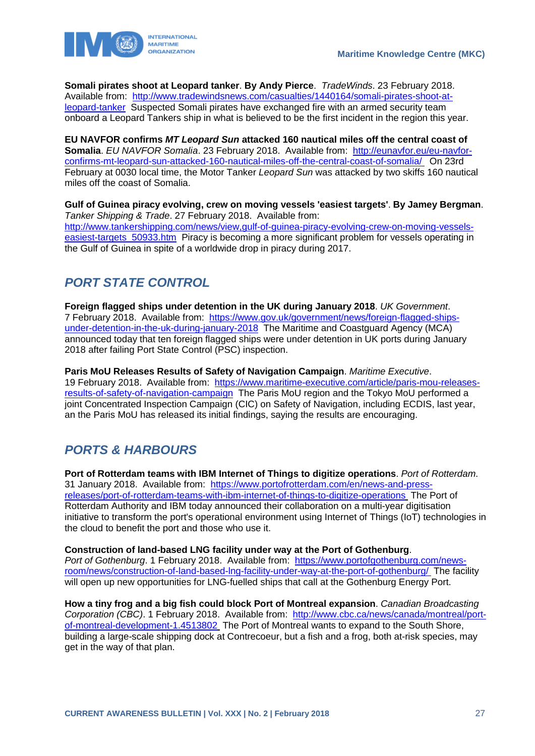

**Somali pirates shoot at Leopard tanker**. **By Andy Pierce**. *TradeWinds*. 23 February 2018. Available from: [http://www.tradewindsnews.com/casualties/1440164/somali-pirates-shoot-at](http://www.tradewindsnews.com/casualties/1440164/somali-pirates-shoot-at-leopard-tanker)[leopard-tanker](http://www.tradewindsnews.com/casualties/1440164/somali-pirates-shoot-at-leopard-tanker) Suspected Somali pirates have exchanged fire with an armed security team onboard a Leopard Tankers ship in what is believed to be the first incident in the region this year.

**EU NAVFOR confirms** *MT Leopard Sun* **attacked 160 nautical miles off the central coast of Somalia**. *EU NAVFOR Somalia*. 23 February 2018. Available from: [http://eunavfor.eu/eu-navfor](http://eunavfor.eu/eu-navfor-confirms-mt-leopard-sun-attacked-160-nautical-miles-off-the-central-coast-of-somalia/)[confirms-mt-leopard-sun-attacked-160-nautical-miles-off-the-central-coast-of-somalia/](http://eunavfor.eu/eu-navfor-confirms-mt-leopard-sun-attacked-160-nautical-miles-off-the-central-coast-of-somalia/) On 23rd February at 0030 local time, the Motor Tanker *Leopard Sun* was attacked by two skiffs 160 nautical miles off the coast of Somalia.

**Gulf of Guinea piracy evolving, crew on moving vessels 'easiest targets'**. **By Jamey Bergman**. *Tanker Shipping & Trade*. 27 February 2018. Available from: [http://www.tankershipping.com/news/view,gulf-of-guinea-piracy-evolving-crew-on-moving-vessels](http://www.tankershipping.com/news/view,gulf-of-guinea-piracy-evolving-crew-on-moving-vessels-easiest-targets_50933.htm)[easiest-targets\\_50933.htm](http://www.tankershipping.com/news/view,gulf-of-guinea-piracy-evolving-crew-on-moving-vessels-easiest-targets_50933.htm) Piracy is becoming a more significant problem for vessels operating in the Gulf of Guinea in spite of a worldwide drop in piracy during 2017.

# <span id="page-27-0"></span>*PORT STATE CONTROL*

**Foreign flagged ships under detention in the UK during January 2018**. *UK Government*. 7 February 2018. Available from: [https://www.gov.uk/government/news/foreign-flagged-ships](https://www.gov.uk/government/news/foreign-flagged-ships-under-detention-in-the-uk-during-january-2018)[under-detention-in-the-uk-during-january-2018](https://www.gov.uk/government/news/foreign-flagged-ships-under-detention-in-the-uk-during-january-2018) The Maritime and Coastguard Agency (MCA) announced today that ten foreign flagged ships were under detention in UK ports during January 2018 after failing Port State Control (PSC) inspection.

**Paris MoU Releases Results of Safety of Navigation Campaign**. *Maritime Executive*. 19 February 2018. Available from: [https://www.maritime-executive.com/article/paris-mou-releases](https://www.maritime-executive.com/article/paris-mou-releases-results-of-safety-of-navigation-campaign)[results-of-safety-of-navigation-campaign](https://www.maritime-executive.com/article/paris-mou-releases-results-of-safety-of-navigation-campaign) The Paris MoU region and the Tokyo MoU performed a joint Concentrated Inspection Campaign (CIC) on Safety of Navigation, including ECDIS, last year, an the Paris MoU has released its initial findings, saying the results are encouraging.

# <span id="page-27-1"></span>*PORTS & HARBOURS*

**Port of Rotterdam teams with IBM Internet of Things to digitize operations**. *Port of Rotterdam*. 31 January 2018. Available from: [https://www.portofrotterdam.com/en/news-and-press](https://www.portofrotterdam.com/en/news-and-press-releases/port-of-rotterdam-teams-with-ibm-internet-of-things-to-digitize-operations)[releases/port-of-rotterdam-teams-with-ibm-internet-of-things-to-digitize-operations](https://www.portofrotterdam.com/en/news-and-press-releases/port-of-rotterdam-teams-with-ibm-internet-of-things-to-digitize-operations) The Port of Rotterdam Authority and IBM today announced their collaboration on a multi-year digitisation initiative to transform the port's operational environment using Internet of Things (IoT) technologies in the cloud to benefit the port and those who use it.

**Construction of land-based LNG facility under way at the Port of Gothenburg**. *Port of Gothenburg*. 1 February 2018. Available from: [https://www.portofgothenburg.com/news](https://www.portofgothenburg.com/news-room/news/construction-of-land-based-lng-facility-under-way-at-the-port-of-gothenburg/)[room/news/construction-of-land-based-lng-facility-under-way-at-the-port-of-gothenburg/](https://www.portofgothenburg.com/news-room/news/construction-of-land-based-lng-facility-under-way-at-the-port-of-gothenburg/) The facility will open up new opportunities for LNG-fuelled ships that call at the Gothenburg Energy Port.

**How a tiny frog and a big fish could block Port of Montreal expansion**. *Canadian Broadcasting Corporation (CBC)*. 1 February 2018. Available from: [http://www.cbc.ca/news/canada/montreal/port](http://www.cbc.ca/news/canada/montreal/port-of-montreal-development-1.4513802)[of-montreal-development-1.4513802](http://www.cbc.ca/news/canada/montreal/port-of-montreal-development-1.4513802) The Port of Montreal wants to expand to the South Shore, building a large-scale shipping dock at Contrecoeur, but a fish and a frog, both at-risk species, may get in the way of that plan.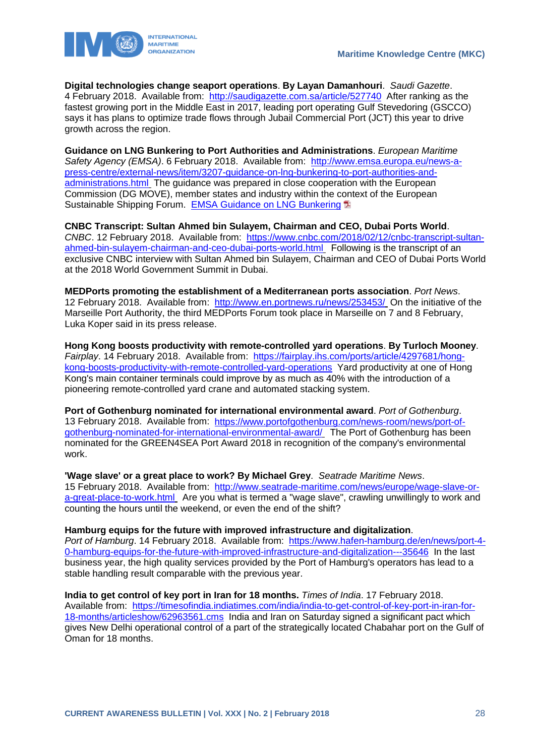

**Digital technologies change seaport operations**. **By Layan Damanhouri**. *Saudi Gazette*. 4 February 2018. Available from: <http://saudigazette.com.sa/article/527740>After ranking as the fastest growing port in the Middle East in 2017, leading port operating Gulf Stevedoring (GSCCO) says it has plans to optimize trade flows through Jubail Commercial Port (JCT) this year to drive growth across the region.

**Guidance on LNG Bunkering to Port Authorities and Administrations**. *European Maritime Safety Agency (EMSA)*. 6 February 2018. Available from: [http://www.emsa.europa.eu/news-a](http://www.emsa.europa.eu/news-a-press-centre/external-news/item/3207-guidance-on-lng-bunkering-to-port-authorities-and-administrations.html)[press-centre/external-news/item/3207-guidance-on-lng-bunkering-to-port-authorities-and](http://www.emsa.europa.eu/news-a-press-centre/external-news/item/3207-guidance-on-lng-bunkering-to-port-authorities-and-administrations.html)[administrations.html](http://www.emsa.europa.eu/news-a-press-centre/external-news/item/3207-guidance-on-lng-bunkering-to-port-authorities-and-administrations.html) The guidance was prepared in close cooperation with the European Commission (DG MOVE), member states and industry within the context of the European Sustainable Shipping Forum. [EMSA Guidance on LNG Bunkering](http://www.emsa.europa.eu/news-a-press-centre/external-news/download/5104/3207/23.html) <sup>1</sup>2

**CNBC Transcript: Sultan Ahmed bin Sulayem, Chairman and CEO, Dubai Ports World**. *CNBC*. 12 February 2018. Available from: [https://www.cnbc.com/2018/02/12/cnbc-transcript-sultan](https://www.cnbc.com/2018/02/12/cnbc-transcript-sultan-ahmed-bin-sulayem-chairman-and-ceo-dubai-ports-world.html)[ahmed-bin-sulayem-chairman-and-ceo-dubai-ports-world.html](https://www.cnbc.com/2018/02/12/cnbc-transcript-sultan-ahmed-bin-sulayem-chairman-and-ceo-dubai-ports-world.html) Following is the transcript of an exclusive CNBC interview with Sultan Ahmed bin Sulayem, Chairman and CEO of Dubai Ports World at the 2018 World Government Summit in Dubai.

**MEDPorts promoting the establishment of a Mediterranean ports association**. *Port News*. 12 February 2018. Available from: <http://www.en.portnews.ru/news/253453/> On the initiative of the Marseille Port Authority, the third MEDPorts Forum took place in Marseille on 7 and 8 February, Luka Koper said in its press release.

**Hong Kong boosts productivity with remote-controlled yard operations**. **By Turloch Mooney**. *Fairplay*. 14 February 2018. Available from: [https://fairplay.ihs.com/ports/article/4297681/hong](https://fairplay.ihs.com/ports/article/4297681/hong-kong-boosts-productivity-with-remote-controlled-yard-operations)[kong-boosts-productivity-with-remote-controlled-yard-operations](https://fairplay.ihs.com/ports/article/4297681/hong-kong-boosts-productivity-with-remote-controlled-yard-operations) Yard productivity at one of Hong Kong's main container terminals could improve by as much as 40% with the introduction of a pioneering remote-controlled yard crane and automated stacking system.

**Port of Gothenburg nominated for international environmental award**. *Port of Gothenburg*. 13 February 2018. Available from: [https://www.portofgothenburg.com/news-room/news/port-of](https://www.portofgothenburg.com/news-room/news/port-of-gothenburg-nominated-for-international-environmental-award/)[gothenburg-nominated-for-international-environmental-award/](https://www.portofgothenburg.com/news-room/news/port-of-gothenburg-nominated-for-international-environmental-award/) The Port of Gothenburg has been nominated for the GREEN4SEA Port Award 2018 in recognition of the company's environmental work.

#### **'Wage slave' or a great place to work? By Michael Grey**. *Seatrade Maritime News*.

15 February 2018. Available from: [http://www.seatrade-maritime.com/news/europe/wage-slave-or](http://www.seatrade-maritime.com/news/europe/wage-slave-or-a-great-place-to-work.html)[a-great-place-to-work.html](http://www.seatrade-maritime.com/news/europe/wage-slave-or-a-great-place-to-work.html) Are you what is termed a "wage slave", crawling unwillingly to work and counting the hours until the weekend, or even the end of the shift?

#### **Hamburg equips for the future with improved infrastructure and digitalization**.

*Port of Hamburg*. 14 February 2018. Available from: [https://www.hafen-hamburg.de/en/news/port-4-](https://www.hafen-hamburg.de/en/news/port-4-0-hamburg-equips-for-the-future-with-improved-infrastructure-and-digitalization---35646) [0-hamburg-equips-for-the-future-with-improved-infrastructure-and-digitalization---35646](https://www.hafen-hamburg.de/en/news/port-4-0-hamburg-equips-for-the-future-with-improved-infrastructure-and-digitalization---35646) In the last business year, the high quality services provided by the Port of Hamburg's operators has lead to a stable handling result comparable with the previous year.

**India to get control of key port in Iran for 18 months.** *Times of India*. 17 February 2018. Available from: [https://timesofindia.indiatimes.com/india/india-to-get-control-of-key-port-in-iran-for-](https://timesofindia.indiatimes.com/india/india-to-get-control-of-key-port-in-iran-for-18-months/articleshow/62963561.cms)[18-months/articleshow/62963561.cms](https://timesofindia.indiatimes.com/india/india-to-get-control-of-key-port-in-iran-for-18-months/articleshow/62963561.cms) India and Iran on Saturday signed a significant pact which gives New Delhi operational control of a part of the strategically located Chabahar port on the Gulf of Oman for 18 months.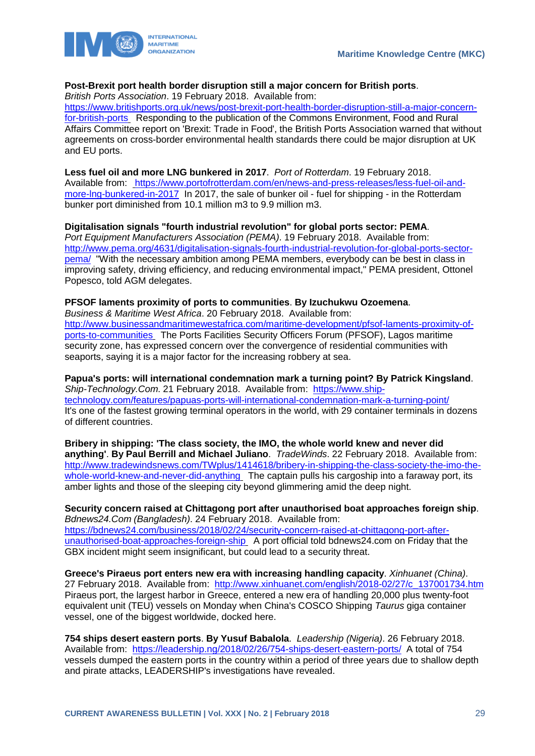

### **Post-Brexit port health border disruption still a major concern for British ports**.

*British Ports Association*. 19 February 2018. Available from:

[https://www.britishports.org.uk/news/post-brexit-port-health-border-disruption-still-a-major-concern](https://www.britishports.org.uk/news/post-brexit-port-health-border-disruption-still-a-major-concern-for-british-ports)[for-british-ports](https://www.britishports.org.uk/news/post-brexit-port-health-border-disruption-still-a-major-concern-for-british-ports) Responding to the publication of the Commons Environment, Food and Rural Affairs Committee report on 'Brexit: Trade in Food', the British Ports Association warned that without agreements on cross-border environmental health standards there could be major disruption at UK and EU ports.

#### **Less fuel oil and more LNG bunkered in 2017**. *Port of Rotterdam*. 19 February 2018.

Available from: [https://www.portofrotterdam.com/en/news-and-press-releases/less-fuel-oil-and](https://www.portofrotterdam.com/en/news-and-press-releases/less-fuel-oil-and-more-lng-bunkered-in-2017)[more-lng-bunkered-in-2017](https://www.portofrotterdam.com/en/news-and-press-releases/less-fuel-oil-and-more-lng-bunkered-in-2017) In 2017, the sale of bunker oil - fuel for shipping - in the Rotterdam bunker port diminished from 10.1 million m3 to 9.9 million m3.

#### **Digitalisation signals "fourth industrial revolution" for global ports sector: PEMA**.

*Port Equipment Manufacturers Association (PEMA)*. 19 February 2018. Available from: [http://www.pema.org/4631/digitalisation-signals-fourth-industrial-revolution-for-global-ports-sector](http://www.pema.org/4631/digitalisation-signals-fourth-industrial-revolution-for-global-ports-sector-pema/)[pema/](http://www.pema.org/4631/digitalisation-signals-fourth-industrial-revolution-for-global-ports-sector-pema/) "With the necessary ambition among PEMA members, everybody can be best in class in improving safety, driving efficiency, and reducing environmental impact," PEMA president, Ottonel Popesco, told AGM delegates.

#### **PFSOF laments proximity of ports to communities**. **By Izuchukwu Ozoemena**.

*Business & Maritime West Africa*. 20 February 2018. Available from: [http://www.businessandmaritimewestafrica.com/maritime-development/pfsof-laments-proximity-of](http://www.businessandmaritimewestafrica.com/maritime-development/pfsof-laments-proximity-of-ports-to-communities)[ports-to-communities](http://www.businessandmaritimewestafrica.com/maritime-development/pfsof-laments-proximity-of-ports-to-communities) The Ports Facilities Security Officers Forum (PFSOF), Lagos maritime security zone, has expressed concern over the convergence of residential communities with seaports, saying it is a major factor for the increasing robbery at sea.

**Papua's ports: will international condemnation mark a turning point? By Patrick Kingsland**. *Ship-Technology.Com*. 21 February 2018. Available from: [https://www.ship](https://www.ship-technology.com/features/papuas-ports-will-international-condemnation-mark-a-turning-point/)[technology.com/features/papuas-ports-will-international-condemnation-mark-a-turning-point/](https://www.ship-technology.com/features/papuas-ports-will-international-condemnation-mark-a-turning-point/) It's one of the fastest growing terminal operators in the world, with 29 container terminals in dozens of different countries.

**Bribery in shipping: 'The class society, the IMO, the whole world knew and never did anything'**. **By Paul Berrill and Michael Juliano**. *TradeWinds*. 22 February 2018. Available from: [http://www.tradewindsnews.com/TWplus/1414618/bribery-in-shipping-the-class-society-the-imo-the](http://www.tradewindsnews.com/TWplus/1414618/bribery-in-shipping-the-class-society-the-imo-the-whole-world-knew-and-never-did-anything)[whole-world-knew-and-never-did-anything](http://www.tradewindsnews.com/TWplus/1414618/bribery-in-shipping-the-class-society-the-imo-the-whole-world-knew-and-never-did-anything) The captain pulls his cargoship into a faraway port, its amber lights and those of the sleeping city beyond glimmering amid the deep night.

**Security concern raised at Chittagong port after unauthorised boat approaches foreign ship**. *Bdnews24.Com (Bangladesh)*. 24 February 2018. Available from: [https://bdnews24.com/business/2018/02/24/security-concern-raised-at-chittagong-port-after](https://bdnews24.com/business/2018/02/24/security-concern-raised-at-chittagong-port-after-unauthorised-boat-approaches-foreign-ship)[unauthorised-boat-approaches-foreign-ship](https://bdnews24.com/business/2018/02/24/security-concern-raised-at-chittagong-port-after-unauthorised-boat-approaches-foreign-ship) A port official told bdnews24.com on Friday that the GBX incident might seem insignificant, but could lead to a security threat.

**Greece's Piraeus port enters new era with increasing handling capacity**. *Xinhuanet (China)*. 27 February 2018. Available from: [http://www.xinhuanet.com/english/2018-02/27/c\\_137001734.htm](http://www.xinhuanet.com/english/2018-02/27/c_137001734.htm) Piraeus port, the largest harbor in Greece, entered a new era of handling 20,000 plus twenty-foot equivalent unit (TEU) vessels on Monday when China's COSCO Shipping *Taurus* giga container vessel, one of the biggest worldwide, docked here.

**754 ships desert eastern ports**. **By Yusuf Babalola**. *Leadership (Nigeria)*. 26 February 2018. Available from: <https://leadership.ng/2018/02/26/754-ships-desert-eastern-ports/>A total of 754 vessels dumped the eastern ports in the country within a period of three years due to shallow depth and pirate attacks, LEADERSHIP's investigations have revealed.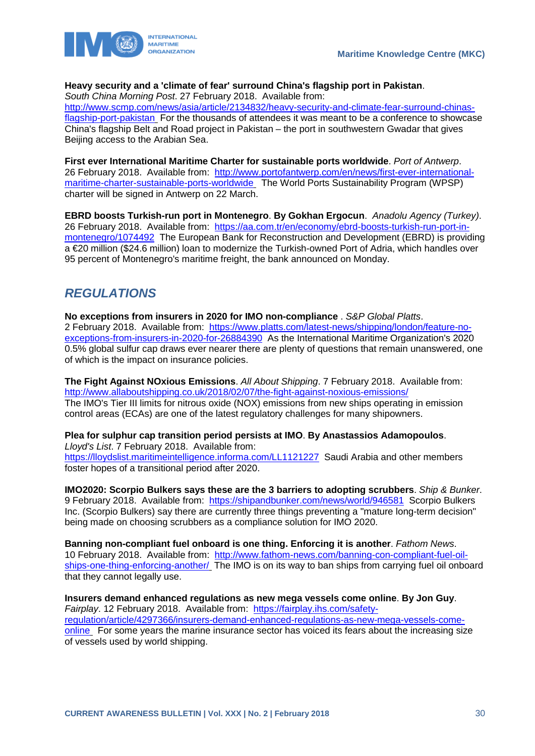

### **Heavy security and a 'climate of fear' surround China's flagship port in Pakistan**.

*South China Morning Post*. 27 February 2018. Available from:

[http://www.scmp.com/news/asia/article/2134832/heavy-security-and-climate-fear-surround-chinas](http://www.scmp.com/news/asia/article/2134832/heavy-security-and-climate-fear-surround-chinas-flagship-port-pakistan)[flagship-port-pakistan](http://www.scmp.com/news/asia/article/2134832/heavy-security-and-climate-fear-surround-chinas-flagship-port-pakistan) For the thousands of attendees it was meant to be a conference to showcase China's flagship Belt and Road project in Pakistan – the port in southwestern Gwadar that gives Beijing access to the Arabian Sea.

**First ever International Maritime Charter for sustainable ports worldwide**. *Port of Antwerp*. 26 February 2018. Available from: [http://www.portofantwerp.com/en/news/first-ever-international](http://www.portofantwerp.com/en/news/first-ever-international-maritime-charter-sustainable-ports-worldwide)[maritime-charter-sustainable-ports-worldwide](http://www.portofantwerp.com/en/news/first-ever-international-maritime-charter-sustainable-ports-worldwide) The World Ports Sustainability Program (WPSP) charter will be signed in Antwerp on 22 March.

**EBRD boosts Turkish-run port in Montenegro**. **By Gokhan Ergocun**. *Anadolu Agency (Turkey)*. 26 February 2018. Available from: [https://aa.com.tr/en/economy/ebrd-boosts-turkish-run-port-in](https://aa.com.tr/en/economy/ebrd-boosts-turkish-run-port-in-montenegro/1074492)[montenegro/1074492](https://aa.com.tr/en/economy/ebrd-boosts-turkish-run-port-in-montenegro/1074492) The European Bank for Reconstruction and Development (EBRD) is providing a €20 million (\$24.6 million) loan to modernize the Turkish-owned Port of Adria, which handles over 95 percent of Montenegro's maritime freight, the bank announced on Monday.

### <span id="page-30-0"></span>*REGULATIONS*

**No exceptions from insurers in 2020 for IMO non-compliance** . *S&P Global Platts*. 2 February 2018. Available from: [https://www.platts.com/latest-news/shipping/london/feature-no](https://www.platts.com/latest-news/shipping/london/feature-no-exceptions-from-insurers-in-2020-for-26884390)[exceptions-from-insurers-in-2020-for-26884390](https://www.platts.com/latest-news/shipping/london/feature-no-exceptions-from-insurers-in-2020-for-26884390) As the International Maritime Organization's 2020 0.5% global sulfur cap draws ever nearer there are plenty of questions that remain unanswered, one of which is the impact on insurance policies.

**The Fight Against NOxious Emissions**. *All About Shipping*. 7 February 2018. Available from: <http://www.allaboutshipping.co.uk/2018/02/07/the-fight-against-noxious-emissions/> The IMO's Tier III limits for nitrous oxide (NOX) emissions from new ships operating in emission control areas (ECAs) are one of the latest regulatory challenges for many shipowners.

**Plea for sulphur cap transition period persists at IMO**. **By Anastassios Adamopoulos**. *Lloyd's List*. 7 February 2018. Available from: <https://lloydslist.maritimeintelligence.informa.com/LL1121227>Saudi Arabia and other members foster hopes of a transitional period after 2020.

**IMO2020: Scorpio Bulkers says these are the 3 barriers to adopting scrubbers**. *Ship & Bunker*. 9 February 2018. Available from: <https://shipandbunker.com/news/world/946581>Scorpio Bulkers Inc. (Scorpio Bulkers) say there are currently three things preventing a "mature long-term decision" being made on choosing scrubbers as a compliance solution for IMO 2020.

**Banning non-compliant fuel onboard is one thing. Enforcing it is another**. *Fathom News*. 10 February 2018. Available from: [http://www.fathom-news.com/banning-con-compliant-fuel-oil](http://www.fathom-news.com/banning-con-compliant-fuel-oil-ships-one-thing-enforcing-another/)[ships-one-thing-enforcing-another/](http://www.fathom-news.com/banning-con-compliant-fuel-oil-ships-one-thing-enforcing-another/) The IMO is on its way to ban ships from carrying fuel oil onboard that they cannot legally use.

**Insurers demand enhanced regulations as new mega vessels come online**. **By Jon Guy**. *Fairplay*. 12 February 2018. Available from: [https://fairplay.ihs.com/safety](https://fairplay.ihs.com/safety-regulation/article/4297366/insurers-demand-enhanced-regulations-as-new-mega-vessels-come-online)[regulation/article/4297366/insurers-demand-enhanced-regulations-as-new-mega-vessels-come](https://fairplay.ihs.com/safety-regulation/article/4297366/insurers-demand-enhanced-regulations-as-new-mega-vessels-come-online)[online](https://fairplay.ihs.com/safety-regulation/article/4297366/insurers-demand-enhanced-regulations-as-new-mega-vessels-come-online) For some years the marine insurance sector has voiced its fears about the increasing size of vessels used by world shipping.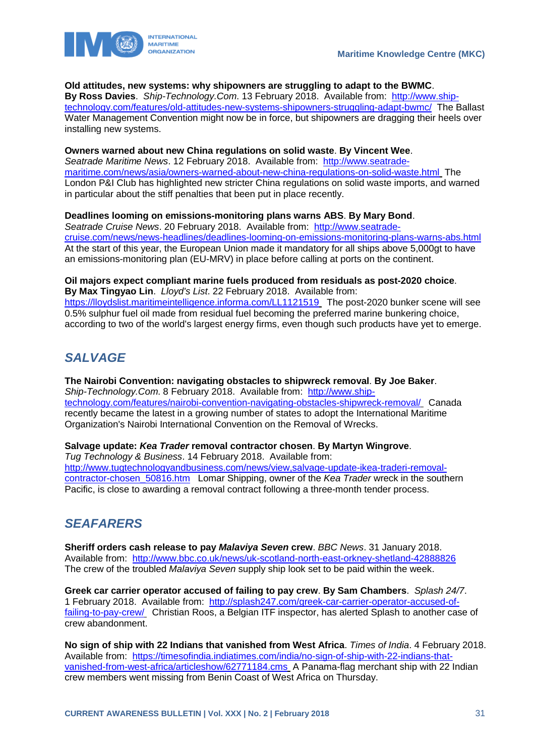

#### **Old attitudes, new systems: why shipowners are struggling to adapt to the BWMC**.

**By Ross Davies**. *Ship-Technology.Com*. 13 February 2018. Available from: [http://www.ship](http://www.ship-technology.com/features/old-attitudes-new-systems-shipowners-struggling-adapt-bwmc/)[technology.com/features/old-attitudes-new-systems-shipowners-struggling-adapt-bwmc/](http://www.ship-technology.com/features/old-attitudes-new-systems-shipowners-struggling-adapt-bwmc/) The Ballast Water Management Convention might now be in force, but shipowners are dragging their heels over installing new systems.

#### **Owners warned about new China regulations on solid waste**. **By Vincent Wee**.

*Seatrade Maritime News*. 12 February 2018. Available from: [http://www.seatrade](http://www.seatrade-maritime.com/news/asia/owners-warned-about-new-china-regulations-on-solid-waste.html)[maritime.com/news/asia/owners-warned-about-new-china-regulations-on-solid-waste.html](http://www.seatrade-maritime.com/news/asia/owners-warned-about-new-china-regulations-on-solid-waste.html) The London P&I Club has highlighted new stricter China regulations on solid waste imports, and warned in particular about the stiff penalties that been put in place recently.

#### **Deadlines looming on emissions-monitoring plans warns ABS**. **By Mary Bond**.

*Seatrade Cruise News*. 20 February 2018. Available from: [http://www.seatrade](http://www.seatrade-cruise.com/news/news-headlines/deadlines-looming-on-emissions-monitoring-plans-warns-abs.html)[cruise.com/news/news-headlines/deadlines-looming-on-emissions-monitoring-plans-warns-abs.html](http://www.seatrade-cruise.com/news/news-headlines/deadlines-looming-on-emissions-monitoring-plans-warns-abs.html)  At the start of this year, the European Union made it mandatory for all ships above 5,000gt to have an emissions-monitoring plan (EU-MRV) in place before calling at ports on the continent.

### **Oil majors expect compliant marine fuels produced from residuals as post-2020 choice**.

**By Max Tingyao Lin**. *Lloyd's List*. 22 February 2018. Available from: <https://lloydslist.maritimeintelligence.informa.com/LL1121519> The post-2020 bunker scene will see 0.5% sulphur fuel oil made from residual fuel becoming the preferred marine bunkering choice, according to two of the world's largest energy firms, even though such products have yet to emerge.

# <span id="page-31-0"></span>*SALVAGE*

**The Nairobi Convention: navigating obstacles to shipwreck removal**. **By Joe Baker**. *Ship-Technology.Com*. 8 February 2018. Available from: [http://www.ship](http://www.ship-technology.com/features/nairobi-convention-navigating-obstacles-shipwreck-removal/)[technology.com/features/nairobi-convention-navigating-obstacles-shipwreck-removal/](http://www.ship-technology.com/features/nairobi-convention-navigating-obstacles-shipwreck-removal/) Canada recently became the latest in a growing number of states to adopt the International Maritime Organization's Nairobi International Convention on the Removal of Wrecks.

#### **Salvage update:** *Kea Trader* **removal contractor chosen**. **By Martyn Wingrove**.

*Tug Technology & Business*. 14 February 2018. Available from: [http://www.tugtechnologyandbusiness.com/news/view,salvage-update-ikea-traderi-removal](http://www.tugtechnologyandbusiness.com/news/view,salvage-update-ikea-traderi-removal-contractor-chosen_50816.htm)[contractor-chosen\\_50816.htm](http://www.tugtechnologyandbusiness.com/news/view,salvage-update-ikea-traderi-removal-contractor-chosen_50816.htm) Lomar Shipping, owner of the *Kea Trader* wreck in the southern Pacific, is close to awarding a removal contract following a three-month tender process.

# <span id="page-31-1"></span>*SEAFARERS*

**Sheriff orders cash release to pay** *Malaviya Seven* **crew**. *BBC News*. 31 January 2018. Available from: <http://www.bbc.co.uk/news/uk-scotland-north-east-orkney-shetland-42888826> The crew of the troubled *Malaviya Seven* supply ship look set to be paid within the week.

**Greek car carrier operator accused of failing to pay crew**. **By Sam Chambers**. *Splash 24/7*. 1 February 2018. Available from: [http://splash247.com/greek-car-carrier-operator-accused-of](http://splash247.com/greek-car-carrier-operator-accused-of-failing-to-pay-crew/)[failing-to-pay-crew/](http://splash247.com/greek-car-carrier-operator-accused-of-failing-to-pay-crew/) Christian Roos, a Belgian ITF inspector, has alerted Splash to another case of crew abandonment.

**No sign of ship with 22 Indians that vanished from West Africa**. *Times of India*. 4 February 2018. Available from: [https://timesofindia.indiatimes.com/india/no-sign-of-ship-with-22-indians-that](https://timesofindia.indiatimes.com/india/no-sign-of-ship-with-22-indians-that-vanished-from-west-africa/articleshow/62771184.cms)[vanished-from-west-africa/articleshow/62771184.cms](https://timesofindia.indiatimes.com/india/no-sign-of-ship-with-22-indians-that-vanished-from-west-africa/articleshow/62771184.cms) A Panama-flag merchant ship with 22 Indian crew members went missing from Benin Coast of West Africa on Thursday.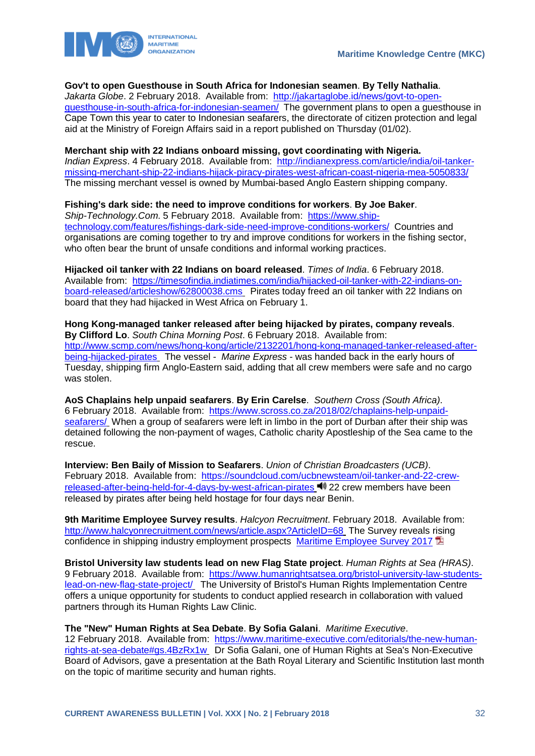

#### **Gov't to open Guesthouse in South Africa for Indonesian seamen**. **By Telly Nathalia**.

*Jakarta Globe*. 2 February 2018. Available from: [http://jakartaglobe.id/news/govt-to-open](http://jakartaglobe.id/news/govt-to-open-guesthouse-in-south-africa-for-indonesian-seamen/)[guesthouse-in-south-africa-for-indonesian-seamen/](http://jakartaglobe.id/news/govt-to-open-guesthouse-in-south-africa-for-indonesian-seamen/) The government plans to open a guesthouse in Cape Town this year to cater to Indonesian seafarers, the directorate of citizen protection and legal aid at the Ministry of Foreign Affairs said in a report published on Thursday (01/02).

#### **Merchant ship with 22 Indians onboard missing, govt coordinating with Nigeria.**

*Indian Express*. 4 February 2018. Available from: [http://indianexpress.com/article/india/oil-tanker](http://indianexpress.com/article/india/oil-tanker-missing-merchant-ship-22-indians-hijack-piracy-pirates-west-african-coast-nigeria-mea-5050833/)[missing-merchant-ship-22-indians-hijack-piracy-pirates-west-african-coast-nigeria-mea-5050833/](http://indianexpress.com/article/india/oil-tanker-missing-merchant-ship-22-indians-hijack-piracy-pirates-west-african-coast-nigeria-mea-5050833/)  The missing merchant vessel is owned by Mumbai-based Anglo Eastern shipping company.

#### **Fishing's dark side: the need to improve conditions for workers**. **By Joe Baker**.

*Ship-Technology.Com*. 5 February 2018. Available from: [https://www.ship](https://www.ship-technology.com/features/fishings-dark-side-need-improve-conditions-workers/)[technology.com/features/fishings-dark-side-need-improve-conditions-workers/](https://www.ship-technology.com/features/fishings-dark-side-need-improve-conditions-workers/) Countries and organisations are coming together to try and improve conditions for workers in the fishing sector, who often bear the brunt of unsafe conditions and informal working practices.

**Hijacked oil tanker with 22 Indians on board released**. *Times of India*. 6 February 2018. Available from: [https://timesofindia.indiatimes.com/india/hijacked-oil-tanker-with-22-indians-on](https://timesofindia.indiatimes.com/india/hijacked-oil-tanker-with-22-indians-on-board-released/articleshow/62800038.cms)[board-released/articleshow/62800038.cms](https://timesofindia.indiatimes.com/india/hijacked-oil-tanker-with-22-indians-on-board-released/articleshow/62800038.cms) Pirates today freed an oil tanker with 22 Indians on board that they had hijacked in West Africa on February 1.

**Hong Kong-managed tanker released after being hijacked by pirates, company reveals**. **By Clifford Lo**. *South China Morning Post*. 6 February 2018. Available from: [http://www.scmp.com/news/hong-kong/article/2132201/hong-kong-managed-tanker-released-after](http://www.scmp.com/news/hong-kong/article/2132201/hong-kong-managed-tanker-released-after-being-hijacked-pirates)[being-hijacked-pirates](http://www.scmp.com/news/hong-kong/article/2132201/hong-kong-managed-tanker-released-after-being-hijacked-pirates) The vessel - *Marine Express* - was handed back in the early hours of Tuesday, shipping firm Anglo-Eastern said, adding that all crew members were safe and no cargo was stolen.

**AoS Chaplains help unpaid seafarers**. **By Erin Carelse**. *Southern Cross (South Africa)*. 6 February 2018. Available from: [https://www.scross.co.za/2018/02/chaplains-help-unpaid](https://www.scross.co.za/2018/02/chaplains-help-unpaid-seafarers/)[seafarers/](https://www.scross.co.za/2018/02/chaplains-help-unpaid-seafarers/) When a group of seafarers were left in limbo in the port of Durban after their ship was detained following the non-payment of wages, Catholic charity Apostleship of the Sea came to the rescue.

**Interview: Ben Baily of Mission to Seafarers**. *Union of Christian Broadcasters (UCB)*. February 2018. Available from: [https://soundcloud.com/ucbnewsteam/oil-tanker-and-22-crew](https://soundcloud.com/ucbnewsteam/oil-tanker-and-22-crew-released-after-being-held-for-4-days-by-west-african-pirates)[released-after-being-held-for-4-days-by-west-african-pirates](https://soundcloud.com/ucbnewsteam/oil-tanker-and-22-crew-released-after-being-held-for-4-days-by-west-african-pirates) 22 crew members have been released by pirates after being held hostage for four days near Benin.

**9th Maritime Employee Survey results**. *Halcyon Recruitment*. February 2018. Available from: <http://www.halcyonrecruitment.com/news/article.aspx?ArticleID=68> The Survey reveals rising confidence in shipping industry employment prospects [Maritime Employee Survey 2017](http://www.halcyonrecruitment.com/Downloads/The-Maritime-Employee-Survey-2017.pdf)

**Bristol University law students lead on new Flag State project**. *Human Rights at Sea (HRAS)*. 9 February 2018. Available from: [https://www.humanrightsatsea.org/bristol-university-law-students](https://www.humanrightsatsea.org/bristol-university-law-students-lead-on-new-flag-state-project/)[lead-on-new-flag-state-project/](https://www.humanrightsatsea.org/bristol-university-law-students-lead-on-new-flag-state-project/) The University of Bristol's Human Rights Implementation Centre offers a unique opportunity for students to conduct applied research in collaboration with valued partners through its Human Rights Law Clinic.

**The "New" Human Rights at Sea Debate**. **By Sofia Galani**. *Maritime Executive*.

12 February 2018. Available from: [https://www.maritime-executive.com/editorials/the-new-human](https://www.maritime-executive.com/editorials/the-new-human-rights-at-sea-debate#gs.4BzRx1w)[rights-at-sea-debate#gs.4BzRx1w](https://www.maritime-executive.com/editorials/the-new-human-rights-at-sea-debate#gs.4BzRx1w) Dr Sofia Galani, one of Human Rights at Sea's Non-Executive Board of Advisors, gave a presentation at the Bath Royal Literary and Scientific Institution last month on the topic of maritime security and human rights.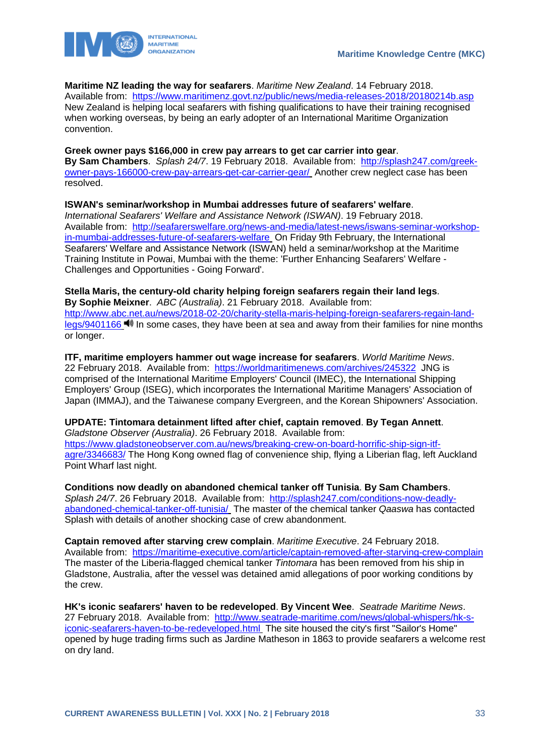

### **Maritime NZ leading the way for seafarers**. *Maritime New Zealand*. 14 February 2018.

Available from: <https://www.maritimenz.govt.nz/public/news/media-releases-2018/20180214b.asp> New Zealand is helping local seafarers with fishing qualifications to have their training recognised when working overseas, by being an early adopter of an International Maritime Organization convention.

**Greek owner pays \$166,000 in crew pay arrears to get car carrier into gear**. **By Sam Chambers**. *Splash 24/7*. 19 February 2018. Available from: [http://splash247.com/greek](http://splash247.com/greek-owner-pays-166000-crew-pay-arrears-get-car-carrier-gear/)[owner-pays-166000-crew-pay-arrears-get-car-carrier-gear/](http://splash247.com/greek-owner-pays-166000-crew-pay-arrears-get-car-carrier-gear/) Another crew neglect case has been resolved.

**ISWAN's seminar/workshop in Mumbai addresses future of seafarers' welfare**. *International Seafarers' Welfare and Assistance Network (ISWAN)*. 19 February 2018. Available from: [http://seafarerswelfare.org/news-and-media/latest-news/iswans-seminar-workshop](http://seafarerswelfare.org/news-and-media/latest-news/iswans-seminar-workshop-in-mumbai-addresses-future-of-seafarers-welfare)[in-mumbai-addresses-future-of-seafarers-welfare](http://seafarerswelfare.org/news-and-media/latest-news/iswans-seminar-workshop-in-mumbai-addresses-future-of-seafarers-welfare) On Friday 9th February, the International Seafarers' Welfare and Assistance Network (ISWAN) held a seminar/workshop at the Maritime Training Institute in Powai, Mumbai with the theme: 'Further Enhancing Seafarers' Welfare - Challenges and Opportunities - Going Forward'.

**Stella Maris, the century-old charity helping foreign seafarers regain their land legs**. **By Sophie Meixner**. *ABC (Australia)*. 21 February 2018. Available from: [http://www.abc.net.au/news/2018-02-20/charity-stella-maris-helping-foreign-seafarers-regain-land](http://www.abc.net.au/news/2018-02-20/charity-stella-maris-helping-foreign-seafarers-regain-land-legs/9401166)[legs/9401166](http://www.abc.net.au/news/2018-02-20/charity-stella-maris-helping-foreign-seafarers-regain-land-legs/9401166)  $\blacksquare$  In some cases, they have been at sea and away from their families for nine months or longer.

**ITF, maritime employers hammer out wage increase for seafarers**. *World Maritime News*. 22 February 2018. Available from: <https://worldmaritimenews.com/archives/245322>JNG is comprised of the International Maritime Employers' Council (IMEC), the International Shipping Employers' Group (ISEG), which incorporates the International Maritime Managers' Association of Japan (IMMAJ), and the Taiwanese company Evergreen, and the Korean Shipowners' Association.

**UPDATE: Tintomara detainment lifted after chief, captain removed**. **By Tegan Annett**. *Gladstone Observer (Australia)*. 26 February 2018. Available from: [https://www.gladstoneobserver.com.au/news/breaking-crew-on-board-horrific-ship-sign-itf](https://www.gladstoneobserver.com.au/news/breaking-crew-on-board-horrific-ship-sign-itf-agre/3346683/)[agre/3346683/](https://www.gladstoneobserver.com.au/news/breaking-crew-on-board-horrific-ship-sign-itf-agre/3346683/) The Hong Kong owned flag of convenience ship, flying a Liberian flag, left Auckland Point Wharf last night.

**Conditions now deadly on abandoned chemical tanker off Tunisia**. **By Sam Chambers**. *Splash 24/7*. 26 February 2018. Available from: [http://splash247.com/conditions-now-deadly](http://splash247.com/conditions-now-deadly-abandoned-chemical-tanker-off-tunisia/)[abandoned-chemical-tanker-off-tunisia/](http://splash247.com/conditions-now-deadly-abandoned-chemical-tanker-off-tunisia/) The master of the chemical tanker *Qaaswa* has contacted Splash with details of another shocking case of crew abandonment.

**Captain removed after starving crew complain**. *Maritime Executive*. 24 February 2018. Available from: <https://maritime-executive.com/article/captain-removed-after-starving-crew-complain> The master of the Liberia-flagged chemical tanker *Tintomara* has been removed from his ship in Gladstone, Australia, after the vessel was detained amid allegations of poor working conditions by the crew.

**HK's iconic seafarers' haven to be redeveloped**. **By Vincent Wee**. *Seatrade Maritime News*. 27 February 2018. Available from: [http://www.seatrade-maritime.com/news/global-whispers/hk-s](http://www.seatrade-maritime.com/news/global-whispers/hk-s-iconic-seafarers-haven-to-be-redeveloped.html)[iconic-seafarers-haven-to-be-redeveloped.html](http://www.seatrade-maritime.com/news/global-whispers/hk-s-iconic-seafarers-haven-to-be-redeveloped.html) The site housed the city's first "Sailor's Home" opened by huge trading firms such as Jardine Matheson in 1863 to provide seafarers a welcome rest on dry land.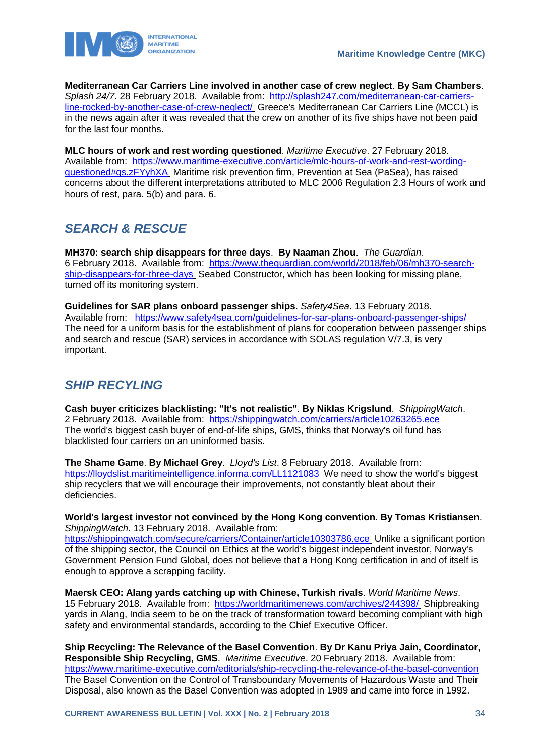

**Mediterranean Car Carriers Line involved in another case of crew neglect**. **By Sam Chambers**. *Splash 24/7*. 28 February 2018. Available from: [http://splash247.com/mediterranean-car-carriers](http://splash247.com/mediterranean-car-carriers-line-rocked-by-another-case-of-crew-neglect/)[line-rocked-by-another-case-of-crew-neglect/](http://splash247.com/mediterranean-car-carriers-line-rocked-by-another-case-of-crew-neglect/) Greece's Mediterranean Car Carriers Line (MCCL) is in the news again after it was revealed that the crew on another of its five ships have not been paid for the last four months.

**MLC hours of work and rest wording questioned**. *Maritime Executive*. 27 February 2018. Available from: [https://www.maritime-executive.com/article/mlc-hours-of-work-and-rest-wording](https://www.maritime-executive.com/article/mlc-hours-of-work-and-rest-wording-questioned#gs.zFYyhXA)[questioned#gs.zFYyhXA](https://www.maritime-executive.com/article/mlc-hours-of-work-and-rest-wording-questioned#gs.zFYyhXA) Maritime risk prevention firm, Prevention at Sea (PaSea), has raised concerns about the different interpretations attributed to MLC 2006 Regulation 2.3 Hours of work and hours of rest, para. 5(b) and para. 6.

# <span id="page-34-0"></span>*SEARCH & RESCUE*

**MH370: search ship disappears for three days**. **By Naaman Zhou**. *The Guardian*. 6 February 2018. Available from: [https://www.theguardian.com/world/2018/feb/06/mh370-search](https://www.theguardian.com/world/2018/feb/06/mh370-search-ship-disappears-for-three-days)[ship-disappears-for-three-days](https://www.theguardian.com/world/2018/feb/06/mh370-search-ship-disappears-for-three-days) Seabed Constructor, which has been looking for missing plane, turned off its monitoring system.

**Guidelines for SAR plans onboard passenger ships**. *Safety4Sea*. 13 February 2018. Available from: <https://www.safety4sea.com/guidelines-for-sar-plans-onboard-passenger-ships/> The need for a uniform basis for the establishment of plans for cooperation between passenger ships and search and rescue (SAR) services in accordance with SOLAS regulation V/7.3, is very important.

### <span id="page-34-1"></span>*SHIP RECYLING*

**Cash buyer criticizes blacklisting: "It's not realistic"**. **By Niklas Krigslund**. *ShippingWatch*. 2 February 2018. Available from: <https://shippingwatch.com/carriers/article10263265.ece> The world's biggest cash buyer of end-of-life ships, GMS, thinks that Norway's oil fund has blacklisted four carriers on an uninformed basis.

**The Shame Game**. **By Michael Grey**. *Lloyd's List*. 8 February 2018. Available from: <https://lloydslist.maritimeintelligence.informa.com/LL1121083> We need to show the world's biggest ship recyclers that we will encourage their improvements, not constantly bleat about their deficiencies.

**World's largest investor not convinced by the Hong Kong convention**. **By Tomas Kristiansen**. *ShippingWatch*. 13 February 2018. Available from:

<https://shippingwatch.com/secure/carriers/Container/article10303786.ece> Unlike a significant portion of the shipping sector, the Council on Ethics at the world's biggest independent investor, Norway's Government Pension Fund Global, does not believe that a Hong Kong certification in and of itself is enough to approve a scrapping facility.

**Maersk CEO: Alang yards catching up with Chinese, Turkish rivals**. *World Maritime News*. 15 February 2018. Available from: <https://worldmaritimenews.com/archives/244398/> Shipbreaking yards in Alang, India seem to be on the track of transformation toward becoming compliant with high safety and environmental standards, according to the Chief Executive Officer.

**Ship Recycling: The Relevance of the Basel Convention**. **By Dr Kanu Priya Jain, Coordinator, Responsible Ship Recycling, GMS**. *Maritime Executive*. 20 February 2018. Available from: <https://www.maritime-executive.com/editorials/ship-recycling-the-relevance-of-the-basel-convention> The Basel Convention on the Control of Transboundary Movements of Hazardous Waste and Their Disposal, also known as the Basel Convention was adopted in 1989 and came into force in 1992.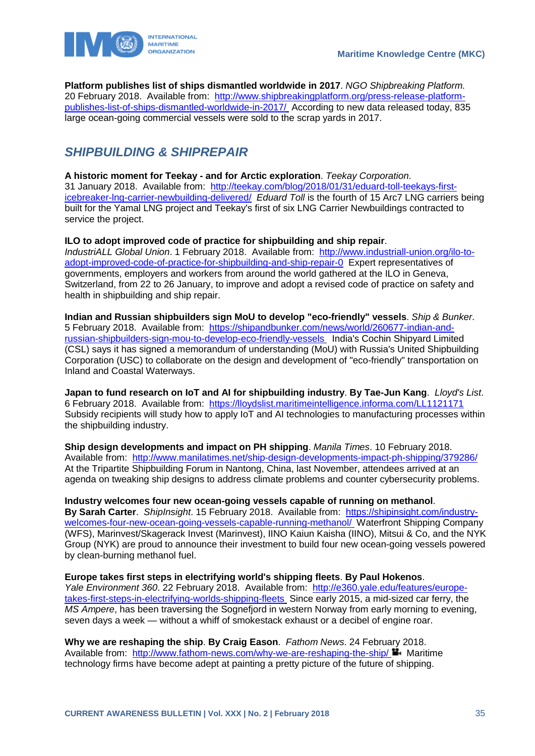

**Platform publishes list of ships dismantled worldwide in 2017**. *NGO Shipbreaking Platform*. 20 February 2018. Available from: [http://www.shipbreakingplatform.org/press-release-platform](http://www.shipbreakingplatform.org/press-release-platform-publishes-list-of-ships-dismantled-worldwide-in-2017/)[publishes-list-of-ships-dismantled-worldwide-in-2017/](http://www.shipbreakingplatform.org/press-release-platform-publishes-list-of-ships-dismantled-worldwide-in-2017/) According to new data released today, 835 large ocean-going commercial vessels were sold to the scrap yards in 2017.

# <span id="page-35-0"></span>*SHIPBUILDING & SHIPREPAIR*

**A historic moment for Teekay - and for Arctic exploration**. *Teekay Corporation*. 31 January 2018. Available from: [http://teekay.com/blog/2018/01/31/eduard-toll-teekays-first](http://teekay.com/blog/2018/01/31/eduard-toll-teekays-first-icebreaker-lng-carrier-newbuilding-delivered/)[icebreaker-lng-carrier-newbuilding-delivered/](http://teekay.com/blog/2018/01/31/eduard-toll-teekays-first-icebreaker-lng-carrier-newbuilding-delivered/) *Eduard Toll* is the fourth of 15 Arc7 LNG carriers being built for the Yamal LNG project and Teekay's first of six LNG Carrier Newbuildings contracted to service the project.

**ILO to adopt improved code of practice for shipbuilding and ship repair**.

*IndustriALL Global Union*. 1 February 2018. Available from: [http://www.industriall-union.org/ilo-to](http://www.industriall-union.org/ilo-to-adopt-improved-code-of-practice-for-shipbuilding-and-ship-repair-0)[adopt-improved-code-of-practice-for-shipbuilding-and-ship-repair-0](http://www.industriall-union.org/ilo-to-adopt-improved-code-of-practice-for-shipbuilding-and-ship-repair-0) Expert representatives of governments, employers and workers from around the world gathered at the ILO in Geneva, Switzerland, from 22 to 26 January, to improve and adopt a revised code of practice on safety and health in shipbuilding and ship repair.

**Indian and Russian shipbuilders sign MoU to develop "eco-friendly" vessels**. *Ship & Bunker*. 5 February 2018. Available from: [https://shipandbunker.com/news/world/260677-indian-and](https://shipandbunker.com/news/world/260677-indian-and-russian-shipbuilders-sign-mou-to-develop-eco-friendly-vessels)[russian-shipbuilders-sign-mou-to-develop-eco-friendly-vessels](https://shipandbunker.com/news/world/260677-indian-and-russian-shipbuilders-sign-mou-to-develop-eco-friendly-vessels) India's Cochin Shipyard Limited (CSL) says it has signed a memorandum of understanding (MoU) with Russia's United Shipbuilding Corporation (USC) to collaborate on the design and development of "eco-friendly" transportation on Inland and Coastal Waterways.

**Japan to fund research on IoT and AI for shipbuilding industry**. **By Tae-Jun Kang**. *Lloyd's List*. 6 February 2018. Available from: <https://lloydslist.maritimeintelligence.informa.com/LL1121171> Subsidy recipients will study how to apply IoT and AI technologies to manufacturing processes within the shipbuilding industry.

**Ship design developments and impact on PH shipping**. *Manila Times*. 10 February 2018. Available from: <http://www.manilatimes.net/ship-design-developments-impact-ph-shipping/379286/> At the Tripartite Shipbuilding Forum in Nantong, China, last November, attendees arrived at an agenda on tweaking ship designs to address climate problems and counter cybersecurity problems.

**Industry welcomes four new ocean-going vessels capable of running on methanol**.

**By Sarah Carter**. *ShipInsight*. 15 February 2018. Available from: [https://shipinsight.com/industry](https://shipinsight.com/industry-welcomes-four-new-ocean-going-vessels-capable-running-methanol/)[welcomes-four-new-ocean-going-vessels-capable-running-methanol/](https://shipinsight.com/industry-welcomes-four-new-ocean-going-vessels-capable-running-methanol/) Waterfront Shipping Company (WFS), Marinvest/Skagerack Invest (Marinvest), IINO Kaiun Kaisha (IINO), Mitsui & Co, and the NYK Group (NYK) are proud to announce their investment to build four new ocean-going vessels powered by clean-burning methanol fuel.

**Europe takes first steps in electrifying world's shipping fleets**. **By Paul Hokenos**.

*Yale Environment 360*. 22 February 2018. Available from: [http://e360.yale.edu/features/europe](http://e360.yale.edu/features/europe-takes-first-steps-in-electrifying-worlds-shipping-fleets)[takes-first-steps-in-electrifying-worlds-shipping-fleets](http://e360.yale.edu/features/europe-takes-first-steps-in-electrifying-worlds-shipping-fleets) Since early 2015, a mid-sized car ferry, the *MS Ampere*, has been traversing the Sognefjord in western Norway from early morning to evening, seven days a week — without a whiff of smokestack exhaust or a decibel of engine roar.

**Why we are reshaping the ship**. **By Craig Eason**. *Fathom News*. 24 February 2018. Available from: <http://www.fathom-news.com/why-we-are-reshaping-the-ship/>  $\blacksquare$  Maritime technology firms have become adept at painting a pretty picture of the future of shipping.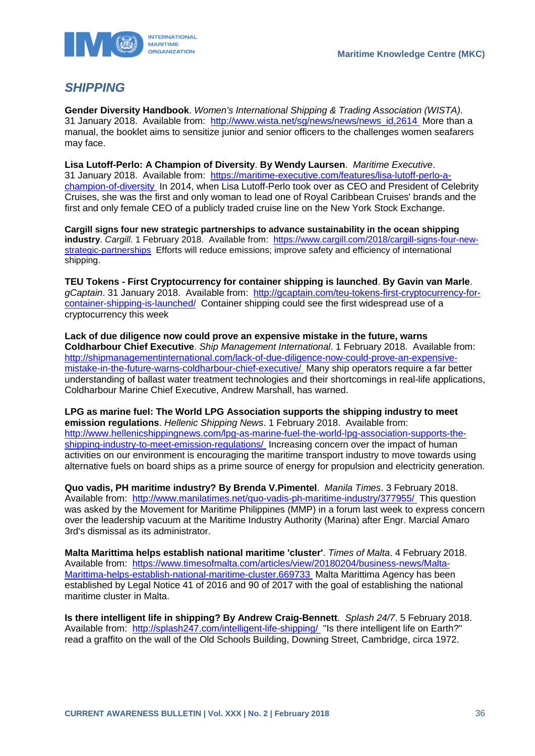

# <span id="page-36-0"></span>*SHIPPING*

**Gender Diversity Handbook**. *Women's International Shipping & Trading Association (WISTA)*. 31 January 2018. Available from: [http://www.wista.net/sg/news/news/news\\_id,2614](http://www.wista.net/sg/news/news/news_id,2614) More than a manual, the booklet aims to sensitize junior and senior officers to the challenges women seafarers may face.

**Lisa Lutoff-Perlo: A Champion of Diversity**. **By Wendy Laursen**. *Maritime Executive*. 31 January 2018. Available from: [https://maritime-executive.com/features/lisa-lutoff-perlo-a](https://maritime-executive.com/features/lisa-lutoff-perlo-a-champion-of-diversity)[champion-of-diversity](https://maritime-executive.com/features/lisa-lutoff-perlo-a-champion-of-diversity) In 2014, when Lisa Lutoff-Perlo took over as CEO and President of Celebrity Cruises, she was the first and only woman to lead one of Royal Caribbean Cruises' brands and the first and only female CEO of a publicly traded cruise line on the New York Stock Exchange.

**Cargill signs four new strategic partnerships to advance sustainability in the ocean shipping industry**. *Cargill*. 1 February 2018. Available from: [https://www.cargill.com/2018/cargill-signs-four-new](https://www.cargill.com/2018/cargill-signs-four-new-strategic-partnerships)[strategic-partnerships](https://www.cargill.com/2018/cargill-signs-four-new-strategic-partnerships) Efforts will reduce emissions; improve safety and efficiency of international shipping.

**TEU Tokens - First Cryptocurrency for container shipping is launched**. **By Gavin van Marle**. *gCaptain*. 31 January 2018. Available from: [http://gcaptain.com/teu-tokens-first-cryptocurrency-for](http://gcaptain.com/teu-tokens-first-cryptocurrency-for-container-shipping-is-launched/)[container-shipping-is-launched/](http://gcaptain.com/teu-tokens-first-cryptocurrency-for-container-shipping-is-launched/) Container shipping could see the first widespread use of a cryptocurrency this week

**Lack of due diligence now could prove an expensive mistake in the future, warns Coldharbour Chief Executive**. *Ship Management International*. 1 February 2018. Available from: [http://shipmanagementinternational.com/lack-of-due-diligence-now-could-prove-an-expensive](http://shipmanagementinternational.com/lack-of-due-diligence-now-could-prove-an-expensive-mistake-in-the-future-warns-coldharbour-chief-executive/)[mistake-in-the-future-warns-coldharbour-chief-executive/](http://shipmanagementinternational.com/lack-of-due-diligence-now-could-prove-an-expensive-mistake-in-the-future-warns-coldharbour-chief-executive/) Many ship operators require a far better understanding of ballast water treatment technologies and their shortcomings in real-life applications, Coldharbour Marine Chief Executive, Andrew Marshall, has warned.

**LPG as marine fuel: The World LPG Association supports the shipping industry to meet emission regulations**. *Hellenic Shipping News*. 1 February 2018. Available from: [http://www.hellenicshippingnews.com/lpg-as-marine-fuel-the-world-lpg-association-supports-the](http://www.hellenicshippingnews.com/lpg-as-marine-fuel-the-world-lpg-association-supports-the-shipping-industry-to-meet-emission-regulations/)[shipping-industry-to-meet-emission-regulations/](http://www.hellenicshippingnews.com/lpg-as-marine-fuel-the-world-lpg-association-supports-the-shipping-industry-to-meet-emission-regulations/) Increasing concern over the impact of human activities on our environment is encouraging the maritime transport industry to move towards using alternative fuels on board ships as a prime source of energy for propulsion and electricity generation.

**Quo vadis, PH maritime industry? By Brenda V.Pimentel**. *Manila Times*. 3 February 2018. Available from: <http://www.manilatimes.net/quo-vadis-ph-maritime-industry/377955/> This question was asked by the Movement for Maritime Philippines (MMP) in a forum last week to express concern over the leadership vacuum at the Maritime Industry Authority (Marina) after Engr. Marcial Amaro 3rd's dismissal as its administrator.

**Malta Marittima helps establish national maritime 'cluster'**. *Times of Malta*. 4 February 2018. Available from: [https://www.timesofmalta.com/articles/view/20180204/business-news/Malta-](https://www.timesofmalta.com/articles/view/20180204/business-news/Malta-Marittima-helps-establish-national-maritime-cluster.669733)[Marittima-helps-establish-national-maritime-cluster.669733](https://www.timesofmalta.com/articles/view/20180204/business-news/Malta-Marittima-helps-establish-national-maritime-cluster.669733) Malta Marittima Agency has been established by Legal Notice 41 of 2016 and 90 of 2017 with the goal of establishing the national maritime cluster in Malta.

**Is there intelligent life in shipping? By Andrew Craig-Bennett**. *Splash 24/7*. 5 February 2018. Available from: <http://splash247.com/intelligent-life-shipping/> "Is there intelligent life on Earth?" read a graffito on the wall of the Old Schools Building, Downing Street, Cambridge, circa 1972.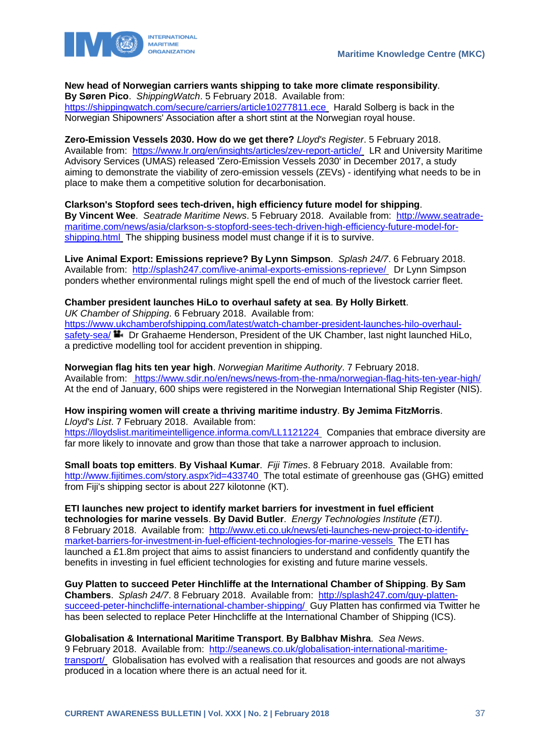

### **New head of Norwegian carriers wants shipping to take more climate responsibility**.

**By Søren Pico**. *ShippingWatch*. 5 February 2018. Available from: <https://shippingwatch.com/secure/carriers/article10277811.ece> Harald Solberg is back in the Norwegian Shipowners' Association after a short stint at the Norwegian royal house.

**Zero-Emission Vessels 2030. How do we get there?** *Lloyd's Register*. 5 February 2018. Available from: <https://www.lr.org/en/insights/articles/zev-report-article/> LR and University Maritime Advisory Services (UMAS) released 'Zero-Emission Vessels 2030' in December 2017, a study aiming to demonstrate the viability of zero-emission vessels (ZEVs) - identifying what needs to be in place to make them a competitive solution for decarbonisation.

**Clarkson's Stopford sees tech-driven, high efficiency future model for shipping**. **By Vincent Wee**. *Seatrade Maritime News*. 5 February 2018. Available from: [http://www.seatrade](http://www.seatrade-maritime.com/news/asia/clarkson-s-stopford-sees-tech-driven-high-efficiency-future-model-for-shipping.html)[maritime.com/news/asia/clarkson-s-stopford-sees-tech-driven-high-efficiency-future-model-for](http://www.seatrade-maritime.com/news/asia/clarkson-s-stopford-sees-tech-driven-high-efficiency-future-model-for-shipping.html)[shipping.html](http://www.seatrade-maritime.com/news/asia/clarkson-s-stopford-sees-tech-driven-high-efficiency-future-model-for-shipping.html) The shipping business model must change if it is to survive.

**Live Animal Export: Emissions reprieve? By Lynn Simpson**. *Splash 24/7*. 6 February 2018. Available from: <http://splash247.com/live-animal-exports-emissions-reprieve/> Dr Lynn Simpson ponders whether environmental rulings might spell the end of much of the livestock carrier fleet.

### **Chamber president launches HiLo to overhaul safety at sea**. **By Holly Birkett**.

*UK Chamber of Shipping*. 6 February 2018. Available from: [https://www.ukchamberofshipping.com/latest/watch-chamber-president-launches-hilo-overhaul](https://www.ukchamberofshipping.com/latest/watch-chamber-president-launches-hilo-overhaul-safety-sea/)[safety-sea/](https://www.ukchamberofshipping.com/latest/watch-chamber-president-launches-hilo-overhaul-safety-sea/)  $\blacksquare$  Dr Grahaeme Henderson, President of the UK Chamber, last night launched HiLo, a predictive modelling tool for accident prevention in shipping.

**Norwegian flag hits ten year high**. *Norwegian Maritime Authority*. 7 February 2018. Available from: <https://www.sdir.no/en/news/news-from-the-nma/norwegian-flag-hits-ten-year-high/> At the end of January, 600 ships were registered in the Norwegian International Ship Register (NIS).

#### **How inspiring women will create a thriving maritime industry**. **By Jemima FitzMorris**. *Lloyd's List*. 7 February 2018. Available from:

<https://lloydslist.maritimeintelligence.informa.com/LL1121224> Companies that embrace diversity are far more likely to innovate and grow than those that take a narrower approach to inclusion.

**Small boats top emitters**. **By Vishaal Kumar**. *Fiji Times*. 8 February 2018. Available from: <http://www.fijitimes.com/story.aspx?id=433740> The total estimate of greenhouse gas (GHG) emitted from Fiji's shipping sector is about 227 kilotonne (KT).

**ETI launches new project to identify market barriers for investment in fuel efficient technologies for marine vessels**. **By David Butler**. *Energy Technologies Institute (ETI)*. 8 February 2018. Available from: [http://www.eti.co.uk/news/eti-launches-new-project-to-identify](http://www.eti.co.uk/news/eti-launches-new-project-to-identify-market-barriers-for-investment-in-fuel-efficient-technologies-for-marine-vessels)[market-barriers-for-investment-in-fuel-efficient-technologies-for-marine-vessels](http://www.eti.co.uk/news/eti-launches-new-project-to-identify-market-barriers-for-investment-in-fuel-efficient-technologies-for-marine-vessels) The ETI has launched a £1.8m project that aims to assist financiers to understand and confidently quantify the benefits in investing in fuel efficient technologies for existing and future marine vessels.

**Guy Platten to succeed Peter Hinchliffe at the International Chamber of Shipping**. **By Sam Chambers**. *Splash 24/7*. 8 February 2018. Available from: [http://splash247.com/guy-platten](http://splash247.com/guy-platten-succeed-peter-hinchcliffe-international-chamber-shipping/)[succeed-peter-hinchcliffe-international-chamber-shipping/](http://splash247.com/guy-platten-succeed-peter-hinchcliffe-international-chamber-shipping/) Guy Platten has confirmed via Twitter he has been selected to replace Peter Hinchcliffe at the International Chamber of Shipping (ICS).

#### **Globalisation & International Maritime Transport**. **By Balbhav Mishra**. *Sea News*.

9 February 2018. Available from: [http://seanews.co.uk/globalisation-international-maritime](http://seanews.co.uk/globalisation-international-maritime-transport/)[transport/](http://seanews.co.uk/globalisation-international-maritime-transport/) Globalisation has evolved with a realisation that resources and goods are not always produced in a location where there is an actual need for it.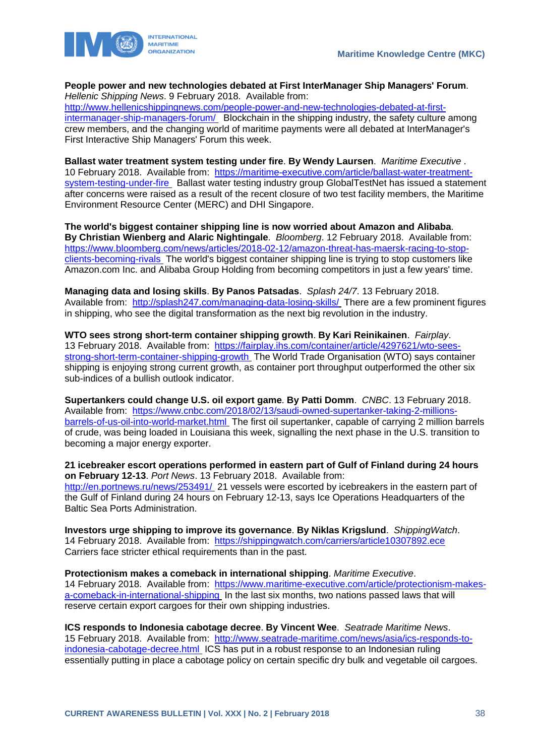

#### **People power and new technologies debated at First InterManager Ship Managers' Forum**. *Hellenic Shipping News*. 9 February 2018. Available from:

[http://www.hellenicshippingnews.com/people-power-and-new-technologies-debated-at-first](http://www.hellenicshippingnews.com/people-power-and-new-technologies-debated-at-first-intermanager-ship-managers-forum/)[intermanager-ship-managers-forum/](http://www.hellenicshippingnews.com/people-power-and-new-technologies-debated-at-first-intermanager-ship-managers-forum/) Blockchain in the shipping industry, the safety culture among crew members, and the changing world of maritime payments were all debated at InterManager's First Interactive Ship Managers' Forum this week.

**Ballast water treatment system testing under fire**. **By Wendy Laursen**. *Maritime Executive* . 10 February 2018. Available from: [https://maritime-executive.com/article/ballast-water-treatment](https://maritime-executive.com/article/ballast-water-treatment-system-testing-under-fire)[system-testing-under-fire](https://maritime-executive.com/article/ballast-water-treatment-system-testing-under-fire) Ballast water testing industry group GlobalTestNet has issued a statement after concerns were raised as a result of the recent closure of two test facility members, the Maritime Environment Resource Center (MERC) and DHI Singapore.

**The world's biggest container shipping line is now worried about Amazon and Alibaba**. **By Christian Wienberg and Alaric Nightingale**. *Bloomberg*. 12 February 2018. Available from: [https://www.bloomberg.com/news/articles/2018-02-12/amazon-threat-has-maersk-racing-to-stop](https://www.bloomberg.com/news/articles/2018-02-12/amazon-threat-has-maersk-racing-to-stop-clients-becoming-rivals)[clients-becoming-rivals](https://www.bloomberg.com/news/articles/2018-02-12/amazon-threat-has-maersk-racing-to-stop-clients-becoming-rivals) The world's biggest container shipping line is trying to stop customers like Amazon.com Inc. and Alibaba Group Holding from becoming competitors in just a few years' time.

**Managing data and losing skills**. **By Panos Patsadas**. *Splash 24/7*. 13 February 2018. Available from: <http://splash247.com/managing-data-losing-skills/> There are a few prominent figures in shipping, who see the digital transformation as the next big revolution in the industry.

**WTO sees strong short-term container shipping growth**. **By Kari Reinikainen**. *Fairplay*. 13 February 2018. Available from: [https://fairplay.ihs.com/container/article/4297621/wto-sees](https://fairplay.ihs.com/container/article/4297621/wto-sees-strong-short-term-container-shipping-growth)[strong-short-term-container-shipping-growth](https://fairplay.ihs.com/container/article/4297621/wto-sees-strong-short-term-container-shipping-growth) The World Trade Organisation (WTO) says container shipping is enjoying strong current growth, as container port throughput outperformed the other six sub-indices of a bullish outlook indicator.

**Supertankers could change U.S. oil export game**. **By Patti Domm**. *CNBC*. 13 February 2018. Available from: [https://www.cnbc.com/2018/02/13/saudi-owned-supertanker-taking-2-millions](https://www.cnbc.com/2018/02/13/saudi-owned-supertanker-taking-2-millions-barrels-of-us-oil-into-world-market.html)[barrels-of-us-oil-into-world-market.html](https://www.cnbc.com/2018/02/13/saudi-owned-supertanker-taking-2-millions-barrels-of-us-oil-into-world-market.html) The first oil supertanker, capable of carrying 2 million barrels of crude, was being loaded in Louisiana this week, signalling the next phase in the U.S. transition to becoming a major energy exporter.

**21 icebreaker escort operations performed in eastern part of Gulf of Finland during 24 hours on February 12-13**. *Port News*. 13 February 2018. Available from: <http://en.portnews.ru/news/253491/> 21 vessels were escorted by icebreakers in the eastern part of the Gulf of Finland during 24 hours on February 12-13, says Ice Operations Headquarters of the Baltic Sea Ports Administration.

**Investors urge shipping to improve its governance**. **By Niklas Krigslund**. *ShippingWatch*. 14 February 2018. Available from: <https://shippingwatch.com/carriers/article10307892.ece> Carriers face stricter ethical requirements than in the past.

**Protectionism makes a comeback in international shipping**. *Maritime Executive*. 14 February 2018. Available from: [https://www.maritime-executive.com/article/protectionism-makes](https://www.maritime-executive.com/article/protectionism-makes-a-comeback-in-international-shipping)[a-comeback-in-international-shipping](https://www.maritime-executive.com/article/protectionism-makes-a-comeback-in-international-shipping) In the last six months, two nations passed laws that will reserve certain export cargoes for their own shipping industries.

**ICS responds to Indonesia cabotage decree**. **By Vincent Wee**. *Seatrade Maritime News*. 15 February 2018. Available from: [http://www.seatrade-maritime.com/news/asia/ics-responds-to](http://www.seatrade-maritime.com/news/asia/ics-responds-to-indonesia-cabotage-decree.html)[indonesia-cabotage-decree.html](http://www.seatrade-maritime.com/news/asia/ics-responds-to-indonesia-cabotage-decree.html) ICS has put in a robust response to an Indonesian ruling essentially putting in place a cabotage policy on certain specific dry bulk and vegetable oil cargoes.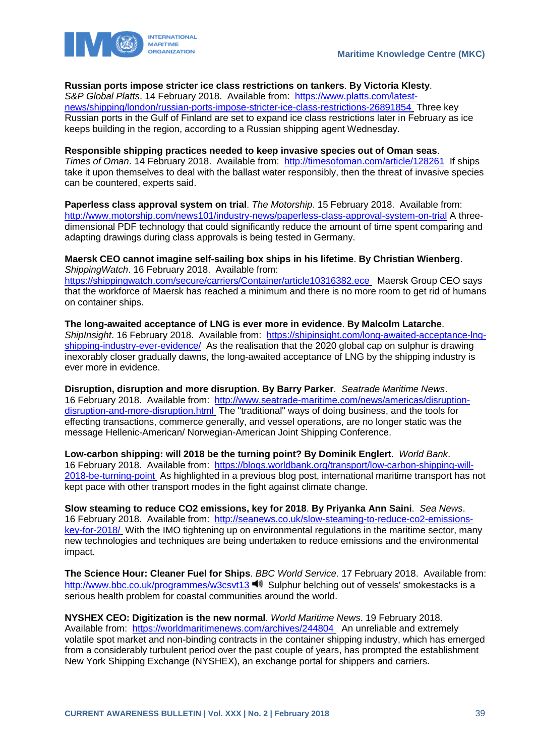

#### **Russian ports impose stricter ice class restrictions on tankers**. **By Victoria Klesty**.

*S&P Global Platts*. 14 February 2018. Available from: [https://www.platts.com/latest](https://www.platts.com/latest-news/shipping/london/russian-ports-impose-stricter-ice-class-restrictions-26891854)[news/shipping/london/russian-ports-impose-stricter-ice-class-restrictions-26891854](https://www.platts.com/latest-news/shipping/london/russian-ports-impose-stricter-ice-class-restrictions-26891854) Three key Russian ports in the Gulf of Finland are set to expand ice class restrictions later in February as ice keeps building in the region, according to a Russian shipping agent Wednesday.

#### **Responsible shipping practices needed to keep invasive species out of Oman seas**.

*Times of Oman*. 14 February 2018. Available from: <http://timesofoman.com/article/128261>If ships take it upon themselves to deal with the ballast water responsibly, then the threat of invasive species can be countered, experts said.

**Paperless class approval system on trial**. *The Motorship*. 15 February 2018. Available from: <http://www.motorship.com/news101/industry-news/paperless-class-approval-system-on-trial> A threedimensional PDF technology that could significantly reduce the amount of time spent comparing and adapting drawings during class approvals is being tested in Germany.

#### **Maersk CEO cannot imagine self-sailing box ships in his lifetime**. **By Christian Wienberg**. *ShippingWatch*. 16 February 2018. Available from:

<https://shippingwatch.com/secure/carriers/Container/article10316382.ece> Maersk Group CEO says that the workforce of Maersk has reached a minimum and there is no more room to get rid of humans on container ships.

**The long-awaited acceptance of LNG is ever more in evidence**. **By Malcolm Latarche**. *ShipInsight*. 16 February 2018. Available from: [https://shipinsight.com/long-awaited-acceptance-lng](https://shipinsight.com/long-awaited-acceptance-lng-shipping-industry-ever-evidence/)[shipping-industry-ever-evidence/](https://shipinsight.com/long-awaited-acceptance-lng-shipping-industry-ever-evidence/) As the realisation that the 2020 global cap on sulphur is drawing inexorably closer gradually dawns, the long-awaited acceptance of LNG by the shipping industry is ever more in evidence.

**Disruption, disruption and more disruption**. **By Barry Parker**. *Seatrade Maritime News*. 16 February 2018. Available from: [http://www.seatrade-maritime.com/news/americas/disruption](http://www.seatrade-maritime.com/news/americas/disruption-disruption-and-more-disruption.html)[disruption-and-more-disruption.html](http://www.seatrade-maritime.com/news/americas/disruption-disruption-and-more-disruption.html) The "traditional" ways of doing business, and the tools for effecting transactions, commerce generally, and vessel operations, are no longer static was the message Hellenic-American/ Norwegian-American Joint Shipping Conference.

**Low-carbon shipping: will 2018 be the turning point? By Dominik Englert**. *World Bank*. 16 February 2018. Available from: [https://blogs.worldbank.org/transport/low-carbon-shipping-will-](https://blogs.worldbank.org/transport/low-carbon-shipping-will-2018-be-turning-point)[2018-be-turning-point](https://blogs.worldbank.org/transport/low-carbon-shipping-will-2018-be-turning-point). As highlighted in a previous blog post, international maritime transport has not kept pace with other transport modes in the fight against climate change.

**Slow steaming to reduce CO2 emissions, key for 2018**. **By Priyanka Ann Saini**. *Sea News*. 16 February 2018. Available from: [http://seanews.co.uk/slow-steaming-to-reduce-co2-emissions](http://seanews.co.uk/slow-steaming-to-reduce-co2-emissions-key-for-2018/)[key-for-2018/](http://seanews.co.uk/slow-steaming-to-reduce-co2-emissions-key-for-2018/) With the IMO tightening up on environmental regulations in the maritime sector, many new technologies and techniques are being undertaken to reduce emissions and the environmental impact.

**The Science Hour: Cleaner Fuel for Ships**. *BBC World Service*. 17 February 2018. Available from: <http://www.bbc.co.uk/programmes/w3csvt13>  $\blacksquare$  Sulphur belching out of vessels' smokestacks is a serious health problem for coastal communities around the world.

**NYSHEX CEO: Digitization is the new normal**. *World Maritime News*. 19 February 2018. Available from: <https://worldmaritimenews.com/archives/244804> An unreliable and extremely volatile spot market and non-binding contracts in the container shipping industry, which has emerged from a considerably turbulent period over the past couple of years, has prompted the establishment New York Shipping Exchange (NYSHEX), an exchange portal for shippers and carriers.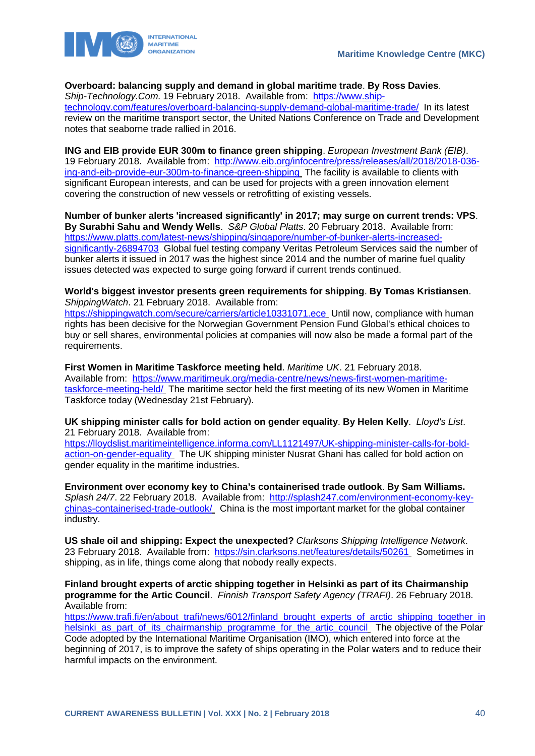

#### **Overboard: balancing supply and demand in global maritime trade**. **By Ross Davies**.

*Ship-Technology.Com*. 19 February 2018. Available from: [https://www.ship](https://www.ship-technology.com/features/overboard-balancing-supply-demand-global-maritime-trade/)[technology.com/features/overboard-balancing-supply-demand-global-maritime-trade/](https://www.ship-technology.com/features/overboard-balancing-supply-demand-global-maritime-trade/) In its latest review on the maritime transport sector, the United Nations Conference on Trade and Development notes that seaborne trade rallied in 2016.

**ING and EIB provide EUR 300m to finance green shipping**. *European Investment Bank (EIB)*. 19 February 2018. Available from: [http://www.eib.org/infocentre/press/releases/all/2018/2018-036](http://www.eib.org/infocentre/press/releases/all/2018/2018-036-ing-and-eib-provide-eur-300m-to-finance-green-shipping) [ing-and-eib-provide-eur-300m-to-finance-green-shipping](http://www.eib.org/infocentre/press/releases/all/2018/2018-036-ing-and-eib-provide-eur-300m-to-finance-green-shipping) The facility is available to clients with significant European interests, and can be used for projects with a green innovation element covering the construction of new vessels or retrofitting of existing vessels.

**Number of bunker alerts 'increased significantly' in 2017; may surge on current trends: VPS**. **By Surabhi Sahu and Wendy Wells**. *S&P Global Platts*. 20 February 2018. Available from: [https://www.platts.com/latest-news/shipping/singapore/number-of-bunker-alerts-increased](https://www.platts.com/latest-news/shipping/singapore/number-of-bunker-alerts-increased-significantly-26894703)[significantly-26894703](https://www.platts.com/latest-news/shipping/singapore/number-of-bunker-alerts-increased-significantly-26894703) Global fuel testing company Veritas Petroleum Services said the number of bunker alerts it issued in 2017 was the highest since 2014 and the number of marine fuel quality issues detected was expected to surge going forward if current trends continued.

**World's biggest investor presents green requirements for shipping**. **By Tomas Kristiansen**. *ShippingWatch*. 21 February 2018. Available from:

<https://shippingwatch.com/secure/carriers/article10331071.ece> Until now, compliance with human rights has been decisive for the Norwegian Government Pension Fund Global's ethical choices to buy or sell shares, environmental policies at companies will now also be made a formal part of the requirements.

**First Women in Maritime Taskforce meeting held**. *Maritime UK*. 21 February 2018. Available from: [https://www.maritimeuk.org/media-centre/news/news-first-women-maritime](https://www.maritimeuk.org/media-centre/news/news-first-women-maritime-taskforce-meeting-held/)[taskforce-meeting-held/](https://www.maritimeuk.org/media-centre/news/news-first-women-maritime-taskforce-meeting-held/) The maritime sector held the first meeting of its new Women in Maritime Taskforce today (Wednesday 21st February).

**UK shipping minister calls for bold action on gender equality**. **By Helen Kelly**. *Lloyd's List*. 21 February 2018. Available from:

[https://lloydslist.maritimeintelligence.informa.com/LL1121497/UK-shipping-minister-calls-for-bold](https://lloydslist.maritimeintelligence.informa.com/LL1121497/UK-shipping-minister-calls-for-bold-action-on-gender-equality)[action-on-gender-equality](https://lloydslist.maritimeintelligence.informa.com/LL1121497/UK-shipping-minister-calls-for-bold-action-on-gender-equality) The UK shipping minister Nusrat Ghani has called for bold action on gender equality in the maritime industries.

**Environment over economy key to China's containerised trade outlook**. **By Sam Williams.** *Splash 24/7*. 22 February 2018. Available from: [http://splash247.com/environment-economy-key](http://splash247.com/environment-economy-key-chinas-containerised-trade-outlook/)[chinas-containerised-trade-outlook/](http://splash247.com/environment-economy-key-chinas-containerised-trade-outlook/) China is the most important market for the global container industry.

**US shale oil and shipping: Expect the unexpected?** *Clarksons Shipping Intelligence Network*. 23 February 2018. Available from: <https://sin.clarksons.net/features/details/50261> Sometimes in shipping, as in life, things come along that nobody really expects.

**Finland brought experts of arctic shipping together in Helsinki as part of its Chairmanship programme for the Artic Council**. *Finnish Transport Safety Agency (TRAFI)*. 26 February 2018. Available from:

[https://www.trafi.fi/en/about\\_trafi/news/6012/finland\\_brought\\_experts\\_of\\_arctic\\_shipping\\_together\\_in](https://www.trafi.fi/en/about_trafi/news/6012/finland_brought_experts_of_arctic_shipping_together_inhelsinki_as_part_of_its_chairmanship_programme_for_the_artic_council) helsinki as part of its chairmanship programme for the artic council The objective of the Polar Code adopted by the International Maritime Organisation (IMO), which entered into force at the beginning of 2017, is to improve the safety of ships operating in the Polar waters and to reduce their harmful impacts on the environment.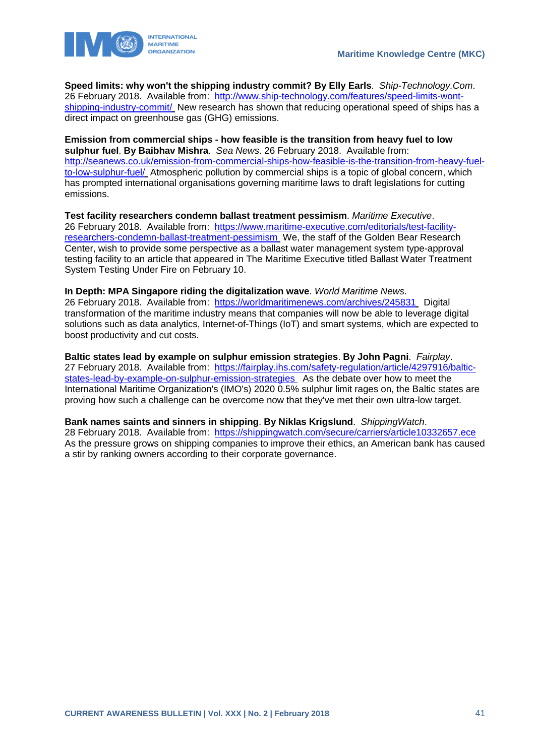

**Speed limits: why won't the shipping industry commit? By Elly Earls**. *Ship-Technology.Com*. 26 February 2018. Available from: [http://www.ship-technology.com/features/speed-limits-wont](http://www.ship-technology.com/features/speed-limits-wont-shipping-industry-commit/)[shipping-industry-commit/](http://www.ship-technology.com/features/speed-limits-wont-shipping-industry-commit/) New research has shown that reducing operational speed of ships has a direct impact on greenhouse gas (GHG) emissions.

**Emission from commercial ships - how feasible is the transition from heavy fuel to low sulphur fuel**. **By Baibhav Mishra**. *Sea News*. 26 February 2018. Available from: [http://seanews.co.uk/emission-from-commercial-ships-how-feasible-is-the-transition-from-heavy-fuel](http://seanews.co.uk/emission-from-commercial-ships-how-feasible-is-the-transition-from-heavy-fuel-to-low-sulphur-fuel/)[to-low-sulphur-fuel/](http://seanews.co.uk/emission-from-commercial-ships-how-feasible-is-the-transition-from-heavy-fuel-to-low-sulphur-fuel/) Atmospheric pollution by commercial ships is a topic of global concern, which has prompted international organisations governing maritime laws to draft legislations for cutting emissions.

**Test facility researchers condemn ballast treatment pessimism**. *Maritime Executive*. 26 February 2018. Available from: [https://www.maritime-executive.com/editorials/test-facility](https://www.maritime-executive.com/editorials/test-facility-researchers-condemn-ballast-treatment-pessimism)[researchers-condemn-ballast-treatment-pessimism](https://www.maritime-executive.com/editorials/test-facility-researchers-condemn-ballast-treatment-pessimism) We, the staff of the Golden Bear Research Center, wish to provide some perspective as a ballast water management system type-approval testing facility to an article that appeared in The Maritime Executive titled Ballast Water Treatment System Testing Under Fire on February 10.

**In Depth: MPA Singapore riding the digitalization wave**. *World Maritime News*. 26 February 2018. Available from: <https://worldmaritimenews.com/archives/245831> Digital transformation of the maritime industry means that companies will now be able to leverage digital solutions such as data analytics, Internet-of-Things (IoT) and smart systems, which are expected to boost productivity and cut costs.

**Baltic states lead by example on sulphur emission strategies**. **By John Pagni**. *Fairplay*. 27 February 2018. Available from: [https://fairplay.ihs.com/safety-regulation/article/4297916/baltic](https://fairplay.ihs.com/safety-regulation/article/4297916/baltic-states-lead-by-example-on-sulphur-emission-strategies)[states-lead-by-example-on-sulphur-emission-strategies](https://fairplay.ihs.com/safety-regulation/article/4297916/baltic-states-lead-by-example-on-sulphur-emission-strategies) As the debate over how to meet the International Maritime Organization's (IMO's) 2020 0.5% sulphur limit rages on, the Baltic states are proving how such a challenge can be overcome now that they've met their own ultra-low target.

**Bank names saints and sinners in shipping**. **By Niklas Krigslund**. *ShippingWatch*. 28 February 2018. Available from: <https://shippingwatch.com/secure/carriers/article10332657.ece> As the pressure grows on shipping companies to improve their ethics, an American bank has caused a stir by ranking owners according to their corporate governance.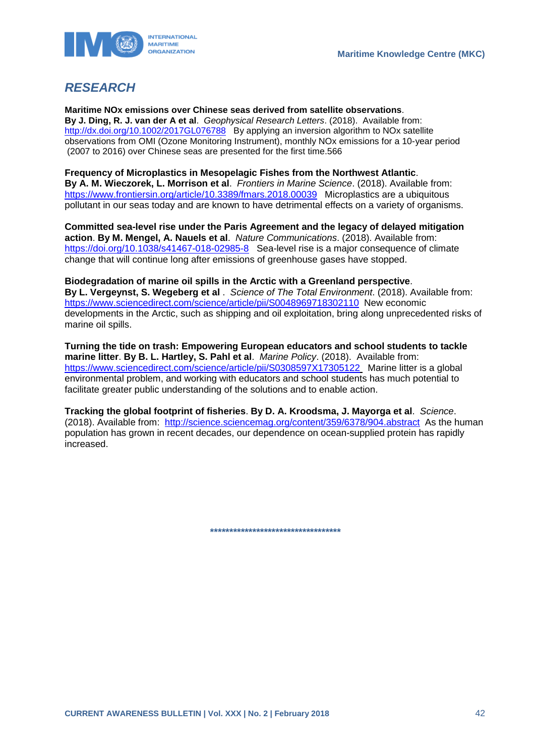

# <span id="page-42-0"></span>*RESEARCH*

**Maritime NOx emissions over Chinese seas derived from satellite observations**. **By J. Ding, R. J. van der A et al**. *Geophysical Research Letters*. (2018). Available from: <http://dx.doi.org/10.1002/2017GL076788>By applying an inversion algorithm to NOx satellite observations from OMI (Ozone Monitoring Instrument), monthly NOx emissions for a 10-year period (2007 to 2016) over Chinese seas are presented for the first time.566

**Frequency of Microplastics in Mesopelagic Fishes from the Northwest Atlantic**. **By A. M. Wieczorek, L. Morrison et al**. *Frontiers in Marine Science*. (2018). Available from: <https://www.frontiersin.org/article/10.3389/fmars.2018.00039>Microplastics are a ubiquitous pollutant in our seas today and are known to have detrimental effects on a variety of organisms.

**Committed sea-level rise under the Paris Agreement and the legacy of delayed mitigation action**. **By M. Mengel, A. Nauels et al**. *Nature Communications*. (2018). Available from: <https://doi.org/10.1038/s41467-018-02985-8> Sea-level rise is a major consequence of climate change that will continue long after emissions of greenhouse gases have stopped.

### **Biodegradation of marine oil spills in the Arctic with a Greenland perspective**.

**By L. Vergeynst, S. Wegeberg et al** . *Science of The Total Environment*. (2018). Available from: <https://www.sciencedirect.com/science/article/pii/S0048969718302110>New economic developments in the Arctic, such as shipping and oil exploitation, bring along unprecedented risks of marine oil spills.

**Turning the tide on trash: Empowering European educators and school students to tackle marine litter**. **By B. L. Hartley, S. Pahl et al**. *Marine Policy*. (2018). Available from: <https://www.sciencedirect.com/science/article/pii/S0308597X17305122> Marine litter is a global environmental problem, and working with educators and school students has much potential to facilitate greater public understanding of the solutions and to enable action.

**Tracking the global footprint of fisheries**. **By D. A. Kroodsma, J. Mayorga et al**. *Science*. (2018). Available from: <http://science.sciencemag.org/content/359/6378/904.abstract> As the human population has grown in recent decades, our dependence on ocean-supplied protein has rapidly increased.

**\*\*\*\*\*\*\*\*\*\*\*\*\*\*\*\*\*\*\*\*\*\*\*\*\*\*\*\*\*\*\*\*\*\***